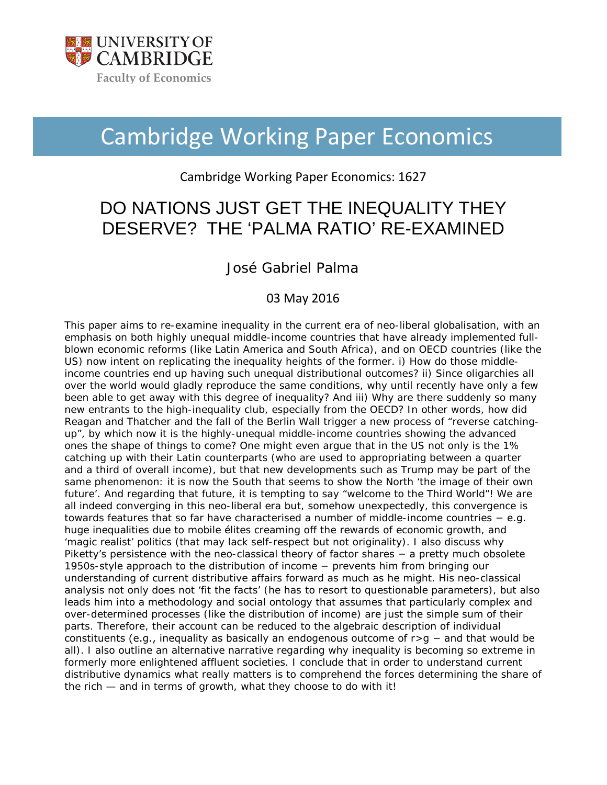

# Cambridge Working Paper Economics

# Cambridge Working Paper Economics: 1627

# DO NATIONS JUST GET THE INEQUALITY THEY DESERVE? THE 'PALMA RATIO' RE-EXAMINED

# José Gabriel Palma

# 03 May 2016

This paper aims to re-examine inequality in the current era of neo-liberal globalisation, with an emphasis on both highly unequal middle-income countries that have already implemented fullblown economic reforms (like Latin America and South Africa), and on OECD countries (like the US) now intent on replicating the inequality heights of the former. i) How do those middleincome countries end up having such unequal distributional outcomes? ii) Since oligarchies all over the world would gladly reproduce the same conditions, why until recently have only a few been able to get away with this degree of inequality? And iii) Why are there suddenly so many new entrants to the high-inequality club, especially from the OECD? In other words, how did Reagan and Thatcher and the fall of the Berlin Wall trigger a new process of "reverse catchingup", by which now it is the highly-unequal middle-income countries showing the advanced ones the shape of things to come? One might even argue that in the US not only is the 1% catching up with their Latin counterparts (who are used to appropriating between a quarter and a third of overall income), but that new developments such as Trump may be part of the same phenomenon: it is now the South that seems to show the North 'the image of their own future'. And regarding that future, it is tempting to say "welcome to the Third World"! We are all indeed converging in this neo-liberal era but, somehow unexpectedly, this convergence is towards features that so far have characterised a number of middle-income countries − e.g. huge inequalities due to mobile élites creaming off the rewards of economic growth, and 'magic realist' politics (that may lack self-respect but not originality). I also discuss why Piketty's persistence with the neo-classical theory of factor shares - a pretty much obsolete 1950s-style approach to the distribution of income − prevents him from bringing our understanding of current distributive affairs forward as much as he might. His neo-classical analysis not only does not 'fit the facts' (he has to resort to questionable parameters), but also leads him into a methodology and social ontology that assumes that particularly complex and over-determined processes (like the distribution of income) are just the simple sum of their parts. Therefore, their account can be reduced to the algebraic description of individual constituents (e.g., inequality as basically an endogenous outcome of r>g − and that would be all). I also outline an alternative narrative regarding why inequality is becoming so extreme in formerly more enlightened affluent societies. I conclude that in order to understand current distributive dynamics what really matters is to comprehend the forces determining the share of the rich — and in terms of growth, what they choose to do with it!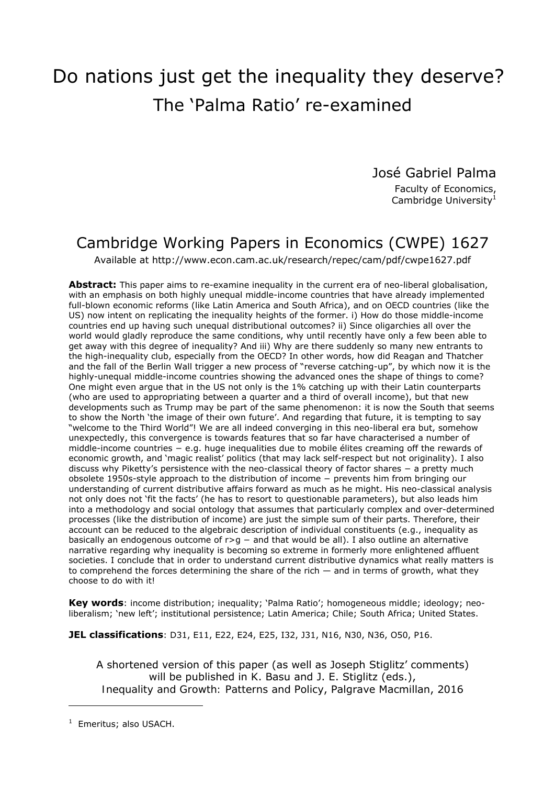# Do nations just get the inequality they deserve? The 'Palma Ratio' re-examined

José Gabriel Palma Faculty of Economics,

Cambridge University<sup>1</sup>

# Cambridge Working Papers in Economics (CWPE) 1627

Available at http://www.econ.cam.ac.uk/research/repec/cam/pdf/cwpe1627.pdf

**Abstract:** This paper aims to re-examine inequality in the current era of neo-liberal globalisation, with an emphasis on both highly unequal middle-income countries that have already implemented full-blown economic reforms (like Latin America and South Africa), and on OECD countries (like the US) now intent on replicating the inequality heights of the former. i) How do those middle-income countries end up having such unequal distributional outcomes? ii) Since oligarchies all over the world would gladly reproduce the same conditions, why until recently have only a few been able to get away with this degree of inequality? And iii) Why are there suddenly so many new entrants to the high-inequality club, especially from the OECD? In other words, how did Reagan and Thatcher and the fall of the Berlin Wall trigger a new process of "reverse catching-up", by which now it is the highly-unequal middle-income countries showing the advanced ones the shape of things to come? One might even argue that in the US not only is the 1% catching up with their Latin counterparts (who are used to appropriating between a quarter and a third of overall income), but that new developments such as Trump may be part of the same phenomenon: it is now the South that seems to show the North 'the image of their own future'. And regarding that future, it is tempting to say "welcome to the Third World"! We are all indeed converging in this neo-liberal era but, somehow unexpectedly, this convergence is towards features that so far have characterised a number of middle-income countries − e.g. huge inequalities due to mobile élites creaming off the rewards of economic growth, and 'magic realist' politics (that may lack self-respect but not originality). I also discuss why Piketty's persistence with the neo-classical theory of factor shares − a pretty much obsolete 1950s-style approach to the distribution of income − prevents him from bringing our understanding of current distributive affairs forward as much as he might. His neo-classical analysis not only does not 'fit the facts' (he has to resort to questionable parameters), but also leads him into a methodology and social ontology that assumes that particularly complex and over-determined processes (like the distribution of income) are just the simple sum of their parts. Therefore, their account can be reduced to the algebraic description of individual constituents (e.g., inequality as basically an endogenous outcome of r>g - and that would be all). I also outline an alternative narrative regarding why inequality is becoming so extreme in formerly more enlightened affluent societies. I conclude that in order to understand current distributive dynamics what really matters is to comprehend the forces determining the share of the rich  $-$  and in terms of growth, what they choose to do with it!

**Key words**: income distribution; inequality; 'Palma Ratio'; homogeneous middle; ideology; neoliberalism; 'new left'; institutional persistence; Latin America; Chile; South Africa; United States.

**JEL classifications**: D31, E11, E22, E24, E25, I32, J31, N16, N30, N36, O50, P16.

A shortened version of this paper (as well as Joseph Stiglitz' comments) will be published in K. Basu and J. E. Stiglitz (eds.), *Inequality and Growth: Patterns and Policy*, Palgrave Macmillan, 2016

<sup>&</sup>lt;sup>1</sup> Emeritus; also USACH.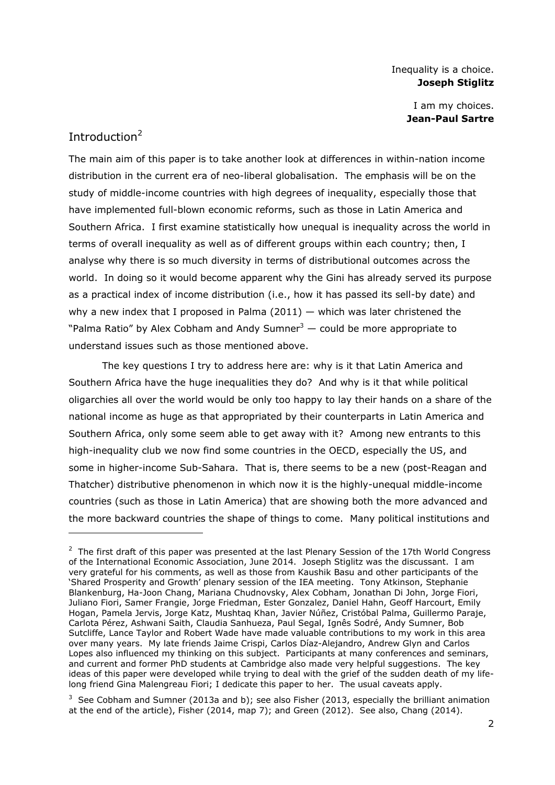I am my choices. **Jean-Paul Sartre** 

# Introduction<sup>2</sup>

The main aim of this paper is to take another look at differences in within-nation income distribution in the current era of neo-liberal globalisation. The emphasis will be on the study of middle-income countries with high degrees of inequality, especially those that have implemented full-blown economic reforms, such as those in Latin America and Southern Africa. I first examine statistically how unequal is inequality across the world in terms of overall inequality as well as of different groups within each country; then, I analyse why there is so much diversity in terms of distributional outcomes across the world. In doing so it would become apparent why the Gini has already served its purpose as a practical index of income distribution (i.e., how it has passed its sell-by date) and why a new index that I proposed in Palma (2011) — which was later christened the "Palma Ratio" by Alex Cobham and Andy Sumner<sup>3</sup> — could be more appropriate to understand issues such as those mentioned above.

The key questions I try to address here are: why is it that Latin America and Southern Africa have the huge inequalities they do? And why is it that while political oligarchies all over the world would be only too happy to lay their hands on a share of the national income as huge as that appropriated by their counterparts in Latin America and Southern Africa, only some seem able to get away with it? Among new entrants to this high-inequality club we now find some countries in the OECD, especially the US, and some in higher-income Sub-Sahara. That is, there seems to be a new (post-Reagan and Thatcher) distributive phenomenon in which now it is the highly-unequal middle-income countries (such as those in Latin America) that are showing *both* the more advanced and the more backward countries the shape of things to come. Many political institutions and

 $2$  The first draft of this paper was presented at the last Plenary Session of the 17th World Congress of the International Economic Association, June 2014. Joseph Stiglitz was the discussant. I am very grateful for his comments, as well as those from Kaushik Basu and other participants of the 'Shared Prosperity and Growth' plenary session of the IEA meeting. Tony Atkinson, Stephanie Blankenburg, Ha-Joon Chang, Mariana Chudnovsky, Alex Cobham, Jonathan Di John, Jorge Fiori, Juliano Fiori, Samer Frangie, Jorge Friedman, Ester Gonzalez, Daniel Hahn, Geoff Harcourt, Emily Hogan, Pamela Jervis, Jorge Katz, Mushtaq Khan, Javier Núñez, Cristóbal Palma, Guillermo Paraje, Carlota Pérez, Ashwani Saith, Claudia Sanhueza, Paul Segal, Ignês Sodré, Andy Sumner, Bob Sutcliffe, Lance Taylor and Robert Wade have made valuable contributions to my work in this area over many years. My late friends Jaime Crispi, Carlos Díaz-Alejandro, Andrew Glyn and Carlos Lopes also influenced my thinking on this subject. Participants at many conferences and seminars, and current and former PhD students at Cambridge also made very helpful suggestions. The key ideas of this paper were developed while trying to deal with the grief of the sudden death of my lifelong friend Gina Malengreau Fiori; I dedicate this paper to her. The usual caveats apply.

<sup>&</sup>lt;sup>3</sup> See Cobham and Sumner (2013a and b); see also Fisher (2013, especially the brilliant animation at the end of the article), Fisher (2014, map 7); and Green (2012). See also, Chang (2014).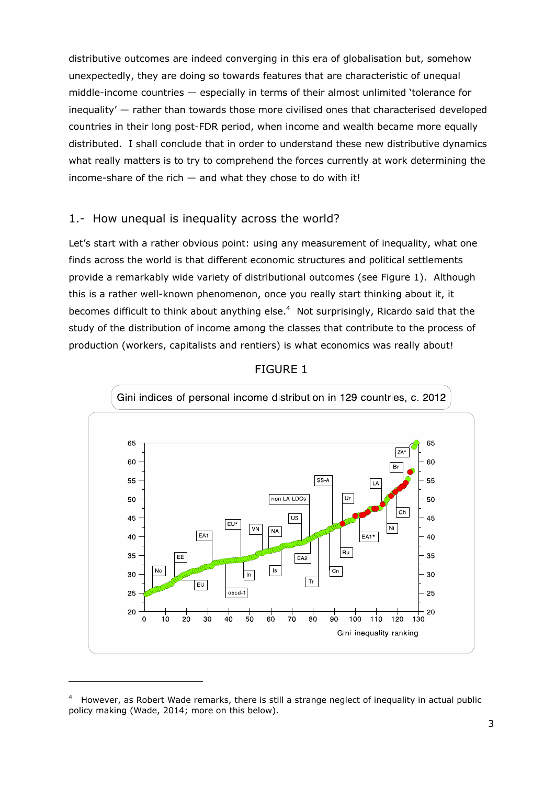distributive outcomes are indeed converging in this era of globalisation but, somehow unexpectedly, they are doing so towards features that are characteristic of unequal middle-income countries — especially in terms of their almost unlimited 'tolerance for inequality' — rather than towards those more civilised ones that characterised developed countries in their long post-FDR period, when income and wealth became more equally distributed. I shall conclude that in order to understand these new distributive dynamics what really matters is to try to comprehend the forces currently at work determining the income-share of the rich  $-$  and what they chose to do with it!

### 1.- How unequal is inequality across the world?

Let's start with a rather obvious point: using any measurement of inequality, what one finds across the world is that different economic structures and political settlements provide a remarkably wide variety of distributional outcomes (see Figure 1). Although this is a rather well-known phenomenon, once you really start thinking about it, it becomes difficult to think about anything else.<sup>4</sup> Not surprisingly, Ricardo said that the study of the distribution of income among the classes that contribute to the process of production (workers, capitalists and rentiers) is what economics was really about!



#### FIGURE 1

<sup>4</sup> However, as Robert Wade remarks, there is still a strange neglect of inequality in *actual* public policy making (Wade, 2014; more on this below).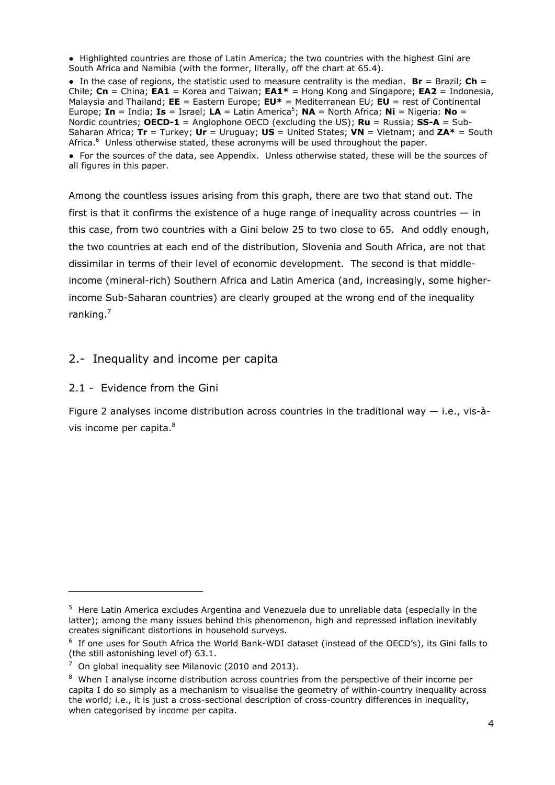● Highlighted countries are those of Latin America; the two countries with the highest Gini are South Africa and Namibia (with the former, literally, off the chart at 65.4).

• In the case of regions, the statistic used to measure centrality is the median. **Br** = Brazil; **Ch** = Chile; **Cn** = China; **EA1** = Korea and Taiwan; **EA1\*** = Hong Kong and Singapore; **EA2** = Indonesia, Malaysia and Thailand; **EE** = Eastern Europe; **EU\*** = Mediterranean EU; **EU** = rest of Continental Europe; **In** = India; **Is** = Israel; **LA** = Latin America<sup>5</sup>; **NA** = North Africa; **Ni** = Nigeria: **No** = Nordic countries; **OECD-1** = Anglophone OECD (excluding the US); **Ru** = Russia; **SS-A** = Sub-Saharan Africa; **Tr** = Turkey; **Ur** = Uruguay; **US** = United States; **VN** = Vietnam; and **ZA\*** = South Africa.<sup>6</sup> Unless otherwise stated, these acronyms will be used throughout the paper.

● For the sources of the data, see Appendix. Unless otherwise stated, these will be the sources of all figures in this paper.

Among the countless issues arising from this graph, there are two that stand out. The first is that it confirms the existence of a huge range of inequality across countries  $-$  in this case, from two countries with a Gini below 25 to two close to 65. And oddly enough, the two countries at each end of the distribution, Slovenia and South Africa, are not that dissimilar in terms of their level of economic development. The second is that middleincome (mineral-rich) Southern Africa and Latin America (and, increasingly, some higherincome Sub-Saharan countries) are clearly grouped at the wrong end of the inequality ranking.<sup>7</sup>

#### 2.- Inequality and income per capita

2.1 - Evidence from the Gini

Figure 2 analyses income distribution across countries in the traditional way  $-$  i.e., vis-àvis income per capita.<sup>8</sup>

<sup>&</sup>lt;sup>5</sup> Here Latin America excludes Argentina and Venezuela due to unreliable data (especially in the latter); among the many issues behind this phenomenon, high and repressed inflation inevitably creates significant distortions in household surveys.

<sup>&</sup>lt;sup>6</sup> If one uses for South Africa the World Bank-WDI dataset (instead of the OECD's), its Gini falls to (the still astonishing level of) 63.1.

 $7$  On global inequality see Milanovic (2010 and 2013).

 $8$  When I analyse income distribution across countries from the perspective of their income per capita I do so simply as a mechanism to visualise the geometry of within-country inequality across the world; i.e., it is just a cross-sectional description of cross-country differences in inequality, when categorised by income per capita.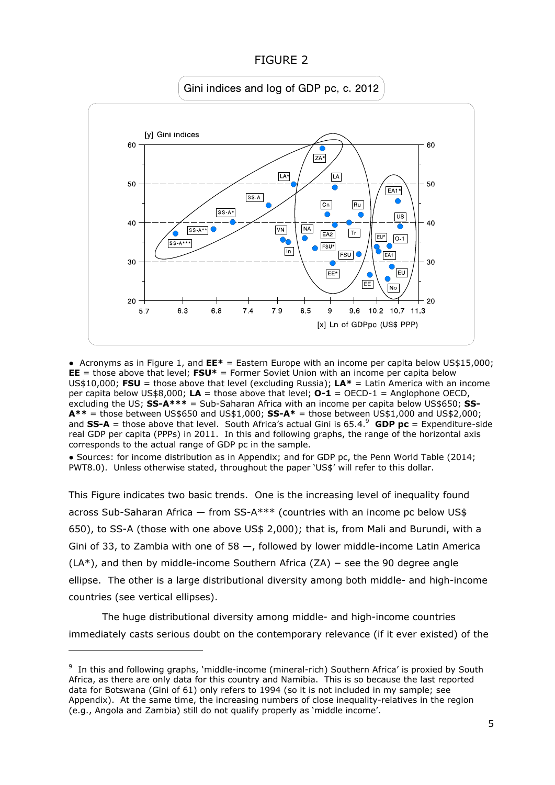# FIGURE 2



● Acronyms as in Figure 1, and **EE\*** = Eastern Europe with an income per capita below US\$15,000; **EE** = those above that level; **FSU\*** = Former Soviet Union with an income per capita below US\$10,000; **FSU** = those above that level (excluding Russia); **LA\*** = Latin America with an income per capita below US\$8,000; **LA** = those above that level; **O-1** = OECD-1 = Anglophone OECD, excluding the US; **SS-A\*\*\*** = Sub-Saharan Africa with an income per capita below US\$650; **SS-** $A^{**}$  = those between US\$650 and US\$1,000;  $SS-A^*$  = those between US\$1,000 and US\$2,000; and SS-A = those above that level. South Africa's actual Gini is 65.4.<sup>9</sup> GDP pc = Expenditure-side real GDP per capita (PPPs) in 2011. In this and following graphs, the range of the horizontal axis corresponds to the actual range of GDP pc in the sample.

● Sources: for income distribution as in Appendix; and for GDP pc, the Penn World Table (2014; PWT8.0). Unless otherwise stated, throughout the paper 'US\$' will refer to this dollar.

This Figure indicates two basic trends. One is the increasing level of inequality found across Sub-Saharan Africa — from SS-A\*\*\* (countries with an income pc below US\$ 650), to SS-A (those with one above US\$ 2,000); that is, from Mali and Burundi, with a Gini of 33, to Zambia with one of  $58 - 1$ , followed by lower middle-income Latin America (LA\*), and then by middle-income Southern Africa (ZA) − see the 90 degree angle ellipse. The other is a large distributional diversity among both middle- and high-income countries (see vertical ellipses).

The huge distributional diversity among middle- and high-income countries immediately casts serious doubt on the contemporary relevance (if it ever existed) of the

<sup>&</sup>lt;sup>9</sup> In this and following graphs, 'middle-income (mineral-rich) Southern Africa' is proxied by South Africa, as there are only data for this country and Namibia. This is so because the last reported data for Botswana (Gini of 61) only refers to 1994 (so it is not included in my sample; see Appendix). At the same time, the increasing numbers of close inequality-relatives in the region (e.g., Angola and Zambia) still do not qualify properly as 'middle income'.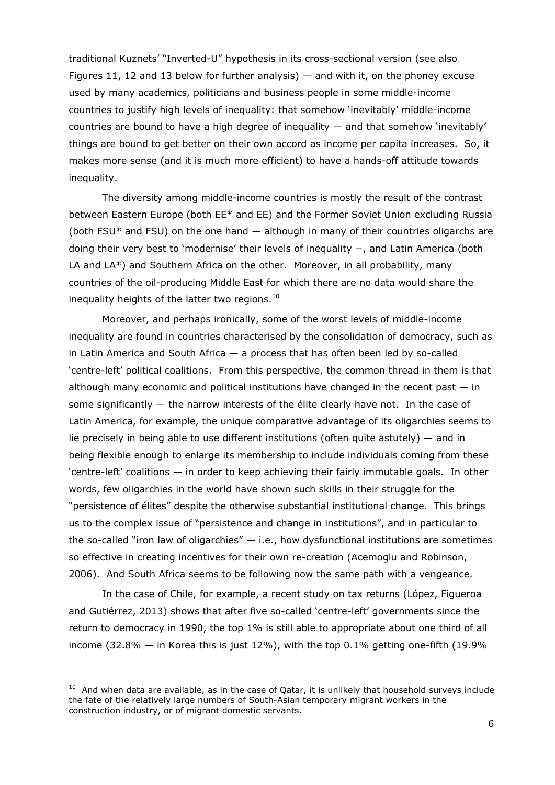traditional Kuznets' "Inverted-U" hypothesis in its cross-sectional version (see also Figures 11, 12 and 13 below for further analysis)  $-$  and with it, on the phoney excuse used by many academics, politicians and business people in some middle-income countries to justify high levels of inequality: that somehow 'inevitably' middle-income countries are bound to have a high degree of inequality — and that somehow 'inevitably' things are bound to get better on their own accord as income per capita increases. So, it makes more sense (and it is much more efficient) to have a hands-off attitude towards inequality.

The diversity among middle-income countries is mostly the result of the contrast between Eastern Europe (both EE\* and EE) and the Former Soviet Union excluding Russia (both FSU $*$  and FSU) on the one hand  $-$  although in many of their countries oligarchs are doing their very best to 'modernise' their levels of inequality −, and Latin America (both LA and LA\*) and Southern Africa on the other. Moreover, in all probability, many countries of the oil-producing Middle East for which there are no data would share the inequality heights of the latter two regions. $^{10}$ 

Moreover, and perhaps ironically, some of the worst levels of middle-income inequality are found in countries characterised by the consolidation of democracy, such as in Latin America and South Africa  $-$  a process that has often been led by so-called 'centre-left' political coalitions. From this perspective, the common thread in them is that although many economic and political institutions have changed in the recent past  $-$  in some significantly — the narrow interests of the élite clearly have not. In the case of Latin America, for example, the unique comparative advantage of its oligarchies seems to lie precisely in being able to use different institutions (often quite astutely)  $-$  and in being flexible enough to enlarge its membership to include individuals coming from these 'centre-left' coalitions — in order to keep achieving their fairly immutable goals. In other words, few oligarchies in the world have shown such skills in their struggle for the "persistence of élites" despite the otherwise substantial institutional change. This brings us to the complex issue of "persistence and change in institutions", and in particular to the so-called "iron law of oligarchies"  $-$  i.e., how dysfunctional institutions are sometimes so effective in creating incentives for their own re-creation (Acemoglu and Robinson, 2006). And South Africa seems to be following now the same path with a vengeance.

In the case of Chile, for example, a recent study on tax returns (López, Figueroa and Gutiérrez, 2013) shows that after five so-called 'centre-left' governments since the return to democracy in 1990, the top 1% is still able to appropriate about one third of all income (32.8% — in Korea this is just 12%), with the top 0.1% getting one-fifth (19.9%

 $10$  And when data are available, as in the case of Oatar, it is unlikely that household surveys include the fate of the relatively large numbers of South-Asian temporary migrant workers in the construction industry, or of migrant domestic servants.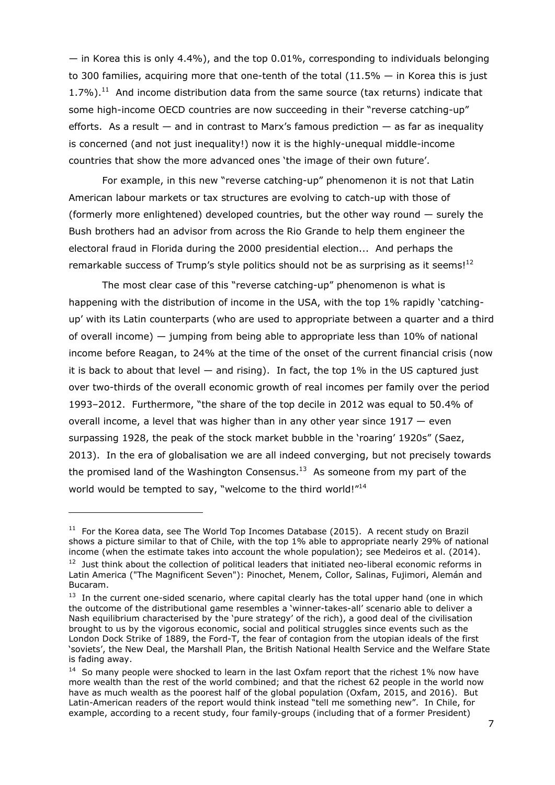$-$  in Korea this is only 4.4%), and the top 0.01%, corresponding to individuals belonging to 300 families, acquiring more that one-tenth of the total  $(11.5\% - in$  Korea this is just  $1.7\%$ ).<sup>11</sup> And income distribution data from the same source (tax returns) indicate that some high-income OECD countries are now succeeding in their "reverse catching-up" efforts. As a result  $-$  and in contrast to Marx's famous prediction  $-$  as far as inequality is concerned (and not just inequality!) now it is the highly-unequal middle-income countries that show the more advanced ones 'the image of their own future'.

For example, in this new "reverse catching-up" phenomenon it is not that Latin American labour markets or tax structures are evolving to catch-up with those of (formerly more enlightened) developed countries, but the other way round — surely the Bush brothers had an advisor from across the Rio Grande to help them engineer the electoral fraud in Florida during the 2000 presidential election... And perhaps the remarkable success of Trump's style politics should not be as surprising as it seems! $^{12}$ 

The most clear case of this "reverse catching-up" phenomenon is what is happening with the distribution of income in the USA, with the top 1% rapidly 'catchingup' with its Latin counterparts (who are used to appropriate between a quarter and a third of overall income) — jumping from being able to appropriate less than 10% of national income before Reagan, to 24% at the time of the onset of the current financial crisis (now it is back to about that level  $-$  and rising). In fact, the top 1% in the US captured just over two-thirds of the overall economic growth of real incomes per family over the period 1993–2012. Furthermore, "the share of the top decile in 2012 was equal to 50.4% of overall income, a level that was higher than in any other year since 1917 — even surpassing 1928, the peak of the stock market bubble in the 'roaring' 1920s" (Saez, 2013). In the era of globalisation we are all indeed converging, but not precisely towards the promised land of the Washington Consensus.<sup>13</sup> As someone from my part of the world would be tempted to say, "welcome to the third world!"<sup>14</sup>

 $11$  For the Korea data, see The World Top Incomes Database (2015). A recent study on Brazil shows a picture similar to that of Chile, with the top 1% able to appropriate nearly 29% of national income (when the estimate takes into account the whole population); see Medeiros et al. (2014). <sup>12</sup> Just think about the collection of political leaders that initiated neo-liberal economic reforms in Latin America ("The Magnificent Seven"): Pinochet, Menem, Collor, Salinas, Fujimori, Alemán and

Bucaram.

 $13$  In the current one-sided scenario, where capital clearly has the total upper hand (one in which the outcome of the distributional game resembles a 'winner-takes-all' scenario able to deliver a Nash equilibrium characterised by the 'pure strategy' of the rich), a good deal of the civilisation brought to us by the vigorous economic, social and political struggles since events such as the London Dock Strike of 1889, the Ford-T, the fear of contagion from the utopian ideals of the first 'soviets', the New Deal, the Marshall Plan, the British National Health Service and the Welfare State is fading away.

 $14$  So many people were shocked to learn in the last Oxfam report that the richest 1% now have more wealth than the rest of the world combined; and that the richest 62 people in the world now have as much wealth as the poorest half of the global population (Oxfam, 2015, and 2016). But Latin-American readers of the report would think instead "tell me something new". In Chile, for example, according to a recent study, four family-groups (including that of a former President)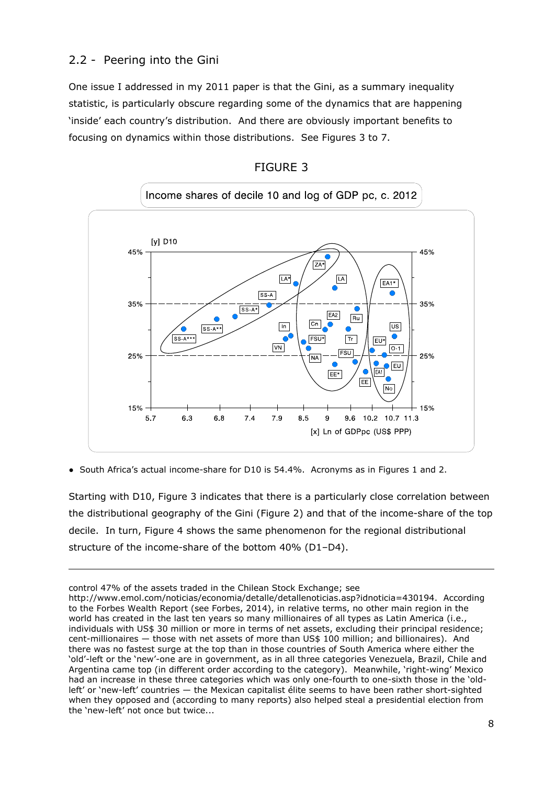# 2.2 - Peering into the Gini

One issue I addressed in my 2011 paper is that the Gini, as a summary inequality statistic, is particularly obscure regarding some of the dynamics that are happening 'inside' each country's distribution. And there are obviously important benefits to focusing on dynamics *within* those distributions. See Figures 3 to 7.

|                     |           |          |         |                           |                            |                 |           | Income shares of decile 10 and log of GDP pc, c. 2012 |     |
|---------------------|-----------|----------|---------|---------------------------|----------------------------|-----------------|-----------|-------------------------------------------------------|-----|
|                     |           |          |         |                           |                            |                 |           |                                                       |     |
|                     |           |          |         |                           |                            |                 |           |                                                       |     |
| [y] D10             |           |          |         |                           |                            |                 |           |                                                       |     |
| 45%                 |           |          |         |                           |                            |                 |           |                                                       | 45% |
|                     |           |          |         |                           |                            | $ZA^*$          |           |                                                       |     |
|                     |           |          |         | $\overline{LA*}$          |                            |                 | LA        | EA1*                                                  |     |
|                     |           |          |         | ssA                       |                            |                 |           |                                                       |     |
| 35%                 |           |          | $SS-A*$ |                           |                            |                 | $\bullet$ |                                                       | 35% |
|                     |           |          |         | $\ln$                     | Cn                         | EA <sub>2</sub> | Ru        | $\overline{US}$                                       |     |
|                     | $SS-A***$ | $SS-A**$ |         | $\mathbf{O}^{\mathbf{O}}$ | $\overline{\bigcirc}$ FSU* |                 | Tr        |                                                       |     |
|                     |           |          |         | VN                        |                            |                 | FSU       | $EU^*$<br>$O-1$                                       |     |
| 25%                 |           |          |         |                           | <b>NA</b>                  |                 |           | $\sqrt{\text{EU}}$                                    | 25% |
|                     |           |          |         |                           |                            | EE*             |           | EA1                                                   |     |
|                     |           |          |         |                           |                            |                 |           | $\boxed{E}$<br>No                                     |     |
|                     |           |          |         |                           |                            |                 |           |                                                       |     |
| $15%$ $\rightarrow$ |           |          |         |                           |                            |                 |           |                                                       | 15% |
| 5.7                 | 6.3       | $6.8\,$  | 7.4     | $\bf 7.9$                 | 8.5                        | 9               | 9.6       | 10.2 10.7 11.3                                        |     |

FIGURE 3

● South Africa's actual income-share for D10 is 54.4%. Acronyms as in Figures 1 and 2.

Starting with D10, Figure 3 indicates that there is a particularly close correlation between the distributional geography of the Gini (Figure 2) and that of the income-share of the top decile. In turn, Figure 4 shows the same phenomenon for the regional distributional structure of the income-share of the bottom 40% (D1–D4).

control 47% of the assets traded in the Chilean Stock Exchange; see

http://www.emol.com/noticias/economia/detalle/detallenoticias.asp?idnoticia=430194. According to the Forbes Wealth Report (see Forbes, 2014), in relative terms, no other main region in the world has created in the last ten years so many millionaires of all types as Latin America (i.e., individuals with US\$ 30 million or more in terms of net assets, excluding their principal residence; cent-millionaires — those with net assets of more than US\$ 100 million; and billionaires). And there was no fastest surge at the top than in those countries of South America where either the 'old'-left or the 'new'-one are in government, as in all three categories Venezuela, Brazil, Chile and Argentina came top (in different order according to the category). Meanwhile, 'right-wing' Mexico had an increase in these three categories which was only one-fourth to one-sixth those in the 'oldleft' or 'new-left' countries — the Mexican capitalist élite seems to have been rather short-sighted when they opposed and (according to many reports) also helped steal a presidential election from the 'new-left' not once but twice...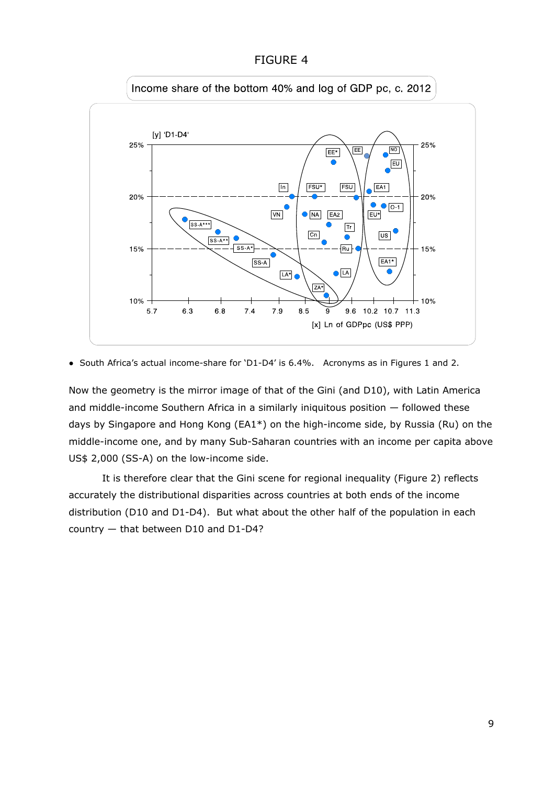#### FIGURE 4



● South Africa's actual income-share for 'D1-D4' is 6.4%. Acronyms as in Figures 1 and 2.

Now the geometry is the mirror image of that of the Gini (and D10), with Latin America and middle-income Southern Africa in a similarly iniquitous position — followed these days by Singapore and Hong Kong (EA1\*) on the high-income side, by Russia (Ru) on the middle-income one, and by many Sub-Saharan countries with an income per capita above US\$ 2,000 (SS-A) on the low-income side.

It is therefore clear that the Gini scene for regional inequality (Figure 2) reflects accurately the distributional disparities across countries at both ends of the income distribution (D10 and D1-D4). But what about *the other half* of the population in each country — that *between* D10 and D1-D4?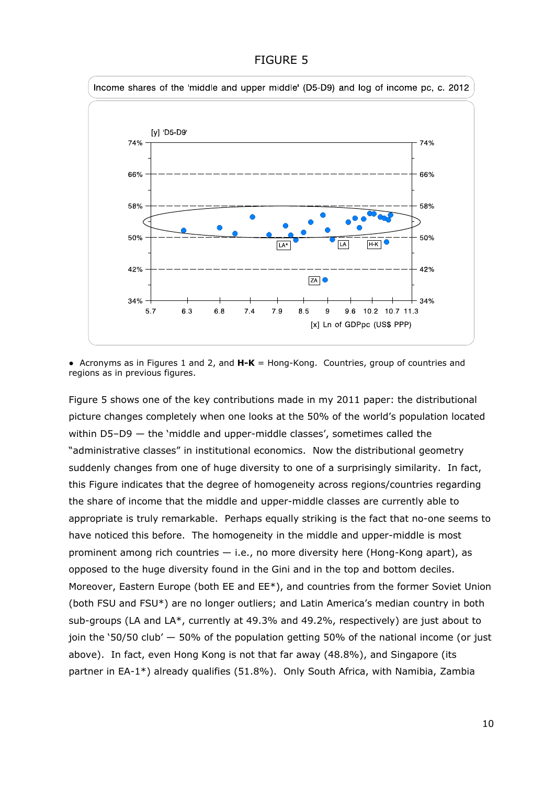#### FIGURE 5



● Acronyms as in Figures 1 and 2, and **H-K** = Hong-Kong. Countries, group of countries and regions as in previous figures.

Figure 5 shows one of the key contributions made in my 2011 paper: the distributional picture changes completely when one looks at the 50% of the world's population located within D5–D9 — the 'middle and upper-middle classes', sometimes called the "administrative classes" in institutional economics. Now the distributional geometry suddenly changes from one of huge diversity to one of a surprisingly similarity. In fact, this Figure indicates that the degree of *homogeneity* across regions/countries regarding the share of income that the middle and upper-middle classes are currently able to appropriate is truly remarkable. Perhaps equally striking is the fact that no-one seems to have noticed this before. The homogeneity in the middle and upper-middle is most prominent among rich countries — i.e., no more diversity here (Hong-Kong apart), as opposed to the huge diversity found in the Gini and in the top and bottom deciles. Moreover, Eastern Europe (both EE and EE\*), and countries from the former Soviet Union (both FSU and FSU\*) are no longer outliers; and Latin America's median country in both sub-groups (LA and LA\*, currently at 49.3% and 49.2%, respectively) are just about to join the '50/50 club' — 50% of the population getting 50% of the national income (or just above). In fact, even Hong Kong is not that far away (48.8%), and Singapore (its partner in EA-1\*) already qualifies (51.8%). Only South Africa, with Namibia, Zambia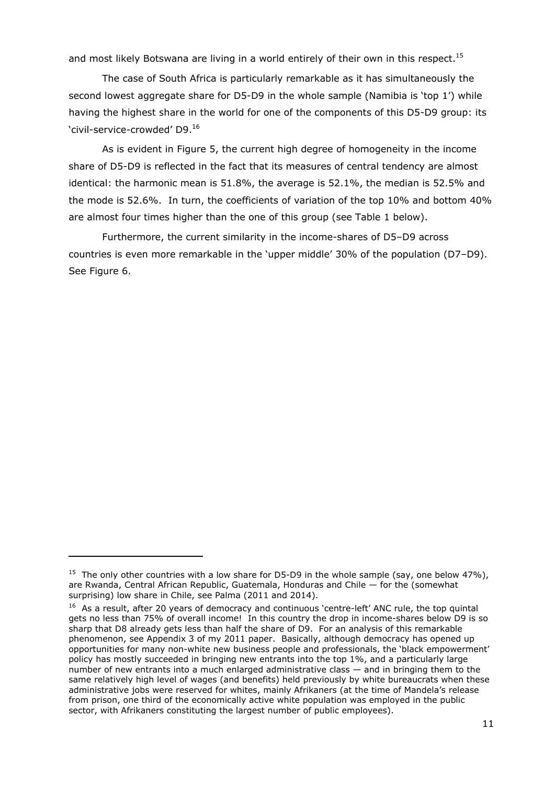and most likely Botswana are living in a world entirely of their own in this respect.<sup>15</sup>

The case of South Africa is particularly remarkable as it has simultaneously the second *lowest* aggregate share for D5-D9 in the whole sample (Namibia is 'top 1') while having the *highest share in the world* for one of the components of this D5-D9 group: its 'civil-service-crowded' D9.*<sup>16</sup>*

As is evident in Figure 5, the current high degree of homogeneity in the income share of D5-D9 is reflected in the fact that its measures of central tendency are almost identical: the harmonic mean is 51.8%, the average is 52.1%, the median is 52.5% and the mode is 52.6%. In turn, the coefficients of variation of the top 10% and bottom 40% are almost four times higher than the one of this group (see Table 1 below).

Furthermore, the current similarity in the income-shares of D5–D9 across countries is even more remarkable in the 'upper middle' 30% of the population (D7–D9). See Figure 6.

<sup>&</sup>lt;sup>15</sup> The only other countries with a low share for D5-D9 in the whole sample (say, one below 47%), are Rwanda, Central African Republic, Guatemala, Honduras and Chile — for the (somewhat surprising) low share in Chile, see Palma (2011 and 2014).

<sup>&</sup>lt;sup>16</sup> As a result, after 20 years of democracy and continuous 'centre-left' ANC rule, the top quintal gets no less than 75% of overall income! In this country the drop in income-shares below D9 is so sharp that D8 already gets less than half the share of D9. For an analysis of this remarkable phenomenon, see Appendix 3 of my 2011 paper. Basically, although democracy has opened up opportunities for many non-white new business people and professionals, the 'black empowerment' policy has mostly succeeded in bringing new entrants into the top 1%, and a particularly large number of new entrants into a much enlarged administrative class — and in bringing them to the same relatively high level of wages (and benefits) held previously by white bureaucrats when these administrative jobs were reserved for whites, mainly Afrikaners (at the time of Mandela's release from prison, one third of the economically active white population was employed in the public sector, with Afrikaners constituting the largest number of public employees).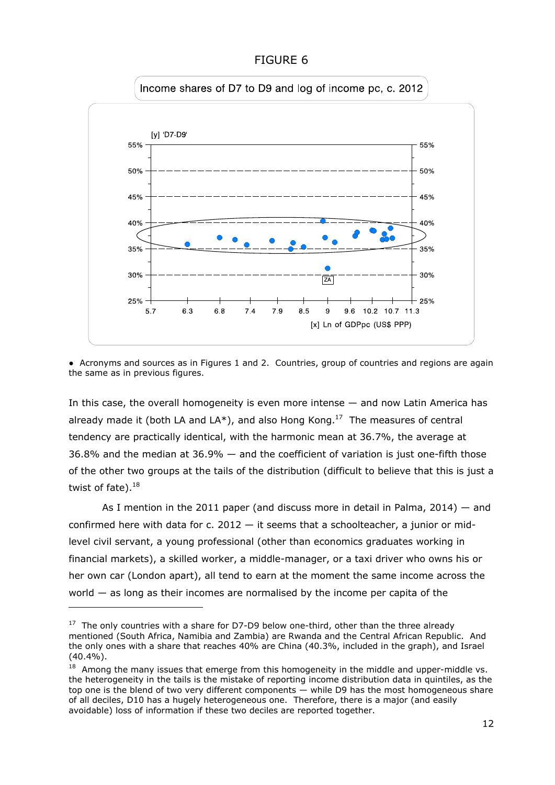#### FIGURE 6



• Acronyms and sources as in Figures 1 and 2. Countries, group of countries and regions are again the same as in previous figures.

In this case, the overall homogeneity is even more intense — and now Latin America has already made it (both LA and LA\*), and also Hong Kong.<sup>17</sup> The measures of central tendency are practically identical, with the harmonic mean at 36.7%, the average at 36.8% and the median at 36.9%  $-$  and the coefficient of variation is just one-fifth those of the other two groups at the tails of the distribution (difficult to believe that this is just a twist of fate). $18$ 

As I mention in the 2011 paper (and discuss more in detail in Palma, 2014) — and confirmed here with data for c. 2012  $-$  it seems that a schoolteacher, a junior or midlevel civil servant, a young professional (other than economics graduates working in financial markets), a skilled worker, a middle-manager, or a taxi driver who owns his or her own car (London apart), all tend to earn at the moment the same income across the world — as long as their incomes are normalised by the income per capita of the

-

 $17$  The only countries with a share for D7-D9 below one-third, other than the three already mentioned (South Africa, Namibia and Zambia) are Rwanda and the Central African Republic. And the only ones with a share that reaches 40% are China (40.3%, included in the graph), and Israel (40.4%).

 $18$  Among the many issues that emerge from this homogeneity in the middle and upper-middle vs. the heterogeneity in the tails is the mistake of reporting income distribution data in quintiles, as the top one is the blend of two very different components — while D9 has the most homogeneous share of all deciles, D10 has a hugely heterogeneous one. Therefore, there is a major (and easily avoidable) loss of information if these two deciles are reported together.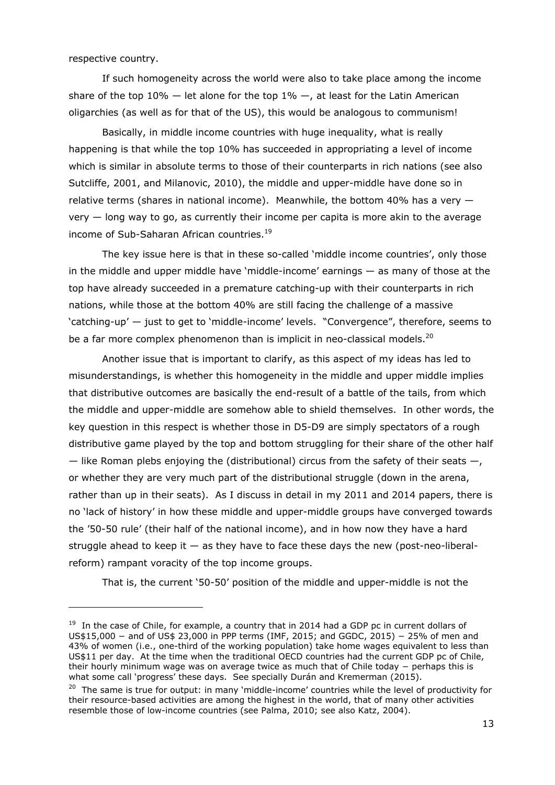respective country.

-

If such homogeneity across the world were also to take place among the income share of the top  $10\%$  – let alone for the top  $1\%$  –, at least for the Latin American oligarchies (as well as for that of the US), this would be analogous to communism!

Basically, in middle income countries with huge inequality, what is really happening is that while the top 10% has succeeded in appropriating a level of income which is similar *in absolute terms* to those of their counterparts in rich nations (see also Sutcliffe, 2001, and Milanovic, 2010), the middle and upper-middle have done so *in relative terms* (shares in national income). Meanwhile, the bottom 40% has a very very — long way to go, as currently their income per capita is more akin to the average income of Sub-Saharan African countries.<sup>19</sup>

The key issue here is that in these so-called 'middle income countries', only those in the middle and upper middle have 'middle-income' earnings  $-$  as many of those at the top have already succeeded in a premature catching-up with their counterparts in rich nations, while those at the bottom 40% are still facing the challenge of a *massive* 'catching-up' — just to get to 'middle-income' levels. "Convergence", therefore, seems to be a far more complex phenomenon than is implicit in neo-classical models.<sup>20</sup>

Another issue that is important to clarify, as this aspect of my ideas has led to misunderstandings, is whether this homogeneity in the middle and upper middle implies that distributive outcomes are basically the end-result of a battle of the tails, from which the middle and upper-middle are somehow able to shield themselves. In other words, the key question in this respect is whether those in D5-D9 are simply spectators of a rough distributive game played by the top and bottom struggling for their share of the other half — like Roman plebs enjoying the (distributional) circus from the safety of their seats  $-$ , or whether they are very much part of the distributional struggle (down in the arena, rather than up in their seats). As I discuss in detail in my 2011 and 2014 papers, there is no 'lack of history' in how these middle and upper-middle groups have converged towards the '50-50 rule' (their half of the national income), and in how now they have a hard struggle ahead to keep it  $-$  as they have to face these days the new (post-neo-liberalreform) rampant voracity of the top income groups.

That is, the current '50-50' position of the middle and upper-middle is not the

 $19$  In the case of Chile, for example, a country that in 2014 had a GDP pc in current dollars of US\$15,000 − and of US\$ 23,000 in PPP terms (IMF, 2015; and GGDC, 2015) − 25% of men and 43% of women (i.e., one-third of the working population) take home wages equivalent to less than US\$11 per day. At the time when the traditional OECD countries had the current GDP pc of Chile, their hourly minimum wage was on average twice as much that of Chile today − perhaps this is what some call 'progress' these days. See specially Durán and Kremerman (2015).

<sup>&</sup>lt;sup>20</sup> The same is true for output: in many 'middle-income' countries while the level of productivity for their resource-based activities are among the highest in the world, that of many other activities resemble those of low-income countries (see Palma, 2010; see also Katz, 2004).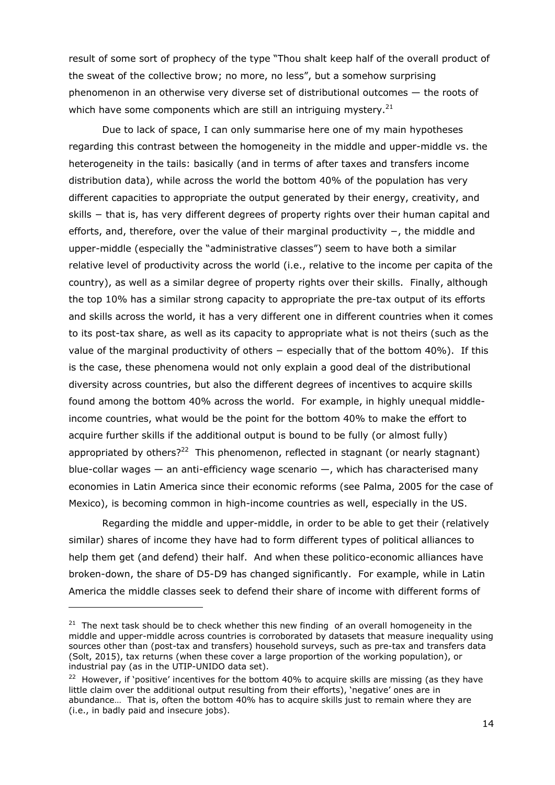result of some sort of prophecy of the type "Thou shalt keep half of the overall product of the sweat of the collective brow; no more, no less", but a somehow surprising phenomenon in an otherwise very diverse set of distributional outcomes — the roots of which have some components which are still an intriguing mystery. $^{21}$ 

Due to lack of space, I can only summarise here one of my main hypotheses regarding this contrast between the homogeneity in the middle and upper-middle vs. the heterogeneity in the tails: basically (and in terms of after taxes and transfers income distribution data), while across the world the bottom 40% of the population has *very* different capacities to appropriate the output generated by their energy, creativity, and skills – that is, has very different degrees of property rights over their human capital and efforts, and, therefore, over the value of their marginal productivity −, the middle and upper-middle (especially the "administrative classes") seem to have both a similar *relative* level of productivity across the world (i.e., relative to the income per capita of the country), as well as a similar degree of property rights over their skills. Finally, although the top 10% has a similar strong capacity to appropriate the pre-tax output of its efforts and skills across the world, it has a very *different* one in different countries when it comes to its post-tax share, as well as its capacity to appropriate what is not theirs (such as the value of the marginal productivity of others – especially that of the bottom 40%). If this is the case, these phenomena would not only explain a good deal of the distributional diversity across countries, but also the different degrees of incentives to acquire skills found among the bottom 40% across the world. For example, in highly unequal middleincome countries, what would be the point for the bottom 40% to make the effort to acquire further skills if the additional output is bound to be fully (or almost fully) appropriated by others?<sup>22</sup> This phenomenon, reflected in stagnant (or nearly stagnant) blue-collar wages  $-$  an anti-efficiency wage scenario  $-$ , which has characterised many economies in Latin America since their economic reforms (see Palma, 2005 for the case of Mexico), is becoming common in high-income countries as well, especially in the US.

Regarding the middle and upper-middle, in order to be able to get their (relatively similar) shares of income they have had to form different types of political alliances to help them get (and defend) their half. And when these politico-economic alliances have broken-down, the share of D5-D9 has changed significantly. For example, while in Latin America the middle classes seek to defend their share of income with different forms of

-

 $21$  The next task should be to check whether this new finding of an overall homogeneity in the middle and upper-middle across countries is corroborated by datasets that measure inequality using sources other than (post-tax and transfers) household surveys, such as pre-tax and transfers data (Solt, 2015), tax returns (when these cover a large proportion of the working population), or industrial pay (as in the UTIP-UNIDO data set).

<sup>&</sup>lt;sup>22</sup> However, if 'positive' incentives for the bottom 40% to acquire skills are missing (as they have little claim over the additional output resulting from their efforts), 'negative' ones are in abundance… That is, often the bottom 40% has to acquire skills just to remain where they are (i.e., in badly paid and insecure jobs).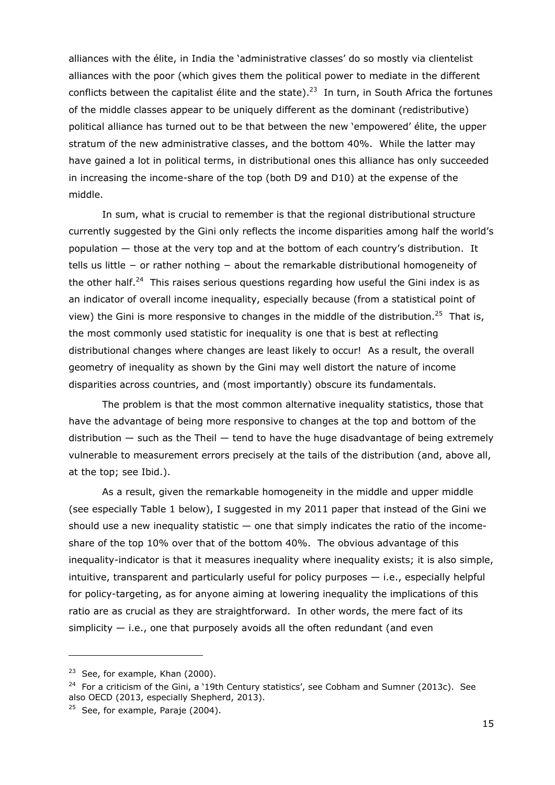alliances with the élite, in India the 'administrative classes' do so mostly via clientelist alliances with the poor (which gives them the political power to mediate in the different conflicts between the capitalist élite and the state).<sup>23</sup> In turn, in South Africa the fortunes of the middle classes appear to be uniquely different as the dominant (redistributive) political alliance has turned out to be that between the new 'empowered' élite, the upper stratum of the new administrative classes, and the bottom 40%. While the latter may have gained a lot in political terms, in distributional ones this alliance has only succeeded in increasing the income-share of the top (both D9 and D10) at the expense of the middle.

In sum, what is crucial to remember is that the regional distributional structure currently suggested by the Gini only reflects the income disparities among half the world's population — those at the very top and at the bottom of each country's distribution. It tells us little − or rather nothing − about the remarkable distributional homogeneity of the other half.<sup>24</sup> This raises serious questions regarding how useful the Gini index is as an indicator of overall income inequality, especially because (from a statistical point of view) the Gini is more responsive to changes in the middle of the distribution.<sup>25</sup> That is, the most commonly used statistic for inequality is one that is best at reflecting distributional changes where changes are least likely to occur! As a result, the overall geometry of inequality as shown by the Gini may well distort the nature of income disparities across countries, and (most importantly) obscure its fundamentals.

The problem is that the most common alternative inequality statistics, those that have the advantage of being more responsive to changes at the top and bottom of the distribution  $-$  such as the Theil  $-$  tend to have the huge disadvantage of being extremely vulnerable to measurement errors precisely at the tails of the distribution (and, above all, at the top; see Ibid.).

As a result, given the remarkable homogeneity in the middle and upper middle (see especially Table 1 below), I suggested in my 2011 paper that instead of the Gini we should use a new inequality statistic  $-$  one that simply indicates the ratio of the incomeshare of the top 10% over that of the bottom 40%. The obvious advantage of this inequality-indicator is that it measures inequality where inequality exists; it is also simple, intuitive, transparent and particularly useful for policy purposes — i.e., especially helpful for policy-targeting, as for anyone aiming at lowering inequality the implications of this ratio are as crucial as they are straightforward. In other words, the mere fact of its  $simplify - i.e.,$  one that purposely avoids all the often redundant (and even

-

<sup>&</sup>lt;sup>23</sup> See, for example, Khan (2000).

<sup>&</sup>lt;sup>24</sup> For a criticism of the Gini, a '19th Century statistics', see Cobham and Sumner (2013c). See also OECD (2013, especially Shepherd, 2013).

 $25$  See, for example, Paraie (2004).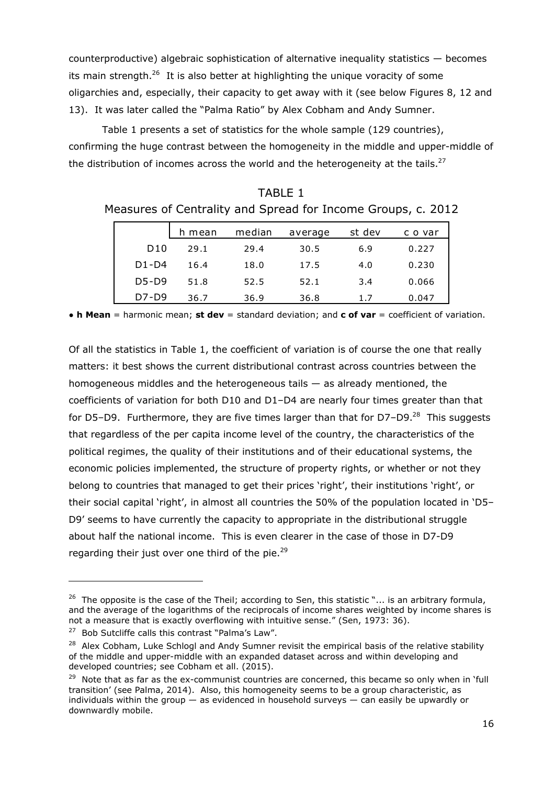counterproductive) algebraic sophistication of alternative inequality statistics — becomes its main strength. $26$  It is also better at highlighting the unique voracity of some oligarchies and, especially, their capacity to get away with it (see below Figures 8, 12 and 13). It was later called the "Palma Ratio" by Alex Cobham and Andy Sumner.

Table 1 presents a set of statistics for the whole sample (129 countries), confirming the huge contrast between the homogeneity in the middle and upper-middle of the distribution of incomes across the world and the heterogeneity at the tails. $^{27}$ 

TABLE 1 Measures of Centrality and Spread for Income Groups, c. 2012

|                 | h mean | median | average | st dev | c o var |
|-----------------|--------|--------|---------|--------|---------|
| D <sub>10</sub> | 29.1   | 29.4   | 30.5    | 6.9    | 0.227   |
| $D1-D4$         | 16.4   | 18.0   | 17.5    | 4.0    | 0.230   |
| $D5-D9$         | 51.8   | 52.5   | 52.1    | 3.4    | 0.066   |
| D7-D9           | 36.7   | 36.9   | 36.8    | 1.7    | 0.047   |

● **h Mean** = harmonic mean; **st dev** = standard deviation; and **c of var** = coefficient of variation.

Of all the statistics in Table 1, the coefficient of variation is of course the one that really matters: it best shows the current distributional contrast across countries between the homogeneous middles and the heterogeneous tails — as already mentioned, the coefficients of variation for both D10 and D1–D4 are nearly four times greater than that for D5-D9. Furthermore, they are five times larger than that for D7-D9. $^{28}$  This suggests that regardless of the per capita income level of the country, the characteristics of the political regimes, the quality of their institutions and of their educational systems, the economic policies implemented, the structure of property rights, or whether or not they belong to countries that managed to get their prices 'right', their institutions 'right', or their social capital 'right', in almost all countries the 50% of the population located in 'D5– D9' seems to have currently the capacity to appropriate in the distributional struggle about half the national income. This is even clearer in the case of those in D7-D9 regarding their just over one third of the pie. $^{29}$ 

<sup>&</sup>lt;sup>26</sup> The opposite is the case of the Theil; according to Sen, this statistic "... is an arbitrary formula, and the average of the logarithms of the reciprocals of income shares weighted by income shares is not a measure that is exactly overflowing with intuitive sense." (Sen, 1973: 36).

<sup>&</sup>lt;sup>27</sup> Bob Sutcliffe calls this contrast "Palma's Law".

<sup>&</sup>lt;sup>28</sup> Alex Cobham, Luke Schlogl and Andy Sumner revisit the empirical basis of the relative stability of the middle and upper-middle with an expanded dataset across and within developing and developed countries; see Cobham et all. (2015).

<sup>&</sup>lt;sup>29</sup> Note that as far as the ex-communist countries are concerned, this became so only when in 'full transition' (see Palma, 2014). Also, this homogeneity seems to be *a group characteristic*, as individuals within the group  $-$  as evidenced in household surveys  $-$  can easily be upwardly or downwardly mobile.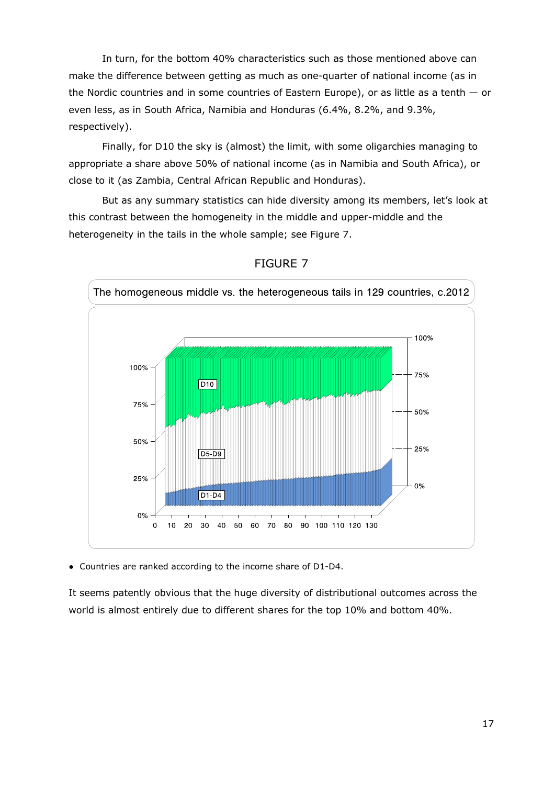In turn, for the bottom 40% characteristics such as those mentioned above can make the difference between getting as much as one-quarter of national income (as in the Nordic countries and in some countries of Eastern Europe), or as little as a tenth  $-$  or even less, as in South Africa, Namibia and Honduras (6.4%, 8.2%, and 9.3%, respectively).

Finally, for D10 the sky is (almost) the limit, with some oligarchies managing to appropriate a share above 50% of national income (as in Namibia and South Africa), or close to it (as Zambia, Central African Republic and Honduras).

But as any summary statistics can hide diversity among its members, let's look at this contrast between the homogeneity in the middle and upper-middle and the heterogeneity in the tails in the whole sample; see Figure 7.



FIGURE 7

● Countries are ranked according to the income share of D1-D4.

It seems patently obvious that the huge diversity of distributional outcomes across the world is almost entirely due to different shares for the top 10% and bottom 40%.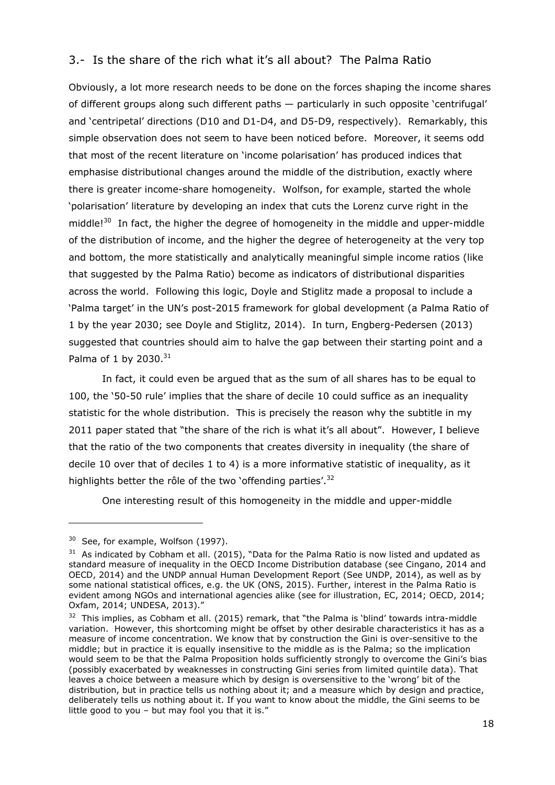# 3.- Is the share of the rich what it's all about? The Palma Ratio

Obviously, a lot more research needs to be done on the forces shaping the income shares of different groups along such different paths — particularly in such opposite 'centrifugal' and 'centripetal' directions (D10 and D1-D4, and D5-D9, respectively). Remarkably, this simple observation does not seem to have been noticed before. Moreover, it seems odd that most of the recent literature on 'income polarisation' has produced indices that emphasise distributional changes around the middle of the distribution, exactly where there is greater income-share homogeneity. Wolfson, for example, started the whole 'polarisation' literature by developing an index that cuts the Lorenz curve right in the  $mid^{30}$  In fact, the higher the degree of homogeneity in the middle and upper-middle of the distribution of income, and the higher the degree of heterogeneity at the very top and bottom, the more statistically and analytically meaningful simple income ratios (like that suggested by the Palma Ratio) become as indicators of distributional disparities across the world. Following this logic, Doyle and Stiglitz made a proposal to include a 'Palma target' in the UN's post-2015 framework for global development (a Palma Ratio of 1 by the year 2030; see Doyle and Stiglitz, 2014). In turn, Engberg-Pedersen (2013) suggested that countries should aim to halve the gap between their starting point and a Palma of 1 by  $2030.^{31}$ 

In fact, it could even be argued that as the sum of all shares has to be equal to 100, the '50-50 rule' implies that the share of decile 10 could suffice as an inequality statistic for the whole distribution. This is precisely the reason why the subtitle in my 2011 paper stated that "the share of the rich is what it's all about". However, I believe that the ratio of the two components that creates diversity in inequality (the share of decile 10 over that of deciles 1 to 4) is a more informative statistic of inequality, as it highlights better the rôle of the two 'offending parties'.<sup>32</sup>

One interesting result of this homogeneity in the middle and upper-middle

<sup>&</sup>lt;sup>30</sup> See, for example, Wolfson (1997).

 $31$  As indicated by Cobham et all. (2015), "Data for the Palma Ratio is now listed and updated as standard measure of inequality in the OECD Income Distribution database (see Cingano, 2014 and OECD, 2014) and the UNDP annual Human Development Report (See UNDP, 2014), as well as by some national statistical offices, e.g. the UK (ONS, 2015). Further, interest in the Palma Ratio is evident among NGOs and international agencies alike (see for illustration, EC, 2014; OECD, 2014; Oxfam, 2014; UNDESA, 2013)."

 $32$  This implies, as Cobham et all. (2015) remark, that "the Palma is 'blind' towards intra-middle variation. However, this shortcoming might be offset by other desirable characteristics it has as a measure of income concentration. We know that by construction the Gini is over-sensitive to the middle; but in practice it is equally insensitive to the middle as is the Palma; so the implication would seem to be that the Palma Proposition holds sufficiently strongly to overcome the Gini's bias (possibly exacerbated by weaknesses in constructing Gini series from limited quintile data). That leaves a choice between a measure which by design is oversensitive to the 'wrong' bit of the distribution, but in practice tells us nothing about it; and a measure which by design and practice, deliberately tells us nothing about it. If you want to know about the middle, the Gini seems to be little good to you – but may fool you that it is."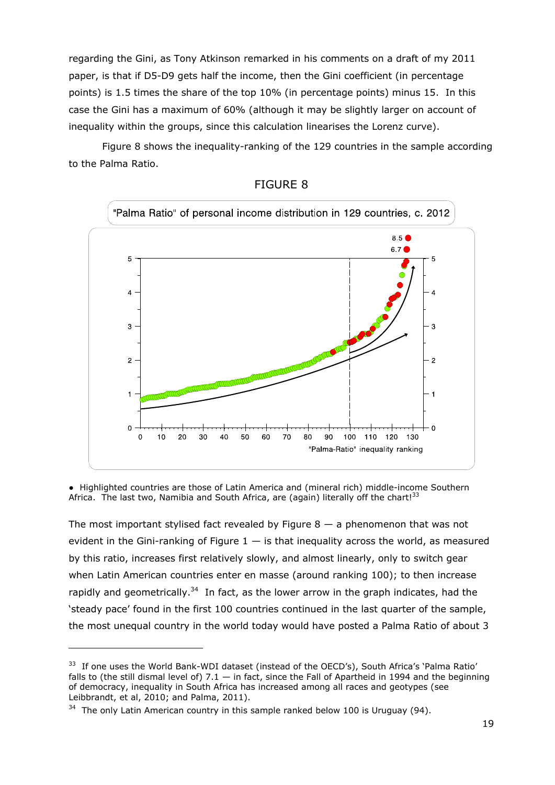regarding the Gini, as Tony Atkinson remarked in his comments on a draft of my 2011 paper, is that if D5-D9 gets half the income, then the Gini coefficient (in percentage points) is 1.5 times the share of the top 10% (in percentage points) minus 15. In this case the Gini has a maximum of 60% (although it may be slightly larger on account of inequality within the groups, since this calculation linearises the Lorenz curve).

Figure 8 shows the inequality-ranking of the 129 countries in the sample according to the Palma Ratio.





● Highlighted countries are those of Latin America and (mineral rich) middle-income Southern Africa. The last two, Namibia and South Africa, are (again) literally off the chart!<sup>33</sup>

The most important stylised fact revealed by Figure  $8 - a$  phenomenon that was not evident in the Gini-ranking of Figure  $1 -$  is that inequality across the world, as measured by this ratio, increases first relatively slowly, and almost linearly, only to switch gear when Latin American countries enter *en masse* (around ranking 100); to then increase rapidly and geometrically.<sup>34</sup> In fact, as the lower arrow in the graph indicates, had the 'steady pace' found in the first 100 countries continued in the last quarter of the sample, the most unequal country in the world today would have posted a Palma Ratio of about 3

<sup>&</sup>lt;sup>33</sup> If one uses the World Bank-WDI dataset (instead of the OECD's), South Africa's 'Palma Ratio' falls to (the still dismal level of)  $7.1 -$  in fact, since the Fall of Apartheid in 1994 and the beginning of democracy, inequality in South Africa has increased among *all* races and geotypes (see Leibbrandt, et al, 2010; and Palma, 2011).

 $34$  The only Latin American country in this sample ranked below 100 is Uruguay (94).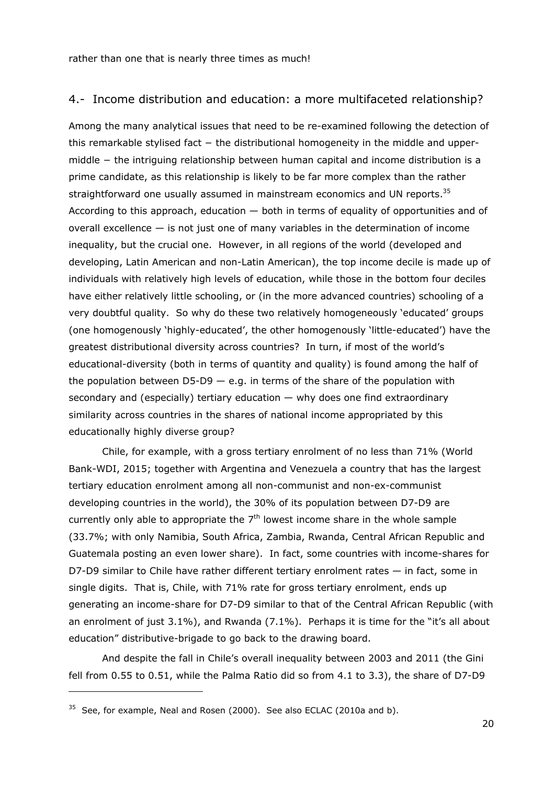rather than one that is nearly three times as much!

#### 4.- Income distribution and education: a more multifaceted relationship?

Among the many analytical issues that need to be re-examined following the detection of this remarkable stylised fact − the distributional homogeneity in the middle and uppermiddle − the intriguing relationship between human capital and income distribution is a prime candidate, as this relationship is likely to be far more complex than the rather straightforward one usually assumed in mainstream economics and UN reports.<sup>35</sup> According to this approach, education — both in terms of equality of opportunities and of overall excellence — is not just one of many variables in the determination of income inequality, but *the* crucial one. However, in all regions of the world (developed and developing, Latin American and non-Latin American), the top income decile is made up of individuals with relatively high levels of education, while those in the bottom four deciles have either relatively little schooling, or (in the more advanced countries) schooling of a very doubtful quality. So why do these two relatively *homogeneously* 'educated' groups (one homogenously 'highly-educated', the other homogenously 'little-educated') have the greatest distributional *diversity* across countries? In turn, if most of the world's educational-diversity (both in terms of quantity and quality) is found among the half of the population between  $D5-D9 - e.g.$  in terms of the share of the population with secondary and (especially) tertiary education  $-$  why does one find extraordinary *similarity* across countries in the shares of national income appropriated by this educationally highly *diverse* group?

 Chile, for example, with a gross tertiary enrolment of no less than 71% (World Bank-WDI, 2015; together with Argentina and Venezuela a country that has the largest tertiary education enrolment among all non-communist and non-ex-communist developing countries in the world), the 30% of its population between D7-D9 are currently only able to appropriate the 7th *lowest* income share in the whole sample (33.7%; with only Namibia, South Africa, Zambia, Rwanda, Central African Republic and Guatemala posting an even lower share). In fact, some countries with income-shares for D7-D9 similar to Chile have rather different tertiary enrolment rates — in fact, some in single digits. That is, Chile, with 71% rate for gross tertiary enrolment, ends up generating an income-share for D7-D9 similar to that of the Central African Republic (with an enrolment of just 3.1%), and Rwanda (7.1%). Perhaps it is time for the "it's all about education" distributive-brigade to go back to the drawing board.

And despite the fall in Chile's overall inequality between 2003 and 2011 (the Gini fell from 0.55 to 0.51, while the Palma Ratio did so from 4.1 to 3.3), the share of D7-D9

 $35$  See, for example, Neal and Rosen (2000). See also ECLAC (2010a and b).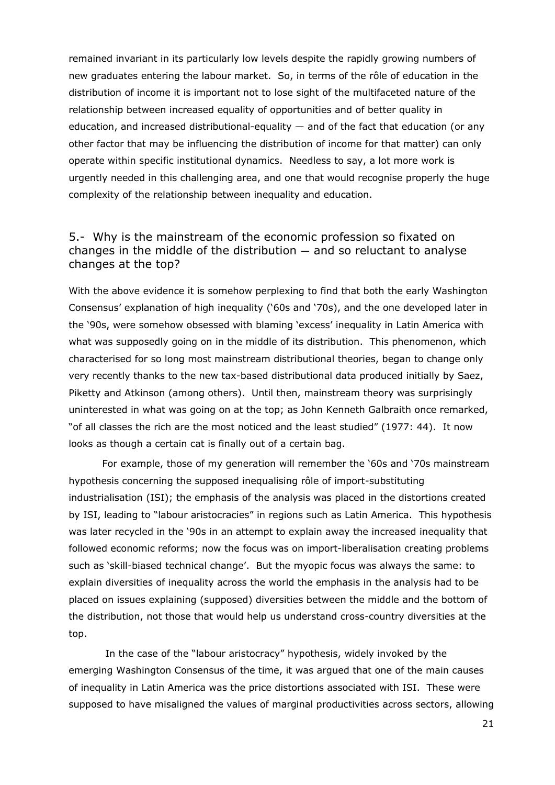remained invariant in its particularly low levels despite the rapidly growing numbers of new graduates entering the labour market. So, in terms of the rôle of education in the distribution of income it is important not to lose sight of the multifaceted nature of the relationship between increased equality of opportunities and of better quality in education, and increased distributional-equality  $-$  and of the fact that education (or any other factor that may be influencing the distribution of income for that matter) can only operate *within specific institutional dynamics*. Needless to say, a lot more work is urgently needed in this challenging area, and one that would recognise properly the huge complexity of the relationship between inequality and education.

# 5.- Why is the mainstream of the economic profession so fixated on changes in the middle of the distribution — and so reluctant to analyse changes at the top?

With the above evidence it is somehow perplexing to find that both the early Washington Consensus' explanation of high inequality ('60s and '70s), and the one developed later in the '90s, were somehow obsessed with blaming 'excess' inequality in Latin America with what was supposedly going on in the *middle* of its distribution. This phenomenon, which characterised for so long most mainstream distributional theories, began to change only very recently thanks to the new tax-based distributional data produced initially by Saez, Piketty and Atkinson (among others). Until then, mainstream theory was surprisingly uninterested in what was going on at the top; as John Kenneth Galbraith once remarked, "of all classes the rich are the most noticed and the least studied" (1977: 44). It now looks as though a certain cat is finally out of a certain bag.

For example, those of my generation will remember the '60s and '70s mainstream hypothesis concerning the supposed inequalising rôle of import-substituting industrialisation (ISI); the emphasis of the analysis was placed in the distortions created by ISI, leading to "labour aristocracies" in regions such as Latin America. This hypothesis was later recycled in the '90s in an attempt to explain away the increased inequality that followed economic reforms; now the focus was on import-liberalisation creating problems such as 'skill-biased technical change'. But the myopic focus was always the same: to explain diversities of inequality across the world the emphasis in the analysis had to be placed on issues explaining (supposed) diversities between the middle and the bottom of the distribution, not those that would help us understand cross-country diversities at the top.

 In the case of the "labour aristocracy" hypothesis, widely invoked by the emerging Washington Consensus of the time, it was argued that one of the main causes of inequality in Latin America was the price distortions associated with ISI. These were supposed to have misaligned the values of marginal productivities across sectors, allowing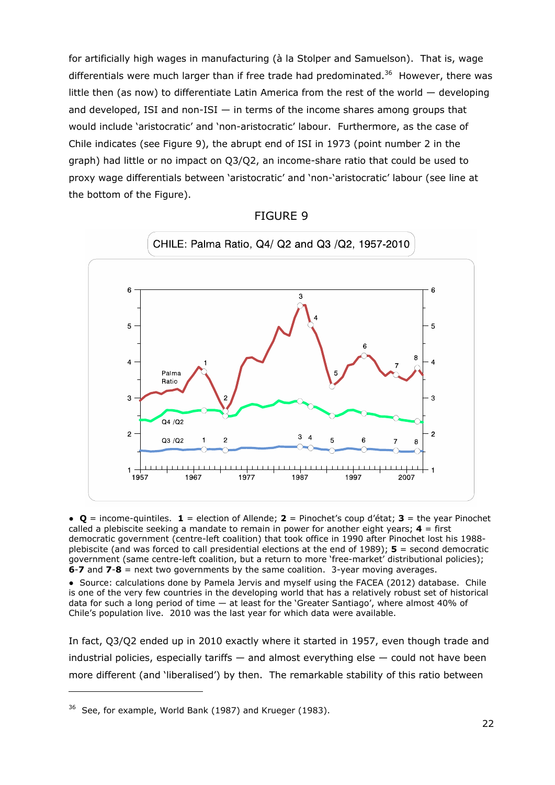for artificially high wages in manufacturing (à la Stolper and Samuelson). That is, wage differentials were much larger than if free trade had predominated.<sup>36</sup> However, there was little then (as now) to differentiate Latin America from the rest of the world  $-$  developing and developed, ISI and non-ISI  $-$  in terms of the income shares among groups that would include 'aristocratic' and 'non-aristocratic' labour. Furthermore, as the case of Chile indicates (see Figure 9), the abrupt end of ISI in 1973 (point number 2 in the graph) had little or no impact on Q3/Q2, an income-share ratio that could be used to proxy wage differentials between 'aristocratic' and 'non-'aristocratic' labour (see line at the bottom of the Figure).

| <b>FIGURE 9</b> |
|-----------------|
|                 |



● **Q** = income-quintiles. **1** = election of Allende; **2** = Pinochet's coup d'état; **3** = the year Pinochet called a plebiscite seeking a mandate to remain in power for another eight years; **4** = first democratic government (centre-left coalition) that took office in 1990 after Pinochet lost his 1988 plebiscite (and was forced to call presidential elections at the end of 1989); **5** = second democratic government (same centre-left coalition, but a return to more 'free-market' distributional policies); **6**-**7** and **7**-**8** = next two governments by the same coalition. 3-year moving averages.

● Source: calculations done by Pamela Jervis and myself using the FACEA (2012) database. Chile is one of the very few countries in the developing world that has a relatively robust set of historical data for such a long period of time — at least for the 'Greater Santiago', where almost 40% of Chile's population live. 2010 was the last year for which data were available.

In fact, Q3/Q2 ended up in 2010 exactly where it started in 1957, even though trade and industrial policies, especially tariffs  $-$  and almost everything else  $-$  could not have been more different (and 'liberalised') by then. The remarkable stability of this ratio between

<sup>&</sup>lt;sup>36</sup> See, for example, World Bank (1987) and Krueger (1983).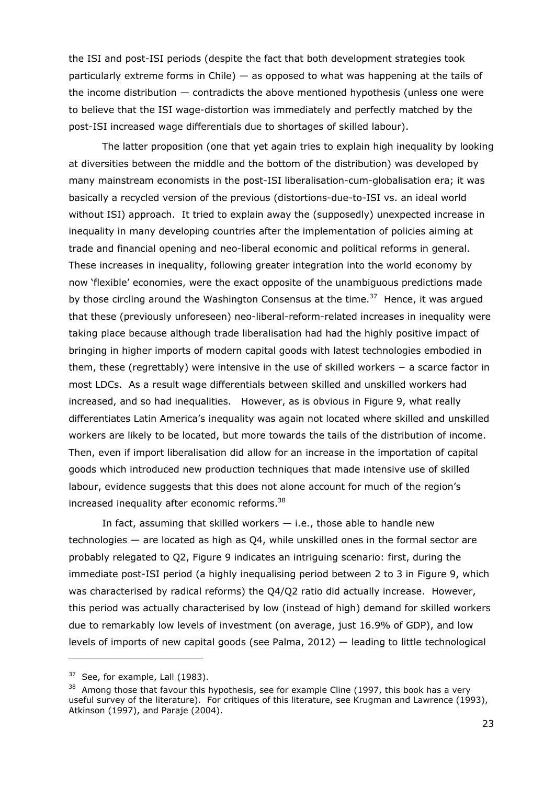the ISI and post-ISI periods (despite the fact that both development strategies took particularly extreme forms in Chile)  $-$  as opposed to what was happening at the tails of the income distribution  $-$  contradicts the above mentioned hypothesis (unless one were to believe that the ISI wage-distortion was immediately and perfectly matched by the post-ISI increased wage differentials due to shortages of skilled labour).

The latter proposition (one that yet again tries to explain high inequality by looking at diversities between the middle and the bottom of the distribution) was developed by many mainstream economists in the post-ISI liberalisation-cum-globalisation era; it was basically a recycled version of the previous (distortions-due-to-ISI vs. an ideal world without ISI) approach. It tried to explain away the (supposedly) unexpected increase in inequality in many developing countries after the implementation of policies aiming at trade and financial opening and neo-liberal economic and political reforms in general. These increases in inequality, following greater integration into the world economy by now 'flexible' economies, were the exact opposite of the unambiguous predictions made by those circling around the Washington Consensus at the time.<sup>37</sup> Hence, it was argued that these (previously unforeseen) neo-liberal-reform-related increases in inequality were taking place because although trade liberalisation had had the highly positive impact of bringing in higher imports of modern capital goods with latest technologies embodied in them, these (regrettably) were intensive in the use of skilled workers − a scarce factor in most LDCs. As a result wage differentials between skilled and unskilled workers had increased, and so had inequalities. However, as is obvious in Figure 9, what really differentiates Latin America's inequality was again not located where skilled and unskilled workers are likely to be located, but more towards the tails of the distribution of income. Then, even if import liberalisation did allow for an increase in the importation of capital goods which introduced new production techniques that made intensive use of skilled labour, evidence suggests that this does not alone account for much of the region's increased inequality after economic reforms.<sup>38</sup>

In fact, assuming that skilled workers  $-$  i.e., those able to handle new technologies — are located as high as Q4, while unskilled ones in the formal sector are probably relegated to Q2, Figure 9 indicates an intriguing scenario: first, during the immediate post-ISI period (a highly inequalising period between 2 to 3 in Figure 9, which was characterised by radical reforms) the Q4/Q2 ratio did actually increase. However, this period was actually characterised by low (instead of high) demand for skilled workers due to remarkably low levels of investment (on average, just 16.9% of GDP), and low levels of imports of new capital goods (see Palma, 2012) — leading to little technological

-

<sup>&</sup>lt;sup>37</sup> See, for example, Lall (1983).

 $38$  Among those that favour this hypothesis, see for example Cline (1997, this book has a very useful survey of the literature). For critiques of this literature, see Krugman and Lawrence (1993), Atkinson (1997), and Paraje (2004).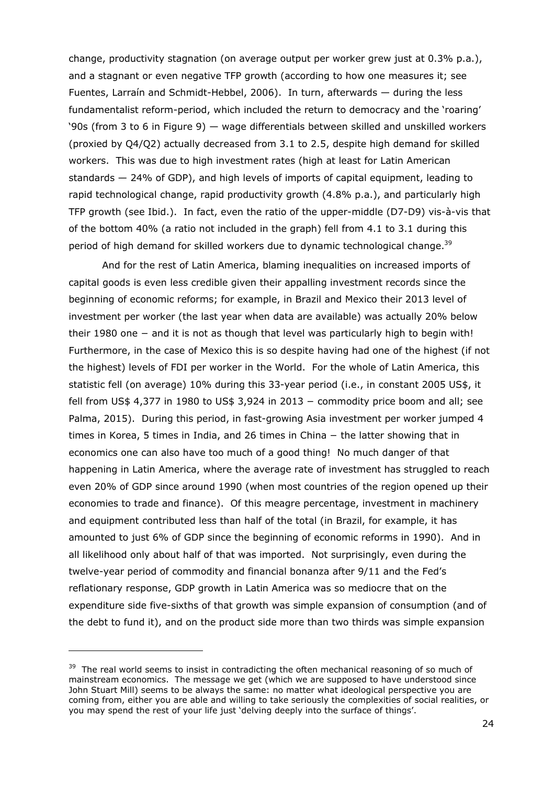change, productivity stagnation (on average output per worker grew just at 0.3% p.a.), and a stagnant or even negative TFP growth (according to how one measures it; see Fuentes, Larraín and Schmidt-Hebbel, 2006). In turn, afterwards — during the less fundamentalist reform-period, which included the return to democracy and the 'roaring' '90s (from 3 to 6 in Figure 9) — wage differentials between skilled and unskilled workers (proxied by Q4/Q2) actually *decreased* from 3.1 to 2.5, despite high demand for skilled workers. This was due to high investment rates (high at least for Latin American standards — 24% of GDP), and high levels of imports of capital equipment, leading to rapid technological change, rapid productivity growth (4.8% p.a.), and particularly high TFP growth (see Ibid.). In fact, even the ratio of the upper-middle (D7-D9) vis-à-vis that of the bottom 40% (a ratio not included in the graph) *fell* from 4.1 to 3.1 during this period of high demand for skilled workers due to dynamic technological change.<sup>39</sup>

 And for the rest of Latin America, blaming inequalities on increased imports of capital goods is even less credible given their appalling investment records since the beginning of economic reforms; for example, in Brazil and Mexico their 2013 level of investment per worker (the last year when data are available) was actually 20% below their 1980 one − and it is not as though that level was particularly high to begin with! Furthermore, in the case of Mexico this is so despite having had one of the highest (if not the highest) levels of FDI per worker in the World. For the whole of Latin America, this statistic fell (on average) 10% during this 33-year period (i.e., in constant 2005 US\$, it fell from US\$ 4,377 in 1980 to US\$ 3,924 in 2013 – commodity price boom and all; see Palma, 2015). During this period, in fast-growing Asia investment per worker jumped 4 times in Korea, 5 times in India, and 26 times in China − the latter showing that in economics one can also have too much of a good thing! No much danger of that happening in Latin America, where the average rate of investment has struggled to reach even 20% of GDP since around 1990 (when most countries of the region opened up their economies to trade and finance). Of this meagre percentage, investment in machinery and equipment contributed less than half of the total (in Brazil, for example, it has amounted to just 6% of GDP since the beginning of economic reforms in 1990). And in all likelihood only about half of that was imported. Not surprisingly, even during the twelve-year period of commodity and financial bonanza after 9/11 and the Fed's reflationary response, GDP growth in Latin America was so mediocre that on the expenditure side five-sixths of that growth was simple expansion of consumption (and of the debt to fund it), and on the product side more than two thirds was simple expansion

<sup>&</sup>lt;sup>39</sup> The real world seems to insist in contradicting the often mechanical reasoning of so much of mainstream economics. The message we get (which we are supposed to have understood since John Stuart Mill) seems to be always the same: no matter what ideological perspective you are coming from, either you are able and willing to take seriously the complexities of social realities, or you may spend the rest of your life just 'delving deeply into the surface of things'.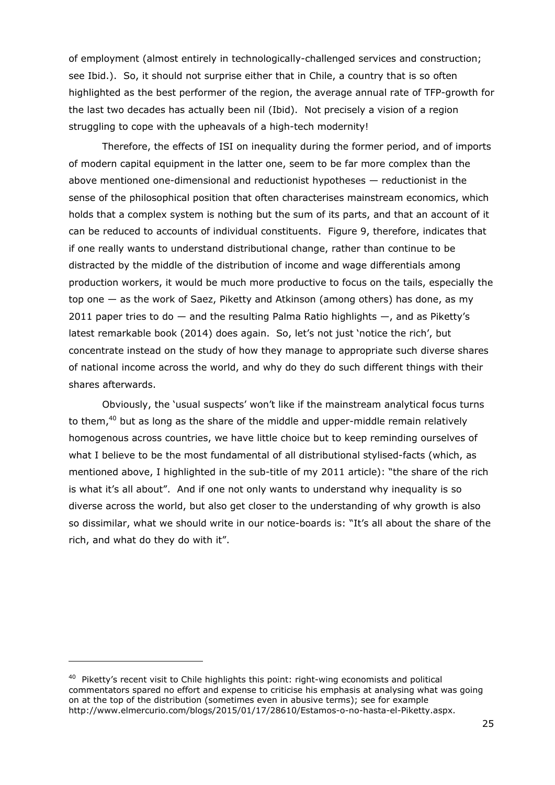of employment (almost entirely in technologically-challenged services and construction; see Ibid.). So, it should not surprise either that in Chile, a country that is so often highlighted as the best performer of the region, the average annual rate of TFP-growth for the last two decades has actually been nil (Ibid). Not precisely a vision of a region struggling to cope with the upheavals of a high-tech modernity!

Therefore, the effects of ISI on inequality during the former period, and of imports of modern capital equipment in the latter one, seem to be far more complex than the above mentioned one-dimensional and reductionist hypotheses — reductionist in the sense of the philosophical position that often characterises mainstream economics, which holds that a complex system is nothing but the sum of its parts, and that an account of it can be reduced to accounts of individual constituents. Figure 9, therefore, indicates that if one really wants to understand distributional change, rather than continue to be distracted by the middle of the distribution of income and wage differentials among production workers, it would be much more productive to focus on the tails, especially the top one — as the work of Saez, Piketty and Atkinson (among others) has done, as my 2011 paper tries to do  $-$  and the resulting Palma Ratio highlights  $-$ , and as Piketty's latest remarkable book (2014) does again. So, let's not just 'notice the rich', but concentrate instead on the study of how they manage to appropriate such diverse shares of national income across the world, and why do they do such different things with their shares afterwards.

 Obviously, the 'usual suspects' won't like if the mainstream analytical focus turns to them,<sup>40</sup> but as long as the share of the middle and upper-middle remain relatively homogenous across countries, we have little choice but to keep reminding ourselves of what I believe to be the most fundamental of all distributional stylised-facts (which, as mentioned above, I highlighted in the sub-title of my 2011 article): "the share of the rich is what it's all about". And if one not only wants to understand why inequality is so diverse across the world, but also get closer to the understanding of why growth is also so dissimilar, what we should write in our notice-boards is: "It's all about the share of the rich, and what do they do with it".

-

<sup>&</sup>lt;sup>40</sup> Piketty's recent visit to Chile highlights this point: right-wing economists and political commentators spared no effort and expense to criticise his emphasis at analysing what was going on at the top of the distribution (sometimes even in abusive terms); see for example http://www.elmercurio.com/blogs/2015/01/17/28610/Estamos-o-no-hasta-el-Piketty.aspx.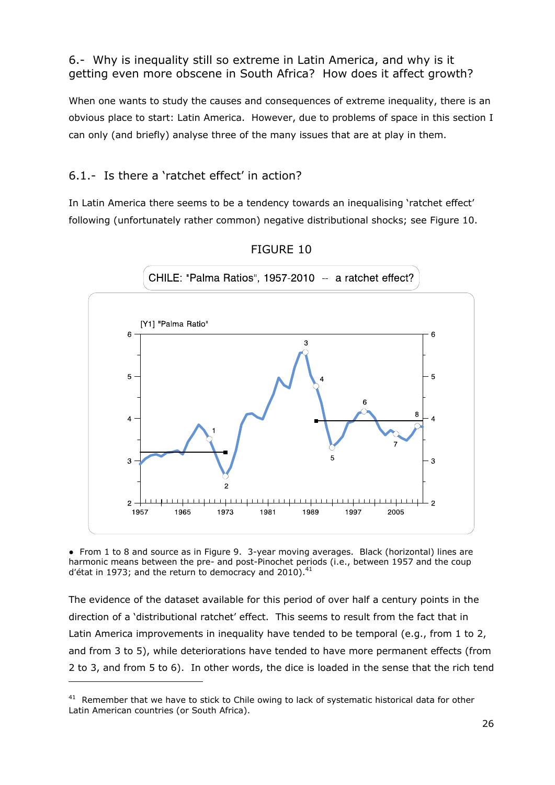6.- Why is inequality still so extreme in Latin America, and why is it getting even more obscene in South Africa? How does it affect growth?

When one wants to study the causes and consequences of extreme inequality, there is an obvious place to start: Latin America. However, due to problems of space in this section I can only (and briefly) analyse three of the many issues that are at play in them.

# 6.1.- Is there a 'ratchet effect' in action?

In Latin America there seems to be a tendency towards an inequalising 'ratchet effect' following (unfortunately rather common) negative distributional shocks; see Figure 10.





● From 1 to 8 and source as in Figure 9. 3-year moving averages. Black (horizontal) lines are harmonic means between the pre- and post-Pinochet periods (i.e., between 1957 and the *coup d'état* in 1973; and the return to democracy and 2010).<sup>41</sup>

The evidence of the dataset available for this period of over half a century points in the direction of a 'distributional ratchet' effect. This seems to result from the fact that in Latin America improvements in inequality have tended to be temporal (e.g., from 1 to 2, and from 3 to 5), while deteriorations have tended to have more permanent effects (from 2 to 3, and from 5 to 6). In other words, the dice is loaded in the sense that the rich tend

 $41$  Remember that we have to stick to Chile owing to lack of systematic historical data for other Latin American countries (or South Africa).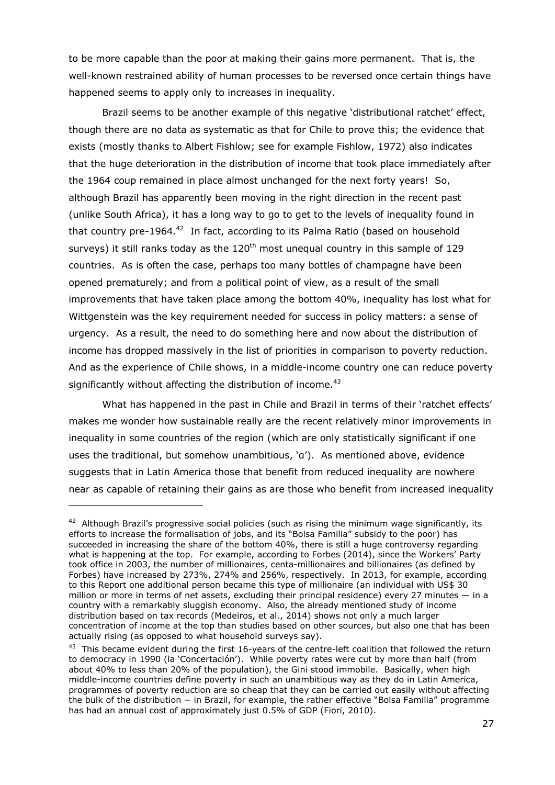to be more capable than the poor at making their gains more permanent. That is, the well-known restrained ability of human processes to be reversed once certain things have happened seems to apply only to increases in inequality.

Brazil seems to be another example of this negative 'distributional ratchet' effect, though there are no data as systematic as that for Chile to prove this; the evidence that exists (mostly thanks to Albert Fishlow; see for example Fishlow, 1972) also indicates that the huge deterioration in the distribution of income that took place immediately after the 1964 coup remained in place almost unchanged for the next forty years! So, although Brazil has apparently been moving in the right direction in the recent past (unlike South Africa), it has a long way to go to get to the levels of inequality found in that country pre-1964. $42$  In fact, according to its Palma Ratio (based on household surveys) it still ranks today as the  $120<sup>th</sup>$  most unequal country in this sample of 129 countries. As is often the case, perhaps too many bottles of champagne have been opened prematurely; and from a political point of view, as a result of the small improvements that have taken place among the bottom 40%, inequality has lost what for Wittgenstein was the key requirement needed for success in policy matters: a sense of urgency. As a result, the need to do something here and now about the distribution of income has dropped massively in the list of priorities in comparison to poverty reduction. And as the experience of Chile shows, in a middle-income country one can reduce poverty significantly without affecting the distribution of income.<sup>43</sup>

What has happened in the past in Chile and Brazil in terms of their 'ratchet effects' makes me wonder how sustainable really are the recent relatively minor improvements in inequality in some countries of the region (which are only statistically significant if one uses the traditional, but somehow unambitious, 'α'). As mentioned above, evidence suggests that in Latin America those that benefit from reduced inequality are nowhere near as capable of retaining their gains as are those who benefit from increased inequality

 $42$  Although Brazil's progressive social policies (such as rising the minimum wage significantly, its efforts to increase the formalisation of jobs, and its "Bolsa Familia" subsidy to the poor) has succeeded in increasing the share of the bottom 40%, there is still a huge controversy regarding what is happening at the top. For example, according to Forbes (2014), since the Workers' Party took office in 2003, the number of millionaires, centa-millionaires and billionaires (as defined by Forbes) have increased by 273%, 274% and 256%, respectively. In 2013, for example, according to this Report one additional person became this type of millionaire (an individual with US\$ 30 million or more in terms of net assets, excluding their principal residence) every 27 minutes — in a country with a remarkably sluggish economy. Also, the already mentioned study of income distribution based on tax records (Medeiros, et al., 2014) shows not only a much larger concentration of income at the top than studies based on other sources, but also one that has been actually rising (as opposed to what household surveys say).

<sup>&</sup>lt;sup>43</sup> This became evident during the first 16-years of the centre-left coalition that followed the return to democracy in 1990 (la 'Concertación'). While poverty rates were cut by more than half (from about 40% to less than 20% of the population), the Gini stood immobile. Basically, when high middle-income countries define poverty in such an unambitious way as they do in Latin America, programmes of poverty reduction are so cheap that they can be carried out easily without affecting the bulk of the distribution − in Brazil, for example, the rather effective "Bolsa Familia" programme has had an annual cost of approximately just 0.5% of GDP (Fiori, 2010).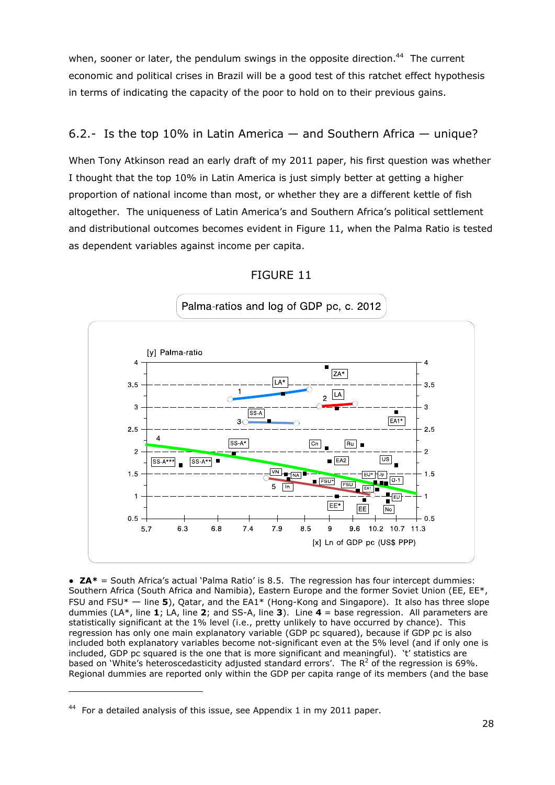when, sooner or later, the pendulum swings in the opposite direction.<sup>44</sup> The current economic and political crises in Brazil will be a good test of this ratchet effect hypothesis in terms of indicating the capacity of the poor to hold on to their previous gains.

# 6.2.- Is the top 10% in Latin America — and Southern Africa — unique?

When Tony Atkinson read an early draft of my 2011 paper, his first question was whether I thought that the top 10% in Latin America is just simply better at getting a higher proportion of national income than most, or whether they are a different kettle of fish altogether. The uniqueness of Latin America's and Southern Africa's political settlement and distributional outcomes becomes evident in Figure 11, when the Palma Ratio is tested as dependent variables against income per capita.



# FIGURE 11

● **ZA\*** = South Africa's actual 'Palma Ratio' is 8.5. The regression has four intercept dummies: Southern Africa (South Africa and Namibia), Eastern Europe and the former Soviet Union (EE, EE\*, FSU and FSU\* — line **5**), Qatar, and the EA1\* (Hong-Kong and Singapore). It also has three slope dummies (LA\*, line **1**; LA, line **2**; and SS-A, line **3**). Line **4** = base regression. All parameters are statistically significant at the 1% level (i.e., pretty unlikely to have occurred by chance). This regression has only one main explanatory variable (GDP pc squared), because if GDP pc is also included both explanatory variables become not-significant even at the 5% level (and if only one is included, GDP pc squared is the one that is more significant and meaningful). 't' statistics are based on 'White's heteroscedasticity adjusted standard errors'. The  $R^2$  of the regression is 69%. Regional dummies are reported only within the GDP per capita range of its members (and the base

 $44$  For a detailed analysis of this issue, see Appendix 1 in my 2011 paper.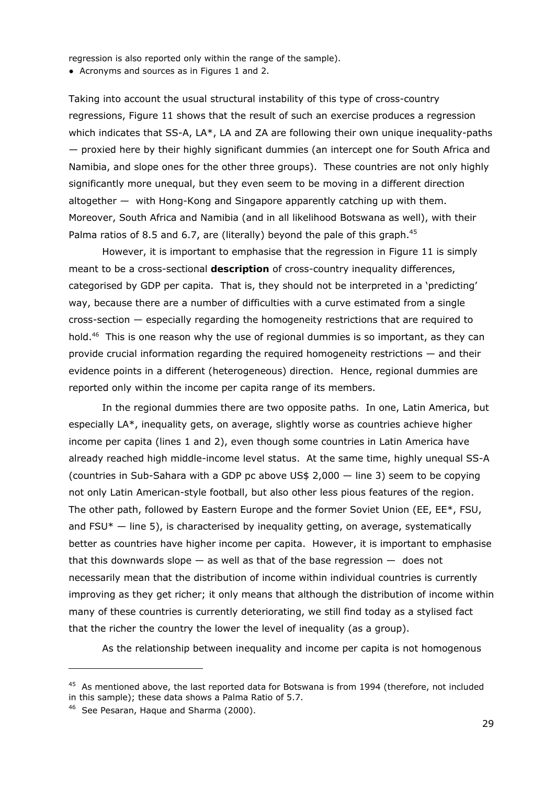regression is also reported only within the range of the sample).

● Acronyms and sources as in Figures 1 and 2.

Taking into account the usual structural instability of this type of cross-country regressions, Figure 11 shows that the result of such an exercise produces a regression which indicates that SS-A, LA\*, LA and ZA are following their own unique inequality-paths — proxied here by their highly significant dummies (an intercept one for South Africa and Namibia, and slope ones for the other three groups). These countries are not only highly significantly more unequal, but they even seem to be moving in a different direction altogether — with Hong-Kong and Singapore apparently catching up with them. Moreover, South Africa and Namibia (and in all likelihood Botswana as well), with their Palma ratios of 8.5 and 6.7, are (literally) beyond the pale of this graph.<sup>45</sup>

However, it is important to emphasise that the regression in Figure 11 is simply meant to be a cross-sectional *description* of cross-country inequality differences, categorised by GDP per capita. That is, they should not be interpreted in a 'predicting' way, because there are a number of difficulties with a curve estimated from a single cross-section — especially regarding the homogeneity restrictions that are required to hold.<sup>46</sup> This is one reason why the use of regional dummies is so important, as they can provide crucial information regarding the required homogeneity restrictions — and their evidence points in a different (heterogeneous) direction. Hence, regional dummies are reported only within the income per capita range of its members.

In the regional dummies there are two opposite paths. In one, Latin America, but especially LA\*, inequality gets, on average, slightly worse as countries achieve higher income per capita (lines 1 and 2), even though some countries in Latin America have already reached high middle-income level status. At the same time, highly unequal SS-A (countries in Sub-Sahara with a GDP pc above US\$ 2,000 — line 3) seem to be copying not only Latin American-style football, but also other less pious features of the region. The other path, followed by Eastern Europe and the former Soviet Union (EE, EE\*, FSU, and  $FSU^*$  — line 5), is characterised by inequality getting, on average, systematically better as countries have higher income per capita. However, it is important to emphasise that this downwards slope  $-$  as well as that of the base regression  $-$  does not necessarily mean that the distribution of income within *individual* countries is currently improving as they get richer; it only means that although the distribution of income within many of these countries is currently deteriorating, we still find today as a stylised fact that the richer the country the lower the level of inequality (as a group).

As the relationship between inequality and income per capita is not homogenous

 $45$  As mentioned above, the last reported data for Botswana is from 1994 (therefore, not included in this sample); these data shows a Palma Ratio of 5.7.

<sup>&</sup>lt;sup>46</sup> See Pesaran, Haque and Sharma (2000).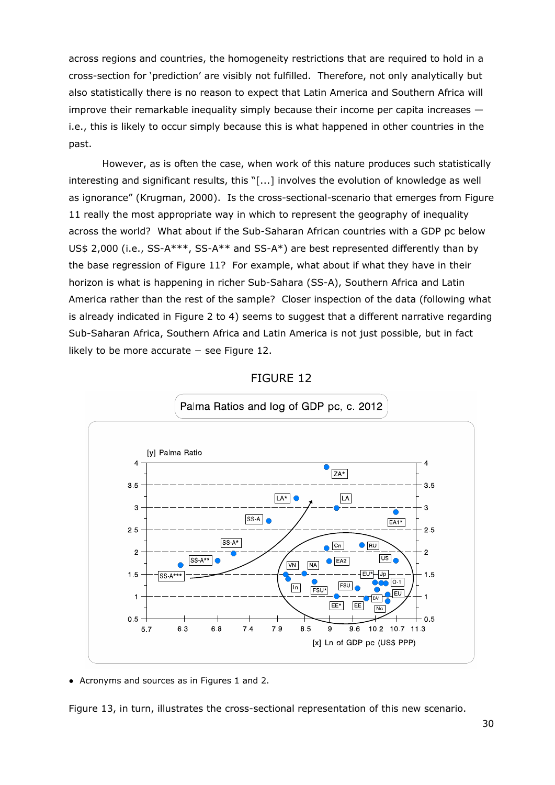across regions and countries, the homogeneity restrictions that are required to hold in a cross-section for 'prediction' are visibly not fulfilled. Therefore, not only analytically but also statistically there is no reason to expect that Latin America and Southern Africa will improve their remarkable inequality simply because their income per capita increases  $$ i.e., this is likely to occur simply because this is what happened in other countries in the past.

However, as is often the case, when work of this nature produces such statistically interesting and significant results, this "[...] involves the evolution of knowledge as well as ignorance" (Krugman, 2000). Is the cross-sectional-scenario that emerges from Figure 11 really the most appropriate way in which to represent the geography of inequality across the world? What about if the Sub-Saharan African countries with a GDP pc below US\$ 2,000 (i.e., SS-A\*\*\*, SS-A\*\* and SS-A\*) are best represented differently than by the base regression of Figure 11? For example, what about if what they have in their horizon is what is happening in richer Sub-Sahara (SS-A), Southern Africa and Latin America rather than the rest of the sample? Closer inspection of the data (following what is already indicated in Figure 2 to 4) seems to suggest that a different narrative regarding Sub-Saharan Africa, Southern Africa and Latin America is not just possible, but in fact likely to be more accurate − see Figure 12.





● Acronyms and sources as in Figures 1 and 2.

Figure 13, in turn, illustrates the cross-sectional representation of this new scenario.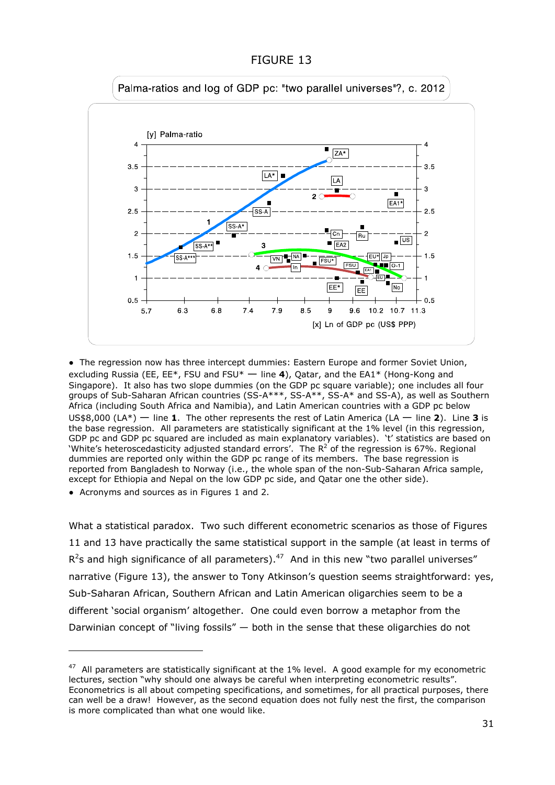#### FIGURE 13



• The regression now has three intercept dummies: Eastern Europe and former Soviet Union, excluding Russia (EE, EE\*, FSU and FSU\* — line **4**), Qatar, and the EA1\* (Hong-Kong and Singapore). It also has two slope dummies (on the GDP pc square variable); one includes all four groups of Sub-Saharan African countries (SS-A\*\*\*, SS-A\*\*, SS-A\* and SS-A), as well as Southern Africa (including South Africa and Namibia), and Latin American countries with a GDP pc below US\$8,000 (LA\*) — line **1**. The other represents the rest of Latin America (LA — line **2**). Line **3** is the base regression. All parameters are statistically significant at the 1% level (in this regression, GDP pc and GDP pc squared are included as main explanatory variables). 't' statistics are based on 'White's heteroscedasticity adjusted standard errors'. The  $R^2$  of the regression is 67%. Regional dummies are reported only within the GDP pc range of its members. The base regression is reported from Bangladesh to Norway (i.e., the whole span of the non-Sub-Saharan Africa sample, except for Ethiopia and Nepal on the low GDP pc side, and Qatar one the other side).

● Acronyms and sources as in Figures 1 and 2.

1

What a statistical paradox. Two such different econometric scenarios as those of Figures 11 and 13 have practically the same statistical support in the sample (at least in terms of  $R<sup>2</sup>s$  and high significance of all parameters).<sup>47</sup> And in this new "two parallel universes" narrative (Figure 13), the answer to Tony Atkinson's question seems straightforward: yes, Sub-Saharan African, Southern African and Latin American oligarchies seem to be a different 'social organism' altogether. One could even borrow a metaphor from the Darwinian concept of "living fossils" — both in the sense that these oligarchies do not

 $47$  All parameters are statistically significant at the 1% level. A good example for my econometric lectures, section "why should one always be careful when interpreting econometric results". Econometrics is all about competing specifications, and sometimes, for all practical purposes, there can well be a draw! However, as the second equation does not fully nest the first, the comparison is more complicated than what one would like.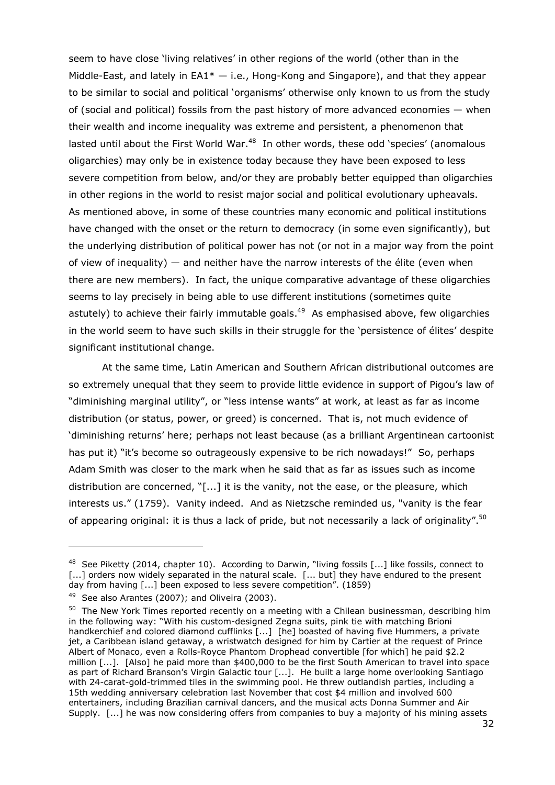seem to have close 'living relatives' in other regions of the world (other than in the Middle-East, and lately in  $E41^* - i.e.,$  Hong-Kong and Singapore), and that they appear to be similar to social and political 'organisms' otherwise only known to us from the study of (social and political) fossils from the past history of more advanced economies — when their wealth and income inequality was extreme and persistent, a phenomenon that lasted until about the First World War.*<sup>48</sup>* In other words, these odd 'species' (anomalous oligarchies) may only be in existence today because they have been exposed to less severe competition from below, and/or they are probably better equipped than oligarchies in other regions in the world to resist major social and political evolutionary upheavals. As mentioned above, in some of these countries many economic and political institutions have changed with the onset or the return to democracy (in some even significantly), but the underlying distribution of political power has not (or not in a major way from the point of view of inequality) — and neither have the narrow interests of the élite (even when there are new members). In fact, the unique comparative advantage of these oligarchies seems to lay precisely in being able to use different institutions (sometimes quite astutely) to achieve their fairly immutable goals.*<sup>49</sup>* As emphasised above, few oligarchies in the world seem to have such skills in their struggle for the 'persistence of élites' despite significant institutional change.

At the same time, Latin American and Southern African distributional outcomes are so extremely unequal that they seem to provide little evidence in support of Pigou's law of "diminishing marginal utility", or "less intense wants" at work, at least as far as income distribution (or status, power, or greed) is concerned. That is, not much evidence of 'diminishing returns' here; perhaps not least because (as a brilliant Argentinean cartoonist has put it) "it's become so outrageously expensive to be rich nowadays!" So, perhaps Adam Smith was closer to the mark when he said that as far as issues such as income distribution are concerned, "[...] it is the vanity, not the ease, or the pleasure, which interests us." (1759). Vanity indeed. And as Nietzsche reminded us, "vanity is the fear of appearing original: it is thus a lack of pride, but not necessarily a lack of originality".*<sup>50</sup>*

<sup>48</sup> See Piketty (2014, chapter 10). According to Darwin, "living fossils [...] like fossils, connect to [...] orders now widely separated in the natural scale. [... but] they have endured to the present day from having [...] been exposed to less severe competition". (1859)

 $49$  See also Arantes (2007); and Oliveira (2003).

<sup>50</sup> *The New York Times* reported recently on a meeting with a Chilean businessman, describing him in the following way: "With his custom-designed Zegna suits, pink tie with matching Brioni handkerchief and colored diamond cufflinks [...] [he] boasted of having five Hummers, a private jet, a Caribbean island getaway, a wristwatch designed for him by Cartier at the request of Prince Albert of Monaco, even a Rolls-Royce Phantom Drophead convertible [for which] he paid \$2.2 million [...]. [Also] he paid more than \$400,000 to be the first South American to travel into space as part of Richard Branson's Virgin Galactic tour [...]. He built a large home overlooking Santiago with 24-carat-gold-trimmed tiles in the swimming pool. He threw outlandish parties, including a 15th wedding anniversary celebration last November that cost \$4 million and involved 600 entertainers, including Brazilian carnival dancers, and the musical acts Donna Summer and Air Supply. [...] he was now considering offers from companies to buy a majority of his mining assets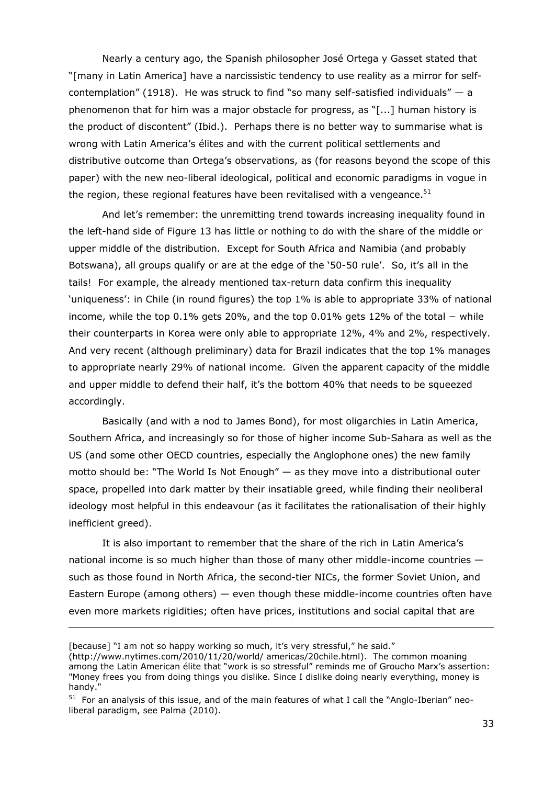Nearly a century ago, the Spanish philosopher José Ortega y Gasset stated that "[many in Latin America] have a narcissistic tendency to use reality as a mirror for selfcontemplation" (1918). He was struck to find "so many self-satisfied individuals"  $-$  a phenomenon that for him was a major obstacle for progress, as "[...] human history is the product of discontent" (Ibid.). Perhaps there is no better way to summarise what is wrong with Latin America's élites and with the current political settlements and distributive outcome than Ortega's observations, as (for reasons beyond the scope of this paper) with the new neo-liberal ideological, political and economic paradigms in vogue in the region, these regional features have been revitalised with a vengeance.*<sup>51</sup>*

 And let's remember: the unremitting trend towards increasing inequality found in the left-hand side of Figure 13 *has little or nothing to do* with the share of the middle or upper middle of the distribution. Except for South Africa and Namibia (and probably Botswana), all groups qualify or are at the edge of the '50-50 rule'. So, it's all in the tails! For example, the already mentioned tax-return data confirm this inequality 'uniqueness': in Chile (in round figures) the top 1% is able to appropriate 33% of national income, while the top  $0.1\%$  gets 20%, and the top  $0.01\%$  gets 12% of the total − while their counterparts in Korea were only able to appropriate 12%, 4% and 2%, respectively. And very recent (although preliminary) data for Brazil indicates that the top 1% manages to appropriate nearly 29% of national income. Given the apparent capacity of the middle and upper middle to defend their half, it's the bottom 40% that needs to be squeezed accordingly.

 Basically (and with a nod to James Bond), for most oligarchies in Latin America, Southern Africa, and increasingly so for those of higher income Sub-Sahara as well as the US (and some other OECD countries, especially the Anglophone ones) the new family motto should be: "The World Is Not Enough" — as they move into a distributional outer space, propelled into dark matter by their insatiable greed, while finding their neoliberal ideology most helpful in this endeavour (as it facilitates the rationalisation of their highly inefficient greed).

It is also important to remember that the share of the rich in Latin America's national income is so much higher than those of many other middle-income countries such as those found in North Africa, the second-tier NICs, the former Soviet Union, and Eastern Europe (among others) — even though these middle-income countries often have even more markets rigidities; often have prices, institutions and social capital that are

<sup>[</sup>because] "I am not so happy working so much, it's very stressful," he said."

<sup>(</sup>http://www.nytimes.com/2010/11/20/world/ americas/20chile.html). The common moaning among the Latin American élite that "work is so stressful" reminds me of Groucho Marx's assertion: "Money frees you from doing things you dislike. Since I dislike doing nearly everything, money is handy."

<sup>&</sup>lt;sup>51</sup> For an analysis of this issue, and of the main features of what I call the "Anglo-Iberian" neoliberal paradigm, see Palma (2010).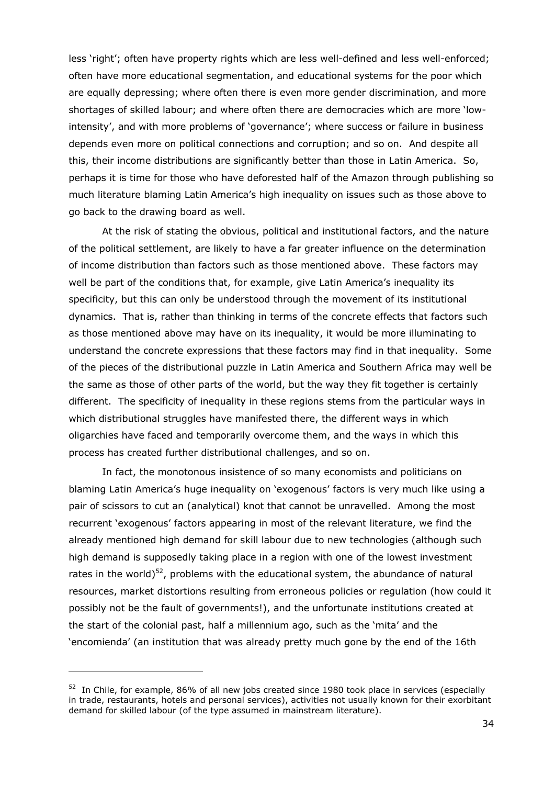less 'right'; often have property rights which are less well-defined and less well-enforced; often have more educational segmentation, and educational systems for the poor which are equally depressing; where often there is even more gender discrimination, and more shortages of skilled labour; and where often there are democracies which are more 'lowintensity', and with more problems of 'governance'; where success or failure in business depends even more on political connections and corruption; and so on. And despite all this, their income distributions are significantly better than those in Latin America. So, perhaps it is time for those who have deforested half of the Amazon through publishing so much literature blaming Latin America's high inequality on issues such as those above to go back to the drawing board as well.

At the risk of stating the obvious, political and institutional factors, and the nature of the political settlement, are likely to have a far greater influence on the determination of income distribution than factors such as those mentioned above. These factors may well be part of the conditions that, for example, give Latin America's inequality its specificity, but this can only be understood through the movement of its institutional dynamics. That is, rather than thinking in terms of the *concrete effects* that factors such as those mentioned above may have on its inequality, it would be more illuminating to understand the *concrete expressions* that these factors may find in that inequality. Some of the pieces of the distributional puzzle in Latin America and Southern Africa may well be the same as those of other parts of the world, but the way they fit together is certainly different. The specificity of inequality in these regions stems from the particular ways in which distributional struggles have manifested there, the different ways in which oligarchies have faced and temporarily overcome them, and the ways in which this process has created further distributional challenges, and so on.

In fact, the monotonous insistence of so many economists and politicians on blaming Latin America's huge inequality on 'exogenous' factors is very much like using a pair of scissors to cut an (analytical) knot that cannot be unravelled. Among the most recurrent 'exogenous' factors appearing in most of the relevant literature, we find the already mentioned high demand for skill labour due to new technologies (although such high demand is supposedly taking place in a region with one of the lowest investment rates in the world)<sup>52</sup>, problems with the educational system, the abundance of natural resources, market distortions resulting from erroneous policies or regulation (how could it possibly not be the fault of governments!), and the unfortunate institutions created at the start of the colonial past, half a millennium ago, such as the 'mita' and the 'encomienda' (an institution that was already pretty much gone by the end of the 16th

 $52$  In Chile, for example, 86% of all new jobs created since 1980 took place in services (especially in trade, restaurants, hotels and personal services), activities not usually known for their exorbitant demand for skilled labour (of the type assumed in mainstream literature).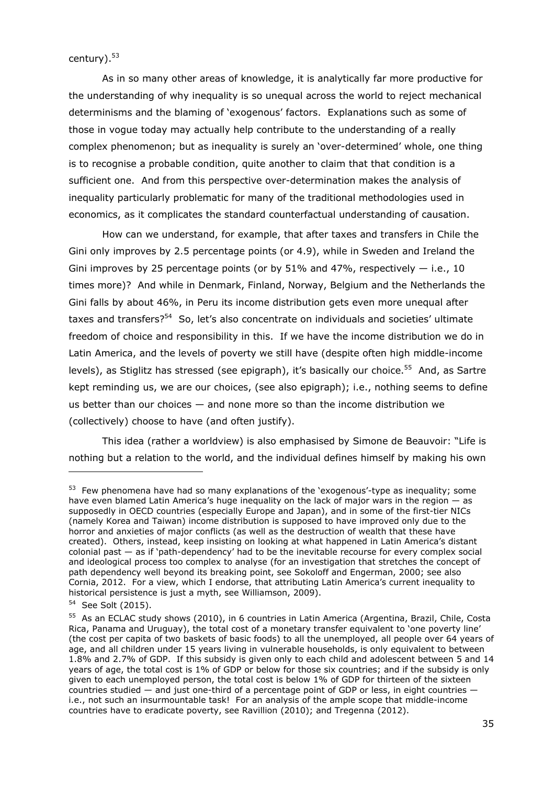century).<sup>53</sup>

As in so many other areas of knowledge, it is analytically far more productive for the understanding of why inequality is so unequal across the world to reject mechanical determinisms and the blaming of 'exogenous' factors. Explanations such as some of those in vogue today may actually help contribute to the understanding of a really complex phenomenon; but as inequality is surely an 'over-determined' whole, one thing is to recognise a probable condition, quite another to claim that that condition is a sufficient one. And from this perspective over-determination makes the analysis of inequality particularly problematic for many of the traditional methodologies used in economics, as it complicates the standard counterfactual understanding of causation.

How can we understand, for example, that after taxes and transfers in Chile the Gini only improves by 2.5 percentage points (or 4.9), while in Sweden and Ireland the Gini improves by 25 percentage points (or by 51% and 47%, respectively  $-$  i.e., 10 times more)? And while in Denmark, Finland, Norway, Belgium and the Netherlands the Gini falls by about 46%, in Peru its income distribution gets even more unequal after taxes and transfers?<sup>54</sup> So, let's also concentrate on individuals and societies' ultimate freedom of choice and *responsibility* in this. If we have the income distribution we do in Latin America, and the levels of poverty we still have (despite often high middle-income levels), as Stiglitz has stressed (see epigraph), it's basically *our choice*. 55 And, as Sartre kept reminding us, *we are our choices*, (see also epigraph); i.e., nothing seems to define us better than our choices — and none more so than the income distribution we (collectively) choose to have (and often justify).

This idea (rather a worldview) is also emphasised by Simone de Beauvoir: "Life is nothing but a relation to the world, and the individual *defines* himself by making his own

<sup>&</sup>lt;sup>53</sup> Few phenomena have had so many explanations of the 'exogenous'-type as inequality; some have even blamed Latin America's huge inequality on the lack of major wars in the region — as supposedly in OECD countries (especially Europe and Japan), and in some of the first-tier NICs (namely Korea and Taiwan) income distribution is supposed to have improved *only* due to the horror and anxieties of major conflicts (as well as the destruction of wealth that these have created). Others, instead, keep insisting on looking at what happened in Latin America's distant colonial past — as if 'path-dependency' had to be the inevitable recourse for every complex social and ideological process too complex to analyse (for an investigation that stretches the concept of path dependency well beyond its breaking point, see Sokoloff and Engerman, 2000; see also Cornia, 2012. For a view, which I endorse, that attributing Latin America's current inequality to historical persistence is just a myth, see Williamson, 2009).

<sup>54</sup> See Solt (2015).

<sup>&</sup>lt;sup>55</sup> As an ECLAC study shows (2010), in 6 countries in Latin America (Argentina, Brazil, Chile, Costa Rica, Panama and Uruguay), the total cost of a monetary transfer equivalent to 'one poverty line' (the cost per capita of two baskets of basic foods) to *all* the unemployed, *all* people over 64 years of age, and *all* children under 15 years living in vulnerable households, is only equivalent to between 1.8% and 2.7% of GDP. If this subsidy is given only to each child and adolescent between 5 and 14 years of age, the total cost is 1% of GDP or below for those six countries; and if the subsidy is only given to each unemployed person, the total cost is below 1% of GDP for thirteen of the sixteen countries studied — and just one-third of a percentage point of GDP or less, in eight countries i.e., not such an insurmountable task! For an analysis of the ample scope that middle-income countries have to eradicate poverty, see Ravillion (2010); and Tregenna (2012).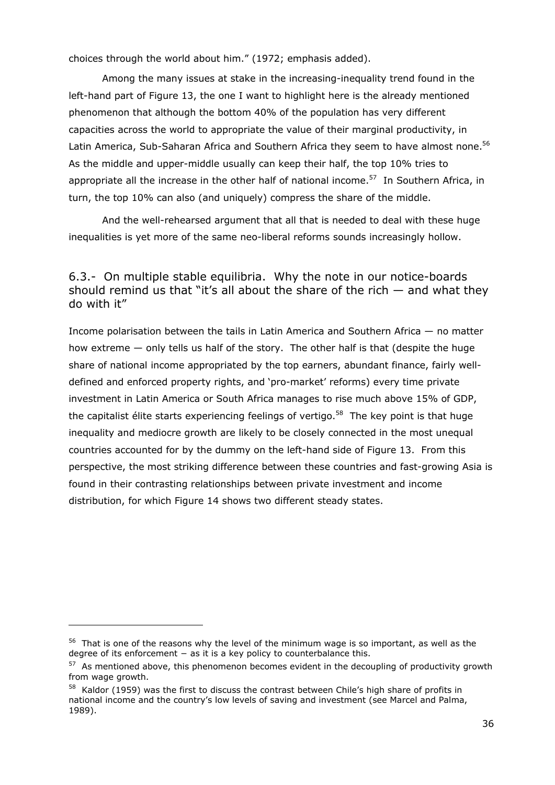choices through the world about him." (1972; emphasis added).

Among the many issues at stake in the increasing-inequality trend found in the left-hand part of Figure 13, the one I want to highlight here is the already mentioned phenomenon that although the bottom 40% of the population has very different capacities across the world to appropriate the value of their marginal productivity, in Latin America, Sub-Saharan Africa and Southern Africa they seem to have almost none.<sup>56</sup> As the middle and upper-middle usually can keep their half, the top 10% tries to appropriate all the increase in the other half of national income.<sup>57</sup> In Southern Africa, in turn, the top 10% can also (and uniquely) compress the share of the middle.

And the well-rehearsed argument that all that is needed to deal with these huge inequalities is yet more of the same neo-liberal reforms sounds increasingly hollow.

# 6.3.- On multiple stable equilibria. Why the note in our notice-boards should remind us that "it's all about the share of the rich  $-$  and what they do with it"

Income polarisation between the tails in Latin America and Southern Africa — no matter how extreme — only tells us half of the story. The other half is that (despite the huge share of national income appropriated by the top earners, abundant finance, fairly welldefined and enforced property rights, and 'pro-market' reforms) every time private investment in Latin America or South Africa manages to rise much above 15% of GDP, the capitalist élite starts experiencing feelings of vertigo.<sup>58</sup> The key point is that huge inequality and mediocre growth are likely to be closely connected in the most unequal countries accounted for by the dummy on the left-hand side of Figure 13. From this perspective, the most striking difference between these countries and fast-growing Asia is found in their contrasting relationships between private investment and income distribution, for which Figure 14 shows two different steady states.

 $56$  That is one of the reasons why the level of the minimum wage is so important, as well as the degree of its enforcement − as it is a key policy to counterbalance this.

 $57$  As mentioned above, this phenomenon becomes evident in the decoupling of productivity growth from wage growth.

<sup>&</sup>lt;sup>58</sup> Kaldor (1959) was the first to discuss the contrast between Chile's high share of profits in national income and the country's low levels of saving and investment (see Marcel and Palma, 1989).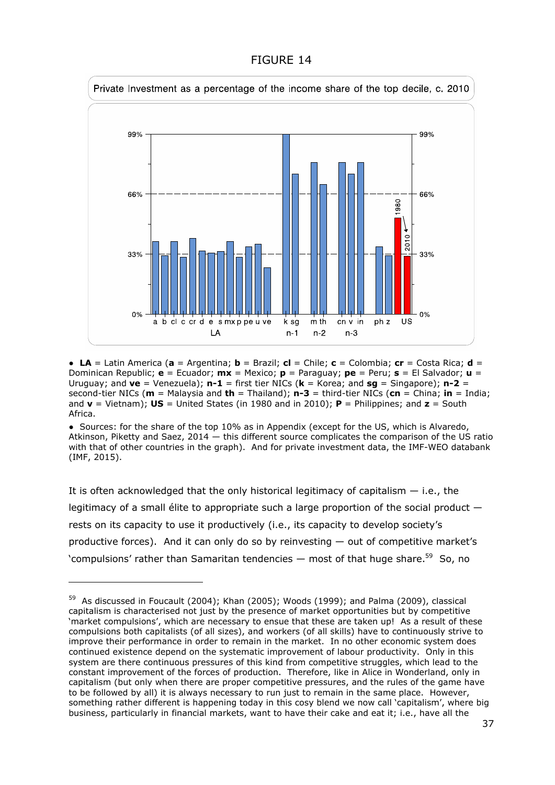# FIGURE 14



● **LA** = Latin America (**a** = Argentina; **b** = Brazil; **cl** = Chile; **c** = Colombia; **cr** = Costa Rica; **d** = Dominican Republic; **e** = Ecuador; **mx** = Mexico; **p** = Paraguay; **pe** = Peru; **s** = El Salvador; **u** = Uruguay; and **ve** = Venezuela); **n-1** = first tier NICs (**k** = Korea; and **sg** = Singapore); **n-2** = second-tier NICs (**m** = Malaysia and **th** = Thailand); **n-3** = third-tier NICs (**cn** = China; **in** = India; and **v** = Vietnam); **US** = United States (in 1980 and in 2010); **P** = Philippines; and **z** = South Africa.

• Sources: for the share of the top 10% as in Appendix (except for the US, which is Alvaredo, Atkinson, Piketty and Saez, 2014 — this different source complicates the comparison of the US ratio with that of other countries in the graph). And for private investment data, the IMF-WEO databank (IMF, 2015).

It is often acknowledged that the only historical legitimacy of capitalism  $-$  i.e., the legitimacy of a small élite to appropriate such a large proportion of the social product  $$ rests on its capacity to use it *productively* (i.e., its capacity to develop society's productive forces). And it can *only* do so by reinvesting — out of competitive market's 'compulsions' rather than Samaritan tendencies  $-$  most of that huge share.<sup>59</sup> So, no

<sup>&</sup>lt;sup>59</sup> As discussed in Foucault (2004); Khan (2005); Woods (1999); and Palma (2009), classical capitalism is characterised not just by the presence of market opportunities but by competitive 'market compulsions', which are necessary to ensue that these are taken up! As a result of these compulsions both capitalists (of all sizes), and workers (of all skills) have to continuously strive to improve their performance in order to remain in the market. In no other economic system does continued existence depend on *the systematic improvement of labour productivity*. Only in this system are there continuous pressures of this kind from competitive struggles, which lead to the constant improvement of the forces of production. Therefore, like in *Alice in Wonderland*, only in capitalism (but only when there are proper competitive pressures, and the rules of the game have to be followed by all) it is always necessary to run just to remain in the same place. However, something rather different is happening today in this cosy blend we now call 'capitalism', where big business, particularly in financial markets, want to have their cake and eat it; i.e., have all the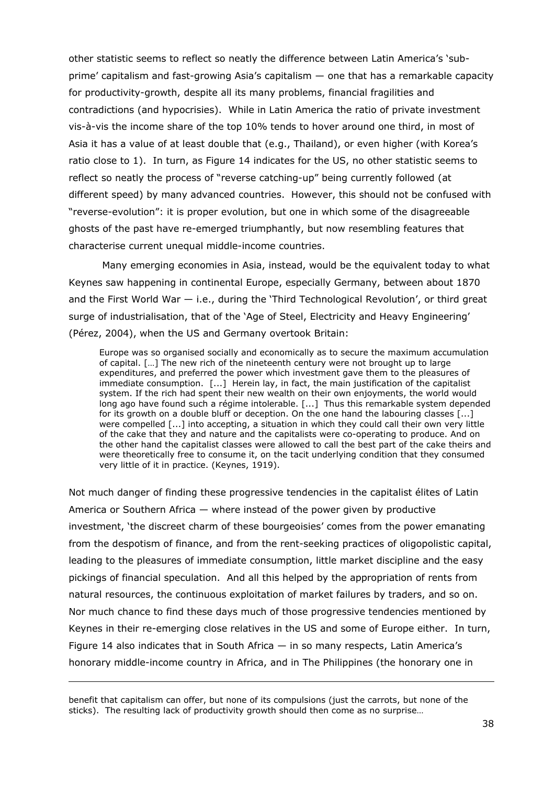other statistic seems to reflect so neatly the difference between Latin America's 'subprime' capitalism and fast-growing Asia's capitalism — one that has a remarkable capacity for productivity-growth, despite all its many problems, financial fragilities and contradictions (and hypocrisies). While in Latin America the ratio of private investment vis-à-vis the income share of the top 10% tends to hover around one third, in most of Asia it has a value of at least double that (e.g., Thailand), or even higher (with Korea's ratio close to 1). In turn, as Figure 14 indicates for the US, no other statistic seems to reflect so neatly the process of "reverse catching-up" being currently followed (at different speed) by many advanced countries. However, this should not be confused with "reverse-evolution": it is proper evolution, but one in which some of the disagreeable ghosts of the past have re-emerged triumphantly, but now resembling features that characterise current unequal middle-income countries.

Many emerging economies in Asia, instead, would be the equivalent today to what Keynes saw happening in continental Europe, especially Germany, between about 1870 and the First World War  $-$  i.e., during the 'Third Technological Revolution', or third great surge of industrialisation, that of the 'Age of Steel, Electricity and Heavy Engineering' (Pérez, 2004), when the US and Germany overtook Britain:

Europe was so organised socially and economically as to secure the maximum accumulation of capital. […] The new rich of the nineteenth century were not brought up to large expenditures, and preferred the power which investment gave them to the pleasures of immediate consumption. [...] Herein lay, in fact, the main justification of the capitalist system. If the rich had spent their new wealth on their own enjoyments, the world would long ago have found such a régime intolerable. [...] Thus this remarkable system depended for its growth on a double bluff or deception. On the one hand the labouring classes [...] were compelled [...] into accepting, a situation in which they could call their own very little of the cake that they and nature and the capitalists were co-operating to produce. And on the other hand the capitalist classes were allowed to call the best part of the cake theirs and were theoretically free to consume it, on the tacit underlying condition that they consumed very little of it in practice. (Keynes, 1919).

Not much danger of finding these progressive tendencies in the capitalist élites of Latin America or Southern Africa — where instead of the power given by productive investment, 'the discreet charm of these bourgeoisies' comes from the power emanating from the despotism of finance, and from the rent-seeking practices of oligopolistic capital, leading to the pleasures of immediate consumption, little market discipline and the easy pickings of financial speculation. And all this helped by the appropriation of rents from natural resources, the continuous exploitation of market failures by traders, and so on. Nor much chance to find these days much of those progressive tendencies mentioned by Keynes in their re-emerging close relatives in the US and some of Europe either. In turn, Figure 14 also indicates that in South Africa  $-$  in so many respects, Latin America's honorary middle-income country in Africa, and in The Philippines (the honorary one in

benefit that capitalism can offer, but none of its compulsions (just the carrots, but none of the sticks). The resulting lack of productivity growth should then come as no surprise…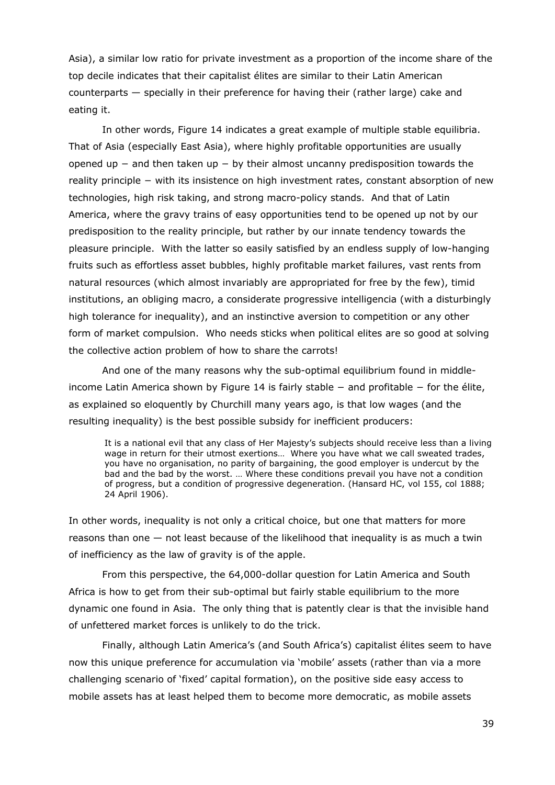Asia), a similar low ratio for private investment as a proportion of the income share of the top decile indicates that their capitalist élites are similar to their Latin American counterparts — specially in their preference for having their (rather large) cake and eating it.

In other words, Figure 14 indicates a great example of multiple stable equilibria. That of Asia (especially East Asia), where highly profitable opportunities are usually opened up − and then taken up − by their almost uncanny predisposition towards the reality principle − with its insistence on high investment rates, constant absorption of new technologies, high risk taking, and strong macro-policy stands. And that of Latin America, where the gravy trains of easy opportunities tend to be opened up not by our predisposition to the reality principle, but rather by our innate tendency towards the pleasure principle. With the latter so easily satisfied by an endless supply of low-hanging fruits such as effortless asset bubbles, highly profitable market failures, vast rents from natural resources (which almost invariably are appropriated for free by the few), timid institutions, an obliging macro, a considerate progressive intelligencia (with a disturbingly high tolerance for inequality), and an instinctive aversion to competition or any other form of market compulsion. Who needs sticks when political elites are so good at solving the collective action problem of how to share the carrots!

And one of the many reasons why the sub-optimal equilibrium found in middleincome Latin America shown by Figure 14 is fairly stable − and profitable − for the élite, as explained so eloquently by Churchill many years ago, is that low wages (and the resulting inequality) is the best possible subsidy for inefficient producers:

It is a national evil that any class of Her Majesty's subjects should receive less than a living wage in return for their utmost exertions... Where you have what we call sweated trades, you have no organisation, no parity of bargaining, the good employer is undercut by the bad and the bad by the worst. … Where these conditions prevail you have not a condition of progress, but a condition of progressive degeneration. (Hansard HC, vol 155, col 1888; 24 April 1906).

In other words, inequality is not only a critical choice, but one that matters for more reasons than one — not least because of the likelihood that inequality is as much a twin of inefficiency as the law of gravity is of the apple.

From this perspective, the 64,000-dollar question for Latin America and South Africa is how to get from their sub-optimal but fairly stable equilibrium to the more dynamic one found in Asia. The only thing that is patently clear is that the invisible hand of unfettered market forces is unlikely to do the trick.

Finally, although Latin America's (and South Africa's) capitalist élites seem to have now this unique preference for accumulation via 'mobile' assets (rather than via a more challenging scenario of 'fixed' capital formation), on the positive side easy access to mobile assets has at least helped them to become more democratic, as mobile assets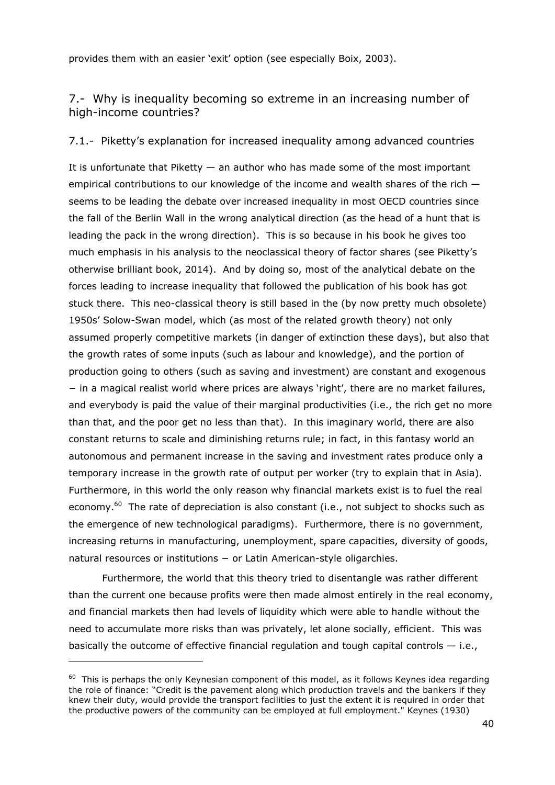provides them with an easier 'exit' option (see especially Boix, 2003).

# 7.- Why is inequality becoming so extreme in an increasing number of high-income countries?

7.1.- Piketty's explanation for increased inequality among advanced countries

It is unfortunate that Piketty  $-$  an author who has made some of the most important empirical contributions to our knowledge of the income and wealth shares of the rich seems to be leading the debate over increased inequality in most OECD countries since the fall of the Berlin Wall in the wrong analytical direction (as the head of a hunt that is leading the pack in the wrong direction). This is so because in his book he gives too much emphasis in his analysis to the neoclassical theory of factor shares (see Piketty's otherwise brilliant book, 2014). And by doing so, most of the analytical debate on the forces leading to increase inequality that followed the publication of his book has got stuck there. This neo-classical theory is still based in the (by now pretty much obsolete) 1950s' Solow-Swan model, which (as most of the related growth theory) not only assumed properly competitive markets (in danger of extinction these days), but also that the growth rates of some inputs (such as labour and knowledge), and the portion of production going to others (such as saving and investment) are constant and exogenous − in a magical realist world where prices are always 'right', there are no market failures, and everybody is paid the value of their marginal productivities (i.e., the rich get no more than that, and the poor get no less than that). In this imaginary world, there are also constant returns to scale and diminishing returns rule; in fact, in this fantasy world an autonomous and *permanent* increase in the saving and investment rates produce only a *temporary* increase in the growth rate of output per worker (try to explain that in Asia). Furthermore, in this world the only reason why financial markets exist is to fuel the real economy.<sup>60</sup> The rate of depreciation is also constant (i.e., not subject to shocks such as the emergence of new technological paradigms). Furthermore, there is no government, increasing returns in manufacturing, unemployment, spare capacities, diversity of goods, natural resources or institutions − or Latin American-style oligarchies.

Furthermore, the world that this theory tried to disentangle was rather different than the current one because profits were then made almost entirely in the real economy, and financial markets then had levels of liquidity which were able to handle without the need to accumulate more risks than was privately, let alone socially, efficient. This was basically the outcome of effective financial regulation and tough capital controls  $-$  i.e.,

-

 $60$  This is perhaps the only Keynesian component of this model, as it follows Keynes idea regarding the role of finance: "Credit is the pavement along which production travels and the bankers if they knew their duty, would provide the transport facilities to just the extent it is required in order that the productive powers of the community can be employed at full employment." Keynes (1930)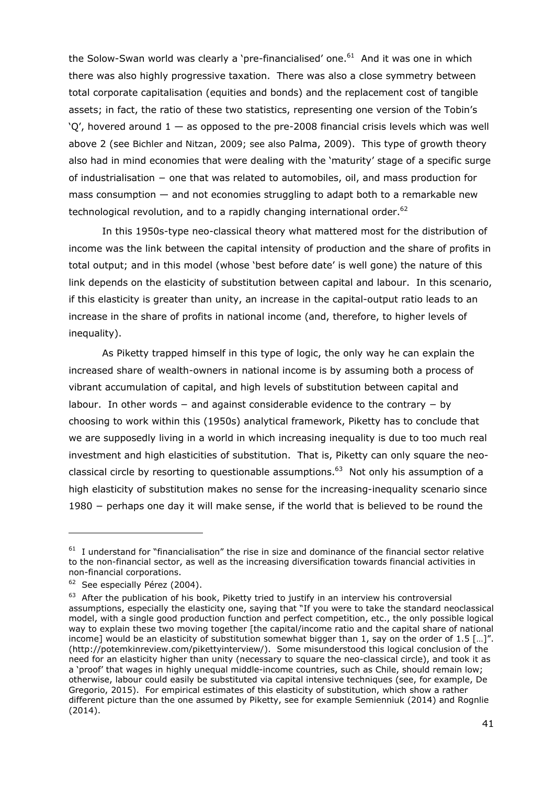the Solow-Swan world was clearly a 'pre-financialised' one.<sup>61</sup> And it was one in which there was also highly progressive taxation. There was also a close symmetry between total corporate capitalisation (equities and bonds) and the replacement cost of tangible assets; in fact, the ratio of these two statistics, representing one version of the Tobin's  $Q'$ , hovered around  $1 -$  as opposed to the pre-2008 financial crisis levels which was well above 2 (see Bichler and Nitzan, 2009; see also Palma, 2009). This type of growth theory also had in mind economies that were dealing with the 'maturity' stage of a specific surge of industrialisation − one that was related to automobiles, oil, and mass production for mass consumption — and not economies struggling to adapt both to a remarkable new technological revolution, and to a rapidly changing international order.<sup>62</sup>

In this 1950s-type neo-classical theory what mattered most for the distribution of income was the link between the capital intensity of production and the share of profits in total output; and in this model (whose 'best before date' is well gone) the nature of this link depends on the elasticity of substitution between capital and labour. In this scenario, if this elasticity is greater than unity, an increase in the capital-output ratio leads to an increase in the share of profits in national income (and, therefore, to higher levels of inequality).

As Piketty trapped himself in this type of logic, the only way he can explain the increased share of wealth-owners in national income is by assuming both a process of vibrant accumulation of capital, and high levels of substitution between capital and labour. In other words − and against considerable evidence to the contrary − by choosing to work within this (1950s) analytical framework, Piketty has to conclude that we are supposedly living in a world in which increasing inequality is due to too much real investment and high elasticities of substitution. That is, Piketty can only square the neoclassical circle by resorting to questionable assumptions.<sup>63</sup> Not only his assumption of a high elasticity of substitution makes no sense for the increasing-inequality scenario since 1980 – perhaps one day it will make sense, if the world that is believed to be round the

 $61$  I understand for "financialisation" the rise in size and dominance of the financial sector relative to the non-financial sector, as well as the increasing diversification towards financial activities in non-financial corporations.

 $62$  See especially Pérez (2004).

 $63$  After the publication of his book, Piketty tried to justify in an interview his controversial assumptions, especially the elasticity one, saying that "If you were to take the standard neoclassical model, with a single good production function and perfect competition, etc., the only possible logical way to explain these two moving together [the capital/income ratio and the capital share of national income] would be an elasticity of substitution somewhat bigger than 1, say on the order of 1.5 […]". (http://potemkinreview.com/pikettyinterview/). Some misunderstood this logical conclusion of the need for an elasticity higher than unity (necessary to square the neo-classical circle), and took it as a 'proof' that wages in highly unequal middle-income countries, such as Chile, should remain low; otherwise, labour could easily be substituted via capital intensive techniques (see, for example, De Gregorio, 2015). For empirical estimates of this elasticity of substitution, which show a rather different picture than the one assumed by Piketty, see for example Semienniuk (2014) and Rognlie (2014).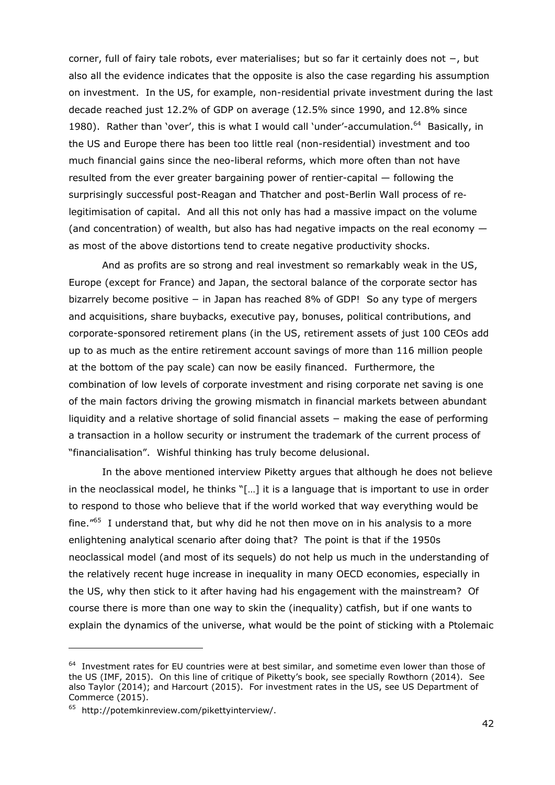corner, full of fairy tale robots, ever materialises; but so far it certainly does not −, but also all the evidence indicates that the opposite is also the case regarding his assumption on investment. In the US, for example, non-residential private investment during the last decade reached just 12.2% of GDP on average (12.5% since 1990, and 12.8% since 1980). Rather than 'over', this is what I would call 'under'-accumulation.<sup>64</sup> Basically, in the US and Europe there has been *too little* real (non-residential) investment and *too much* financial gains since the neo-liberal reforms, which more often than not have resulted from the ever greater bargaining power of rentier-capital — following the surprisingly successful post-Reagan and Thatcher and post-Berlin Wall process of *relegitimisation* of capital. And all this not only has had a massive impact on the volume (and concentration) of wealth, but also has had negative impacts on the real economy as most of the above distortions tend to create negative productivity shocks.

And as profits are so strong and real investment so remarkably weak in the US, Europe (except for France) and Japan, the sectoral balance of the corporate sector has bizarrely become positive − in Japan has reached 8% of GDP! So any type of mergers and acquisitions, share buybacks, executive pay, bonuses, political contributions, and corporate-sponsored retirement plans (in the US, retirement assets of just 100 CEOs add up to as much as the entire retirement account savings of more than 116 million people at the bottom of the pay scale) can now be easily financed. Furthermore, the combination of low levels of corporate investment and rising corporate net saving is one of the main factors driving the growing mismatch in financial markets between abundant liquidity and a relative shortage of solid financial assets – making the ease of performing a transaction in a hollow security or instrument the trademark of the current process of "financialisation". Wishful thinking has truly become delusional.

In the above mentioned interview Piketty argues that although he does not believe in the neoclassical model, he thinks "[…] it is a language that is important to use in order to respond to those who believe that if the world worked that way everything would be fine. $1055$  I understand that, but why did he not then move on in his analysis to a more enlightening analytical scenario after doing that? The point is that if the 1950s neoclassical model (and most of its sequels) do not help us much in the understanding of the relatively recent huge increase in inequality in many OECD economies, especially in the US, why then stick to it after having had his engagement with the mainstream? Of course there is more than one way to skin the (inequality) catfish, but if one wants to explain the dynamics of the universe, what would be the point of sticking with a Ptolemaic

 $64$  Investment rates for EU countries were at best similar, and sometime even lower than those of the US (IMF, 2015). On this line of critique of Piketty's book, see specially Rowthorn (2014). See also Taylor (2014); and Harcourt (2015). For investment rates in the US, see US Department of Commerce (2015).

<sup>65</sup> http://potemkinreview.com/pikettyinterview/.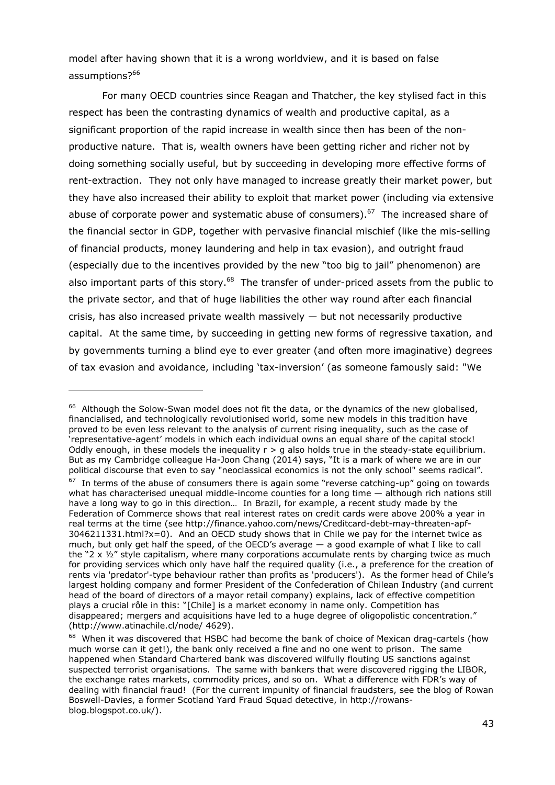model after having shown that it is a wrong worldview, and it is based on false assumptions?<sup>66</sup>

For many OECD countries since Reagan and Thatcher, the key stylised fact in this respect has been the contrasting dynamics of *wealth* and *productive capital*, as a significant proportion of the rapid increase in wealth since then has been of the nonproductive nature. That is, wealth owners have been getting richer and richer not by doing something socially useful, but by succeeding in developing more effective forms of rent-extraction. They not only have managed to increase greatly their market power, but they have also increased their ability to exploit that market power (including via extensive abuse of corporate power and systematic abuse of consumers). $67$  The increased share of the financial sector in GDP, together with pervasive financial mischief (like the mis-selling of financial products, money laundering and help in tax evasion), and outright fraud (especially due to the incentives provided by the new "too big to jail" phenomenon) are also important parts of this story.<sup>68</sup> The transfer of under-priced assets from the public to the private sector, and that of huge liabilities the other way round after each financial crisis, has also increased private wealth massively — but not necessarily productive capital. At the same time, by succeeding in getting new forms of regressive taxation, and by governments turning a blind eye to ever greater (and often more imaginative) degrees of tax evasion and avoidance, including 'tax-inversion' (as someone famously said: "We

 $66$  Although the Solow-Swan model does not fit the data, or the dynamics of the new globalised, financialised, and technologically revolutionised world, some new models in this tradition have proved to be even less relevant to the analysis of current rising inequality, such as the case of 'representative-agent' models in which each individual owns an equal share of the capital stock! Oddly enough, in these models the inequality  $r > q$  also holds true in the steady-state equilibrium. But as my Cambridge colleague Ha-Joon Chang (2014) says, "It is a mark of where we are in our political discourse that even to say "neoclassical economics is not the only school" seems radical".

 $67$  In terms of the abuse of consumers there is again some "reverse catching-up" going on towards what has characterised unequal middle-income counties for a long time — although rich nations still have a long way to go in this direction… In Brazil, for example, a recent study made by the Federation of Commerce shows that real interest rates on credit cards were above 200% a year in real terms at the time (see http://finance.yahoo.com/news/Creditcard-debt-may-threaten-apf- $3046211331.html$ ?x=0). And an OECD study shows that in Chile we pay for the internet twice as much, but only get half the speed, of the OECD's average — a good example of what I like to call the "2  $\times$  1/2" style capitalism, where many corporations accumulate rents by charging twice as much for providing services which only have half the required quality (i.e., a preference for the creation of rents via 'predator'-type behaviour rather than profits as 'producers'). As the former head of Chile's largest holding company and former President of the Confederation of Chilean Industry (and current head of the board of directors of a mayor retail company) explains, lack of effective competition plays a crucial rôle in this: "[Chile] is a market economy in name only. Competition has disappeared; mergers and acquisitions have led to a huge degree of oligopolistic concentration." (http://www.atinachile.cl/node/ 4629).

<sup>&</sup>lt;sup>68</sup> When it was discovered that HSBC had become the bank of choice of Mexican drag-cartels (how much worse can it get!), the bank only received a fine and no one went to prison. The same happened when Standard Chartered bank was discovered wilfully flouting US sanctions against suspected terrorist organisations. The same with bankers that were discovered rigging the LIBOR, the exchange rates markets, commodity prices, and so on. What a difference with FDR's way of dealing with financial fraud! (For the current impunity of financial fraudsters, see the blog of Rowan Boswell-Davies, a former Scotland Yard Fraud Squad detective, in http://rowansblog.blogspot.co.uk/).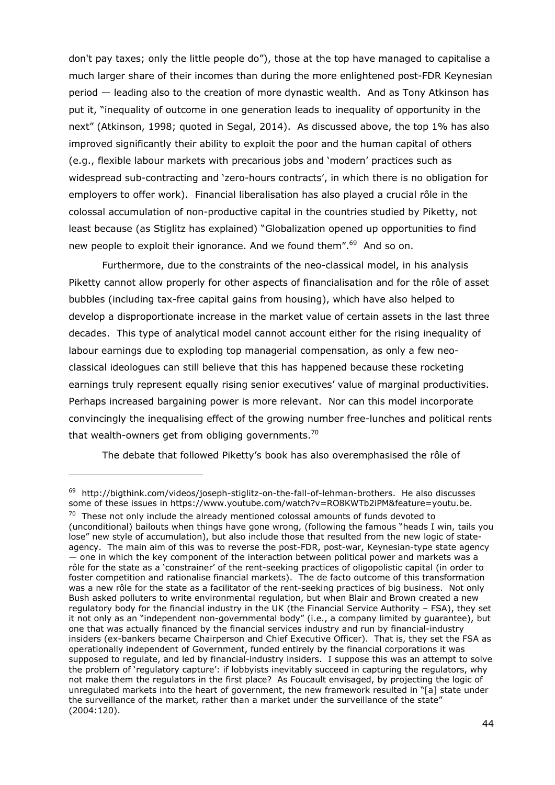don't pay taxes; only the little people do"), those at the top have managed to capitalise a much larger share of their incomes than during the more enlightened post-FDR Keynesian period — leading also to the creation of more dynastic wealth. And as Tony Atkinson has put it, "inequality of outcome in one generation leads to inequality of opportunity in the next" (Atkinson, 1998; quoted in Segal, 2014). As discussed above, the top 1% has also improved significantly their ability to exploit the poor and the human capital of others (e.g., flexible labour markets with precarious jobs and 'modern' practices such as widespread sub-contracting and 'zero-hours contracts', in which there is no obligation for employers to offer work). Financial liberalisation has also played a crucial rôle in the colossal accumulation of non-productive capital in the countries studied by Piketty, not least because (as Stiglitz has explained) "Globalization opened up opportunities to find new people to exploit their ignorance. And we found them".<sup>69</sup> And so on.

Furthermore, due to the constraints of the neo-classical model, in his analysis Piketty cannot allow properly for other aspects of financialisation and for the rôle of asset bubbles (including tax-free capital gains from housing), which have also helped to develop a disproportionate increase in the market value of certain assets in the last three decades. This type of analytical model cannot account either for the rising inequality of labour earnings due to exploding top managerial compensation, as only a few neoclassical ideologues can still believe that this has happened because these rocketing earnings truly represent equally rising senior executives' value of marginal productivities. Perhaps increased bargaining power is more relevant. Nor can this model incorporate convincingly the inequalising effect of the growing number free-lunches and political rents that wealth-owners get from obliging governments.<sup>70</sup>

The debate that followed Piketty's book has also overemphasised the rôle of

<sup>&</sup>lt;sup>69</sup> http://bigthink.com/videos/joseph-stiglitz-on-the-fall-of-lehman-brothers. He also discusses some of these issues in https://www.youtube.com/watch?v=RO8KWTb2iPM&feature=youtu.be.  $70$  These not only include the already mentioned colossal amounts of funds devoted to (unconditional) bailouts when things have gone wrong, (following the famous "heads I win, tails you lose" new style of accumulation), but also include those that resulted from the new logic of stateagency. The main aim of this was to reverse the post-FDR, post-war, Keynesian-type state agency — one in which the key component of the interaction between political power and markets was a rôle for the state as a 'constrainer' of the rent-seeking practices of oligopolistic capital (in order to foster competition and rationalise financial markets). The *de facto* outcome of this transformation was a new rôle for the state as a facilitator of the rent-seeking practices of big business. Not only Bush asked polluters to write environmental regulation, but when Blair and Brown created a new regulatory body for the financial industry in the UK (the Financial Service Authority – FSA), they set it not only as an "independent non-governmental body" (i.e., a company limited by guarantee), but one that was actually financed by the financial services industry and run by financial-industry insiders (ex-bankers became Chairperson and Chief Executive Officer). That is, they set the FSA as operationally independent of Government, funded entirely by the financial corporations it was supposed to regulate, and led by financial-industry insiders. I suppose this was an attempt to solve the problem of 'regulatory capture': if lobbyists inevitably succeed in capturing the regulators, why not make them the regulators in the first place? As Foucault envisaged, by projecting the logic of unregulated markets into the heart of government, the new framework resulted in "[a] state under the surveillance of the market, rather than a market under the surveillance of the state" (2004:120).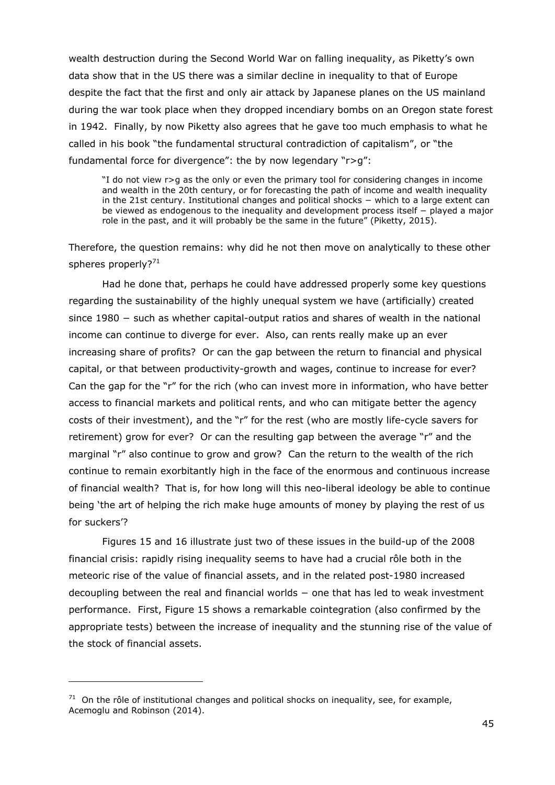wealth destruction during the Second World War on falling inequality, as Piketty's own data show that in the US there was a similar decline in inequality to that of Europe despite the fact that the first and only air attack by Japanese planes on the US mainland during the war took place when they dropped incendiary bombs on an Oregon state forest in 1942. Finally, by now Piketty also agrees that he gave too much emphasis to what he called in his book "the fundamental structural contradiction of capitalism", or "the fundamental force for divergence": the by now legendary "r>g":

"I do not view r>g as the only or even the primary tool for considering changes in income and wealth in the 20th century, or for forecasting the path of income and wealth inequality in the 21st century. Institutional changes and political shocks − which to a large extent can be viewed as endogenous to the inequality and development process itself − played a major role in the past, and it will probably be the same in the future" (Piketty, 2015).

Therefore, the question remains: why did he not then move on analytically to these other spheres properly?<sup>71</sup>

Had he done that, perhaps he could have addressed properly some key questions regarding the sustainability of the highly unequal system we have (artificially) created since 1980 − such as whether capital-output ratios and shares of wealth in the national income can continue to diverge for ever. Also, can rents really make up an ever increasing share of profits? Or can the gap between the return to financial and physical capital, or that between productivity-growth and wages, continue to increase for ever? Can the gap for the "r" for the rich (who can invest more in information, who have better access to financial markets and political rents, and who can mitigate better the agency costs of their investment), and the "r" for the rest (who are mostly life-cycle savers for retirement) grow for ever? Or can the resulting gap between the average "r" and the marginal "r" also continue to grow and grow? Can the return to the wealth of the rich continue to remain exorbitantly high in the face of the enormous and continuous increase of financial wealth? That is, for how long will this neo-liberal ideology be able to continue being 'the art of helping the rich make huge amounts of money by playing the rest of us for suckers'?

Figures 15 and 16 illustrate just two of these issues in the build-up of the 2008 financial crisis: rapidly rising inequality seems to have had a crucial rôle both in the meteoric rise of the value of financial assets, and in the related post-1980 increased decoupling between the real and financial worlds − one that has led to weak investment performance. First, Figure 15 shows a remarkable cointegration (also confirmed by the appropriate tests) between the increase of inequality and the stunning rise of the value of the stock of financial assets.

 $71$  On the rôle of institutional changes and political shocks on inequality, see, for example, Acemoglu and Robinson (2014).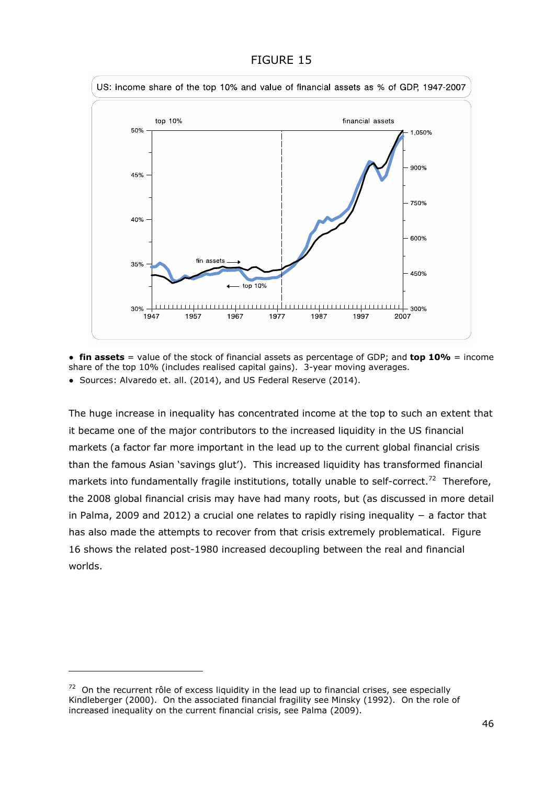#### FIGURE 15



**● fin assets** = value of the stock of financial assets as percentage of GDP; and **top 10%** = income share of the top 10% (includes realised capital gains). 3-year moving averages.

● Sources: Alvaredo et. all. (2014), and US Federal Reserve (2014).

The huge increase in inequality has concentrated income at the top to such an extent that it became one of the major contributors to the increased liquidity in the US financial markets (a factor far more important in the lead up to the current global financial crisis than the famous Asian 'savings glut'). This increased liquidity has transformed financial markets into fundamentally fragile institutions, totally unable to self-correct.<sup>72</sup> Therefore, the 2008 global financial crisis may have had many roots, but (as discussed in more detail in Palma, 2009 and 2012) a crucial one relates to rapidly rising inequality − a factor that has also made the attempts to recover from that crisis extremely problematical. Figure 16 shows the related post-1980 increased decoupling between the real and financial worlds.

 $72$  On the recurrent rôle of excess liquidity in the lead up to financial crises, see especially Kindleberger (2000). On the associated financial fragility see Minsky (1992). On the role of increased inequality on the current financial crisis, see Palma (2009).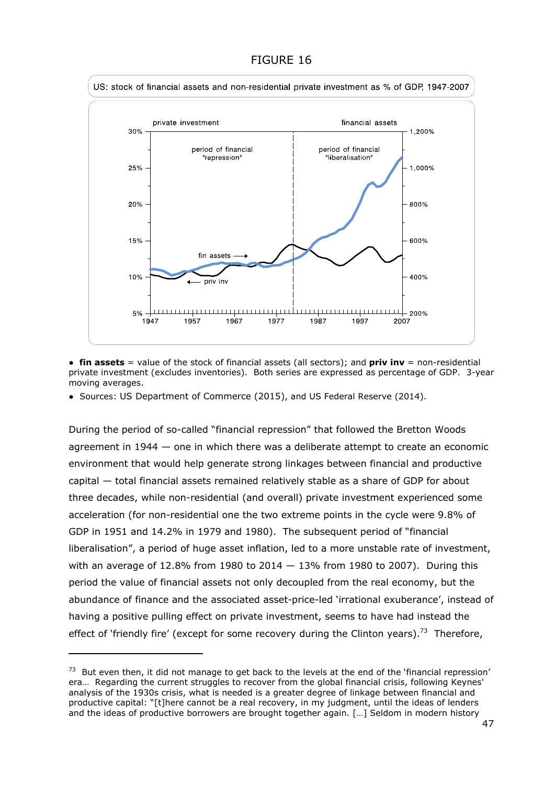

**● fin assets** = value of the stock of financial assets (all sectors); and **priv inv** = non-residential private investment (excludes inventories). Both series are expressed as percentage of GDP. 3-year moving averages.

● Sources: US Department of Commerce (2015), and US Federal Reserve (2014).

During the period of so-called "financial repression" that followed the Bretton Woods agreement in 1944 — one in which there was a deliberate attempt to create an economic environment that would help generate strong linkages between financial and productive capital — total financial assets remained relatively stable as a share of GDP for about three decades, while non-residential (and overall) private investment experienced some acceleration (for non-residential one the two extreme points in the cycle were 9.8% of GDP in 1951 and 14.2% in 1979 and 1980). The subsequent period of "financial liberalisation", a period of huge asset inflation, led to a more unstable rate of investment, with an average of 12.8% from 1980 to 2014  $-$  13% from 1980 to 2007). During this period the value of financial assets not only decoupled from the real economy, but the abundance of finance and the associated asset-price-led 'irrational exuberance', instead of having a positive pulling effect on private investment, seems to have had instead the effect of 'friendly fire' (except for some recovery during the Clinton years).<sup>73</sup> Therefore,

 $73$  But even then, it did not manage to get back to the levels at the end of the 'financial repression' era… Regarding the current struggles to recover from the global financial crisis, following Keynes' analysis of the 1930s crisis, what is needed is a greater degree of linkage between financial and productive capital: "[t]here cannot be a real recovery, in my judgment, until the ideas of lenders and the ideas of productive borrowers are brought together again. […] Seldom in modern history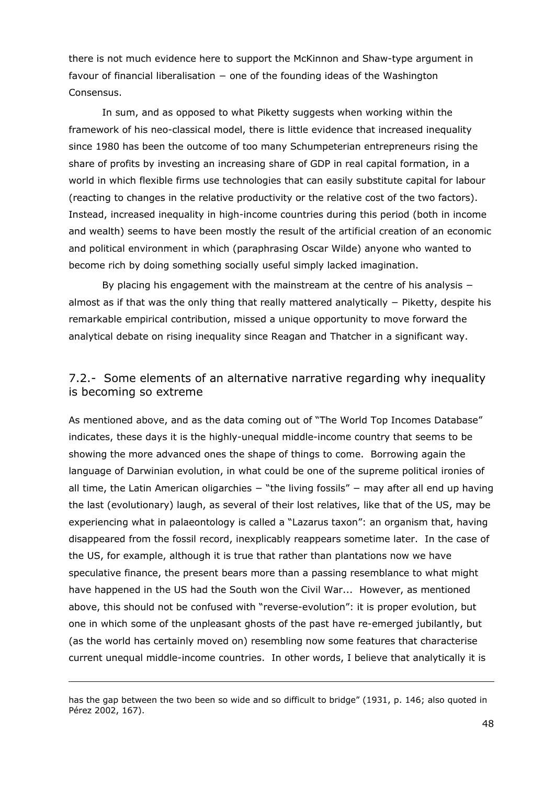there is not much evidence here to support the McKinnon and Shaw-type argument in favour of financial liberalisation − one of the founding ideas of the Washington Consensus.

In sum, and as opposed to what Piketty suggests when working within the framework of his neo-classical model, there is little evidence that increased inequality since 1980 has been the outcome of too many Schumpeterian entrepreneurs rising the share of profits by investing an increasing share of GDP in real capital formation, in a world in which flexible firms use technologies that can easily substitute capital for labour (reacting to changes in the relative productivity or the relative cost of the two factors). Instead, increased inequality in high-income countries during this period (both in income and wealth) seems to have been mostly the result of the *artificial* creation of an economic and political environment in which (paraphrasing Oscar Wilde) anyone who wanted to become rich by doing something socially useful simply lacked imagination.

By placing his engagement with the mainstream at the centre of his analysis − almost as if that was the only thing that really mattered analytically − Piketty, despite his remarkable empirical contribution, missed a unique opportunity to move forward the analytical debate on rising inequality since Reagan and Thatcher in a significant way.

# 7.2.- Some elements of an alternative narrative regarding why inequality is becoming so extreme

As mentioned above, and as the data coming out of "The World Top Incomes Database" indicates, these days it is the highly-unequal middle-income country that seems to be showing the more advanced ones the shape of things to come. Borrowing again the language of Darwinian evolution, in what could be one of the supreme political ironies of all time, the Latin American oligarchies − "the living fossils" – may after all end up having the last (evolutionary) laugh, as several of their lost relatives, like that of the US, may be experiencing what in palaeontology is called a "Lazarus taxon": an organism that, having disappeared from the fossil record, inexplicably reappears sometime later. In the case of the US, for example, although it is true that rather than plantations now we have speculative finance, the present bears more than a passing resemblance to what might have happened in the US had the South won the Civil War... However, as mentioned above, this should not be confused with "reverse-evolution": it is proper evolution, but one in which some of the unpleasant ghosts of the past have re-emerged jubilantly, but (as the world has certainly moved on) resembling now some features that characterise current unequal middle-income countries. In other words, I believe that analytically it is

has the gap between the two been so wide and so difficult to bridge" (1931, p. 146; also quoted in Pérez 2002, 167).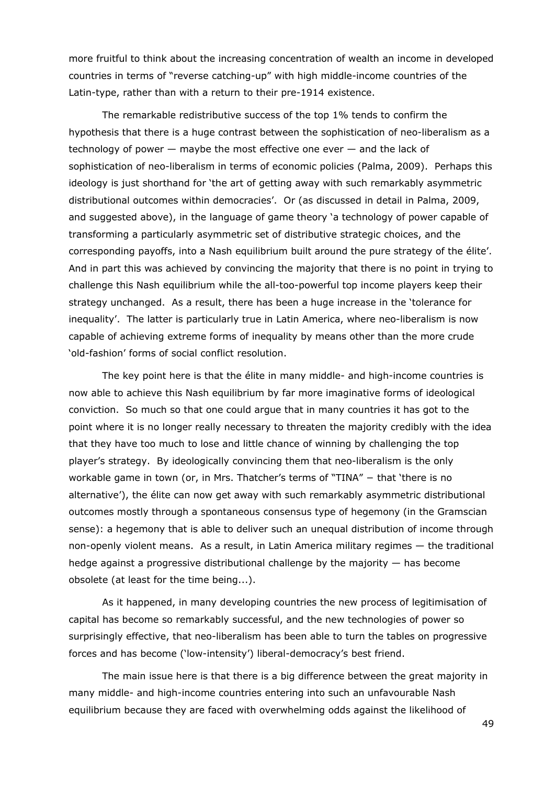more fruitful to think about the increasing concentration of wealth an income in developed countries in terms of "reverse catching-up" with high middle-income countries of the Latin-type, rather than with a return to their pre-1914 existence.

The remarkable redistributive success of the top 1% tends to confirm the hypothesis that there is a huge contrast between the sophistication of neo-liberalism as a technology of power  $-$  maybe the most effective one ever  $-$  and the lack of sophistication of neo-liberalism in terms of economic policies (Palma, 2009). Perhaps this ideology is just shorthand for 'the art of getting away with such remarkably asymmetric distributional outcomes within democracies'. Or (as discussed in detail in Palma, 2009, and suggested above), in the language of game theory 'a technology of power capable of transforming a particularly asymmetric set of distributive strategic choices, and the corresponding payoffs, into a Nash equilibrium built around the pure strategy of the élite'. And in part this was achieved by convincing the majority that there is no point in trying to challenge this Nash equilibrium while the all-too-powerful top income players keep their strategy unchanged. As a result, there has been a huge increase in the 'tolerance for inequality'. The latter is particularly true in Latin America, where neo-liberalism is now capable of achieving extreme forms of inequality by means other than the more crude 'old-fashion' forms of social conflict resolution.

The key point here is that the élite in many middle- and high-income countries is now able to achieve this Nash equilibrium by far more imaginative forms of ideological conviction. So much so that one could argue that in many countries it has got to the point where it is no longer really necessary to threaten the majority credibly with the idea that they have too much to lose and little chance of winning by challenging the top player's strategy. By ideologically convincing them that neo-liberalism is the only workable game in town (or, in Mrs. Thatcher's terms of "TINA" – that 'there is no alternative'), the élite can now get away with such remarkably asymmetric distributional outcomes mostly through *a spontaneous consensus type of hegemony* (in the Gramscian sense): a hegemony that is able to deliver such an unequal distribution of income through non-openly violent means. As a result, in Latin America military regimes — the traditional hedge against a progressive distributional challenge by the majority — has become obsolete (at least for the time being...).

As it happened, in many developing countries the new process of legitimisation of capital has become so remarkably successful, and the new technologies of power so surprisingly effective, that neo-liberalism has been able to turn the tables on progressive forces and has become ('low-intensity') liberal-democracy's best friend.

The main issue here is that there is a big difference between the great majority in many middle- *and* high-income countries entering into such an unfavourable Nash equilibrium because they are faced with overwhelming odds against the likelihood of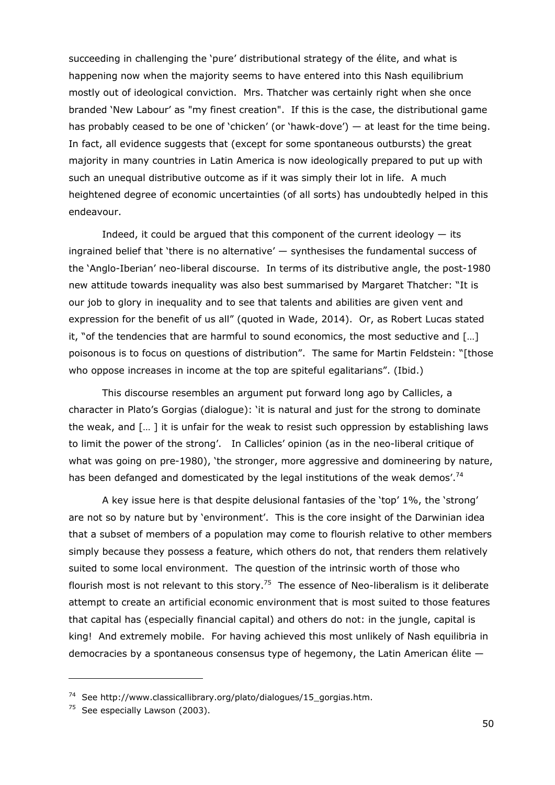succeeding in challenging the 'pure' distributional strategy of the élite, and what is happening now when the majority seems to have entered into this Nash equilibrium mostly out of ideological conviction. Mrs. Thatcher was certainly right when she once branded 'New Labour' as "my finest creation". If this is the case, the distributional game has probably ceased to be one of 'chicken' (or 'hawk-dove') — at least for the time being. In fact, all evidence suggests that (except for some spontaneous outbursts) the great majority in many countries in Latin America is now ideologically prepared to put up with such an unequal distributive outcome as if it was simply their lot in life. A much heightened degree of economic uncertainties (of all sorts) has undoubtedly helped in this endeavour.

Indeed, it could be argued that this component of the current ideology  $-$  its ingrained belief that 'there is no alternative' — synthesises the fundamental success of the 'Anglo-Iberian' neo-liberal discourse. In terms of its distributive angle, the post-1980 new attitude towards inequality was also best summarised by Margaret Thatcher: "It is our job to glory in inequality and to see that talents and abilities are given vent and expression for the benefit of us all" (quoted in Wade, 2014). Or, as Robert Lucas stated it, "of the tendencies that are harmful to sound economics, the most seductive and […] poisonous is to focus on questions of distribution". The same for Martin Feldstein: "[those who oppose increases in income at the top are spiteful egalitarians". (Ibid.)

This discourse resembles an argument put forward long ago by Callicles, a character in Plato's *Gorgias* (dialogue): 'it is natural and just for the strong to dominate the weak, and [… ] it is unfair for the weak to resist such oppression by establishing laws to limit the power of the strong'. In Callicles' opinion (as in the neo-liberal critique of what was going on pre-1980), 'the stronger, more aggressive and domineering by nature, has been defanged and domesticated by the legal institutions of the weak demos'.*<sup>74</sup>*

A key issue here is that despite delusional fantasies of the 'top' 1%, the 'strong' are not so by nature but by 'environment'. This is the core insight of the Darwinian idea that a subset of members of a population may come to flourish relative to other members simply because they possess a feature, which others do not, that renders them relatively suited to some *local environment*. The question of the intrinsic worth of those who flourish most is not relevant to this story.<sup>75</sup> The essence of Neo-liberalism is it deliberate attempt to create *an artificial* economic environment that is most suited to those features that capital has (especially financial capital) and others do not: in the jungle, capital is king! And extremely mobile. For having achieved this most unlikely of Nash equilibria in democracies by a spontaneous consensus type of hegemony, the Latin American élite —

<sup>74</sup> See http://www.classicallibrary.org/plato/dialogues/15\_gorgias.htm.

 $75$  See especially Lawson (2003).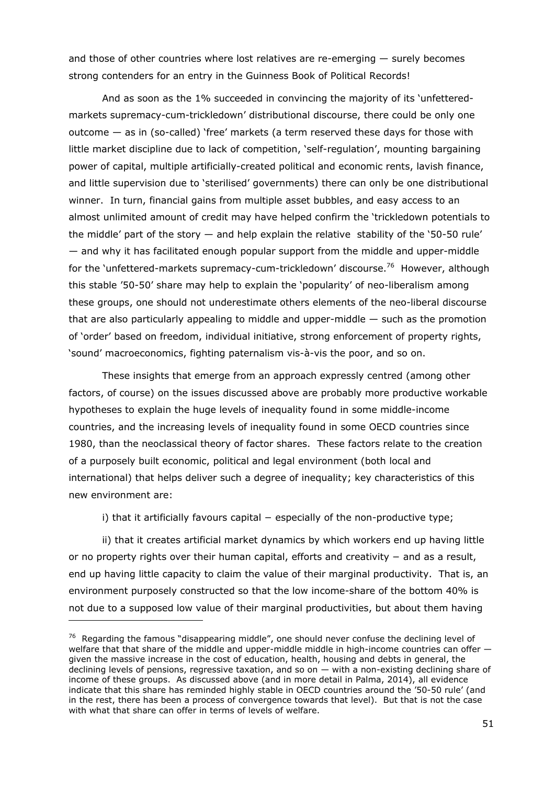and those of other countries where lost relatives are re-emerging — surely becomes strong contenders for an entry in the Guinness Book of Political Records!

And as soon as the 1% succeeded in convincing the majority of its 'unfetteredmarkets supremacy-cum-trickledown' distributional discourse, there could be only one outcome — as in (so-called) 'free' markets (a term reserved these days for those with little market discipline due to lack of competition, 'self-regulation', mounting bargaining power of capital, multiple artificially-created political and economic rents, lavish finance, and little supervision due to 'sterilised' governments) there can only be one distributional winner. In turn, financial gains from multiple asset bubbles, and easy access to an almost unlimited amount of credit may have helped confirm the 'trickledown potentials to the middle' part of the story  $-$  and help explain the relative stability of the '50-50 rule' — and why it has facilitated enough popular support from the middle and upper-middle for the 'unfettered-markets supremacy-cum-trickledown' discourse.<sup>76</sup> However, although this stable '50-50' share may help to explain the 'popularity' of neo-liberalism among these groups, one should not underestimate others elements of the neo-liberal discourse that are also particularly appealing to middle and upper-middle  $-$  such as the promotion of 'order' based on freedom, individual initiative, strong enforcement of property rights, 'sound' macroeconomics, fighting paternalism vis-à-vis the poor, and so on.

These insights that emerge from an approach expressly centred (among other factors, of course) on the issues discussed above are probably more productive workable hypotheses to explain the huge levels of inequality found in some middle-income countries, and the increasing levels of inequality found in some OECD countries since 1980, than the neoclassical theory of factor shares. These factors relate to the creation of a purposely built economic, political and legal environment (both local and international) that helps deliver such a degree of inequality; key characteristics of this new environment are:

i) that it artificially favours capital − especially of the non-productive type;

ii) that it creates artificial market dynamics by which workers end up having little or no property rights over their human capital, efforts and creativity − and as a result, end up having little capacity to claim the value of their marginal productivity. That is, an environment purposely constructed so that the low income-share of the bottom 40% is not due to a supposed low value of their marginal productivities, but about them having

 $76$  Regarding the famous "disappearing middle", one should never confuse the declining level of welfare that that share of the middle and upper-middle middle in high-income countries can offer given the massive increase in the cost of education, health, housing and debts in general, the declining levels of pensions, regressive taxation, and so on — with a non-existing declining share of income of these groups. As discussed above (and in more detail in Palma, 2014), all evidence indicate that this share has reminded highly stable in OECD countries around the '50-50 rule' (and in the rest, there has been a process of convergence towards that level). But that is not the case with what that share can offer in terms of levels of welfare.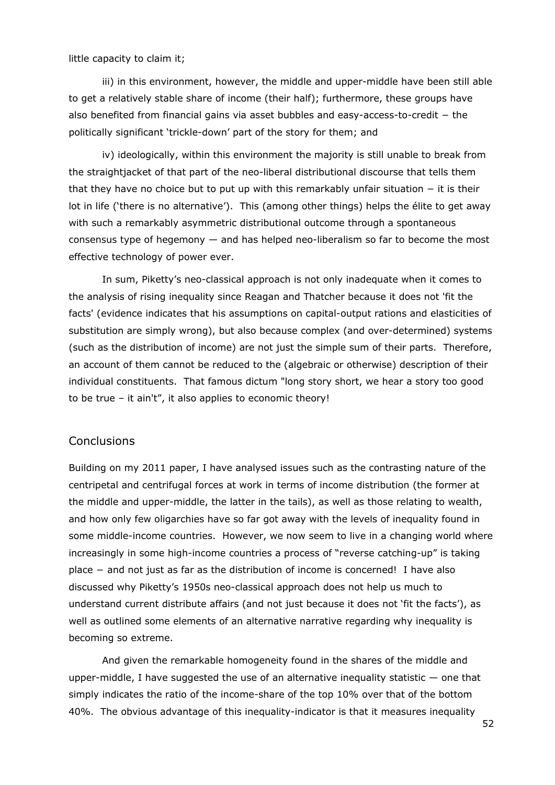little capacity to claim it;

iii) in this environment, however, the middle and upper-middle have been still able to get a relatively stable share of income (their half); furthermore, these groups have also benefited from financial gains via asset bubbles and easy-access-to-credit – the politically significant 'trickle-down' part of the story for them; and

iv) ideologically, within this environment the majority is still unable to break from the straightjacket of that part of the neo-liberal distributional discourse that tells them that they have no choice but to put up with this remarkably unfair situation − it is their lot in life ('there is no alternative'). This (among other things) helps the élite to get away with such a remarkably asymmetric distributional outcome through *a spontaneous consensus type of hegemony* — and has helped neo-liberalism so far to become the most effective technology of power ever.

In sum, Piketty's neo-classical approach is not only inadequate when it comes to the analysis of rising inequality since Reagan and Thatcher because it does not 'fit the facts' (evidence indicates that his assumptions on capital-output rations and elasticities of substitution are simply wrong), but also because complex (and over-determined) systems (such as the distribution of income) are not just the simple sum of their parts. Therefore, an account of them cannot be reduced to the (algebraic or otherwise) description of their individual constituents. That famous dictum "long story short, we hear a story too good to be true – it ain't", it also applies to economic theory!

#### **Conclusions**

Building on my 2011 paper, I have analysed issues such as the contrasting nature of the centripetal and centrifugal forces at work in terms of income distribution (the former at the middle and upper-middle, the latter in the tails), as well as those relating to wealth, and how only few oligarchies have so far got away with the levels of inequality found in some middle-income countries. However, we now seem to live in a changing world where increasingly in some high-income countries a process of "reverse catching-up" is taking place − and not just as far as the distribution of income is concerned! I have also discussed why Piketty's 1950s neo-classical approach does not help us much to understand current distribute affairs (and not just because it does not 'fit the facts'), as well as outlined some elements of an alternative narrative regarding why inequality is becoming so extreme.

And given the remarkable homogeneity found in the shares of the middle and upper-middle, I have suggested the use of an alternative inequality statistic  $-$  one that simply indicates the ratio of the income-share of the top 10% over that of the bottom 40%. The obvious advantage of this inequality-indicator is that it measures inequality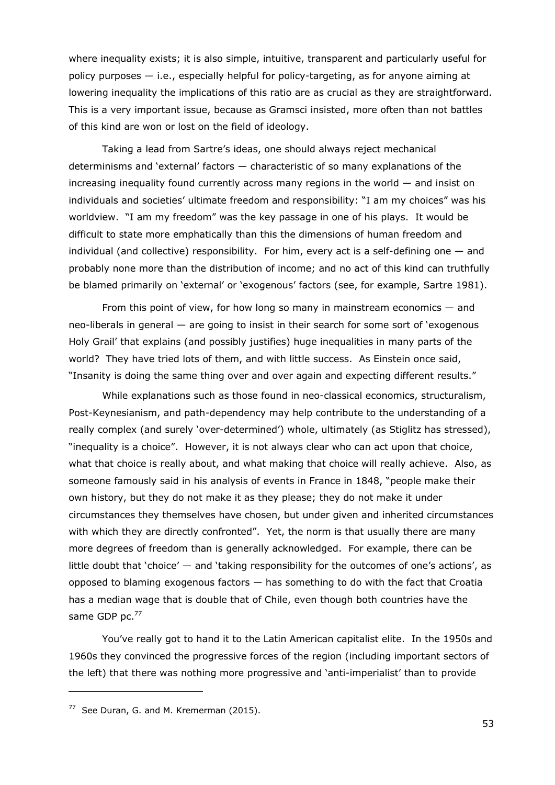where inequality exists; it is also simple, intuitive, transparent and particularly useful for policy purposes — i.e., especially helpful for policy-targeting, as for anyone aiming at lowering inequality the implications of this ratio are as crucial as they are straightforward. This is a very important issue, because as Gramsci insisted, more often than not battles of this kind are won or lost on the field of ideology.

Taking a lead from Sartre's ideas, one should always reject mechanical determinisms and 'external' factors — characteristic of so many explanations of the increasing inequality found currently across many regions in the world  $-$  and insist on individuals and societies' ultimate freedom *and responsibility*: "I am my choices" was his worldview. "I am my freedom" was the key passage in one of his plays. It would be difficult to state more emphatically than this the dimensions of human freedom and individual (and collective) responsibility. For him, every act is a self-defining one — and probably none more than the distribution of income; and no act of this kind can truthfully be blamed primarily on 'external' or 'exogenous' factors (see, for example, Sartre 1981).

From this point of view, for how long so many in mainstream economics — and neo-liberals in general — are going to insist in their search for some sort of 'exogenous Holy Grail' that explains (and possibly justifies) huge inequalities in many parts of the world? They have tried lots of them, and with little success. As Einstein once said, "Insanity is doing the same thing over and over again and expecting different results."

While explanations such as those found in neo-classical economics, structuralism, Post-Keynesianism, and path-dependency may help contribute to the understanding of a really complex (and surely 'over-determined') whole, ultimately (as Stiglitz has stressed), "inequality is a choice". However, it is not always clear who can act upon that choice, what that choice is really about, and what making that choice will really achieve. Also, as someone famously said in his analysis of events in France in 1848, "people make their own history, but they do not make it as they please; they do not make it under circumstances they themselves have chosen, but under given and inherited circumstances with which they are directly confronted". Yet, the norm is that usually there are many more degrees of freedom than is generally acknowledged. For example, there can be little doubt that 'choice' — and 'taking responsibility for the outcomes of one's actions', as opposed to blaming exogenous factors — has something to do with the fact that Croatia has a median wage that is double that of Chile, even though both countries have the same GDP pc.<sup>77</sup>

You've really got to hand it to the Latin American capitalist elite. In the 1950s and 1960s they convinced the progressive forces of the region (including important sectors of the left) that there was nothing more progressive and 'anti-imperialist' than to provide

 $77$  See Duran, G. and M. Kremerman (2015).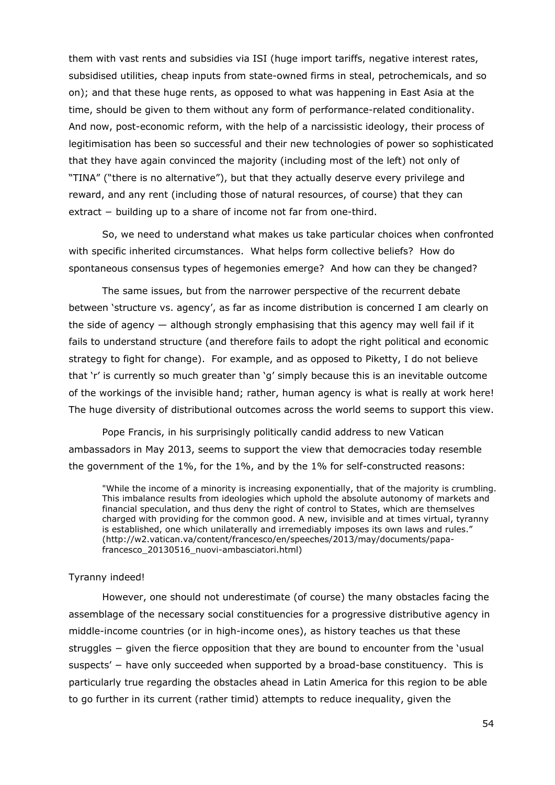them with vast rents and subsidies via ISI (huge import tariffs, negative interest rates, subsidised utilities, cheap inputs from state-owned firms in steal, petrochemicals, and so on); and that these huge rents, as opposed to what was happening in East Asia at the time, should be given to them without *any* form of performance-related conditionality. And now, post-economic reform, with the help of a narcissistic ideology, their process of legitimisation has been so successful and their new technologies of power so sophisticated that they have again convinced the majority (including most of the left) not only of "TINA" ("there is no alternative"), but that they actually deserve every privilege and reward, and any rent (including those of natural resources, of course) that they can extract − building up to a share of income not far from one-third.

So, we need to understand what makes us take particular choices when confronted with specific inherited circumstances. What helps form collective beliefs? How do spontaneous consensus types of hegemonies emerge? And how can they be changed?

The same issues, but from the narrower perspective of the recurrent debate between 'structure vs. agency', as far as income distribution is concerned I am clearly on the side of agency  $-$  although strongly emphasising that this agency may well fail if it fails to understand structure (and therefore fails to adopt the right political and economic strategy to fight for change). For example, and as opposed to Piketty, I do not believe that 'r' is currently so much greater than 'g' simply because this is an inevitable outcome of the workings of the invisible hand; rather, human agency is what is really at work here! The huge diversity of distributional outcomes across the world seems to support this view.

Pope Francis, in his surprisingly politically candid address to new Vatican ambassadors in May 2013, seems to support the view that democracies today resemble the government of the 1%, for the 1%, and by the 1% for self-constructed reasons:

"While the income of a minority is increasing exponentially, that of the majority is crumbling. This imbalance results from ideologies which uphold the absolute autonomy of markets and financial speculation, and thus deny the right of control to States, which are themselves charged with providing for the common good. A new, invisible and at times virtual, tyranny is established, one which unilaterally and irremediably imposes its own laws and rules." (http://w2.vatican.va/content/francesco/en/speeches/2013/may/documents/papafrancesco 20130516 nuovi-ambasciatori.html)

#### Tyranny indeed!

However, one should not underestimate (of course) the many obstacles facing the assemblage of the necessary social constituencies for a progressive distributive agency in middle-income countries (or in high-income ones), as history teaches us that these struggles – given the fierce opposition that they are bound to encounter from the 'usual suspects' – have only succeeded when supported by a broad-base constituency. This is particularly true regarding the obstacles ahead in Latin America for this region to be able to go further in its current (rather timid) attempts to reduce inequality, given the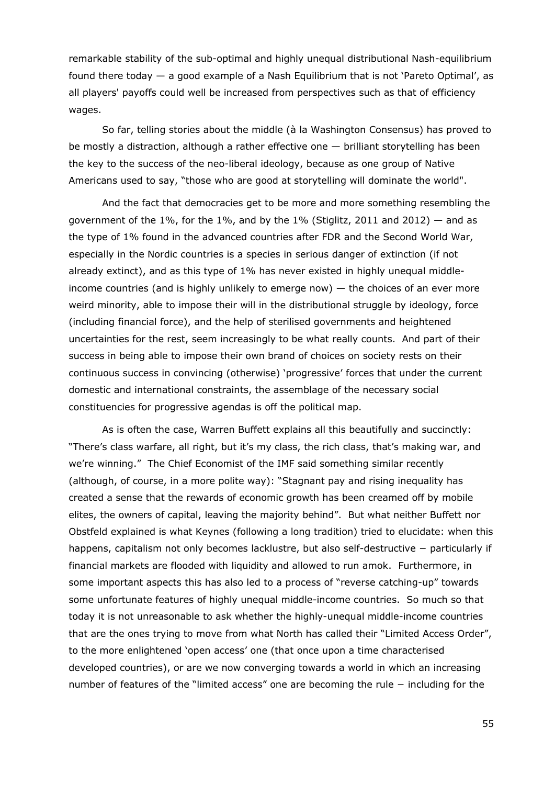remarkable stability of the sub-optimal and highly unequal distributional Nash-equilibrium found there today — a good example of a Nash Equilibrium that is not 'Pareto Optimal', as all players' payoffs could well be increased from perspectives such as that of efficiency wages.

So far, telling stories about the middle (à la Washington Consensus) has proved to be mostly a distraction, although a rather effective one — brilliant storytelling has been the key to the success of the neo-liberal ideology, because as one group of Native Americans used to say, "those who are good at storytelling will dominate the world".

And the fact that democracies get to be more and more something resembling the government of the 1%, for the 1%, and by the 1% (Stiglitz, 2011 and 2012)  $-$  and as the type of 1% found in the advanced countries after FDR and the Second World War, especially in the Nordic countries is a species in serious danger of extinction (if not already extinct), and as this type of 1% has never existed in highly unequal middleincome countries (and is highly unlikely to emerge now) — the choices of an ever more weird minority, able to impose their will in the distributional struggle by ideology, force (including financial force), and the help of sterilised governments and heightened uncertainties for the rest, seem increasingly to be what really counts. And part of their success in being able to impose their own brand of choices on society rests on their continuous success in convincing (otherwise) 'progressive' forces that under the current domestic and international constraints, the assemblage of the necessary social constituencies for progressive agendas is off the political map.

As is often the case, Warren Buffett explains all this beautifully and succinctly: "There's class warfare, all right, but it's my class, the rich class, that's making war, and we're winning." The Chief Economist of the IMF said something similar recently (although, of course, in a more polite way): "Stagnant pay and rising inequality has created a sense that the rewards of economic growth has been creamed off by mobile elites, the owners of capital, leaving the majority behind". But what neither Buffett nor Obstfeld explained is what Keynes (following a long tradition) tried to elucidate: when this happens, capitalism not only becomes lacklustre, but also self-destructive − particularly if financial markets are flooded with liquidity and allowed to run amok. Furthermore, in some important aspects this has also led to a process of "reverse catching-up" towards some unfortunate features of highly unequal middle-income countries. So much so that today it is not unreasonable to ask whether the highly-unequal middle-income countries that are the ones trying to move from what North has called their "Limited Access Order", to the more enlightened 'open access' one (that once upon a time characterised developed countries), or are we now converging towards a world in which an increasing number of features of the "limited access" one are becoming the rule − including for the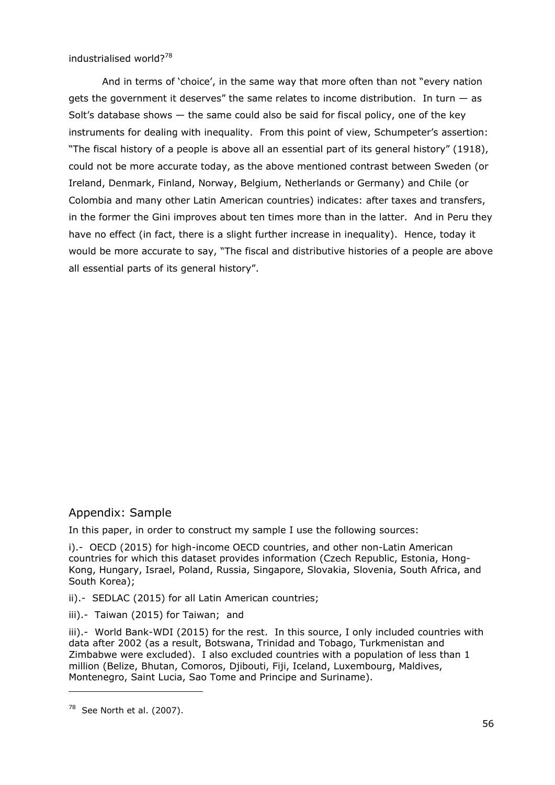industrialised world?78

And in terms of 'choice', in the same way that more often than not "every nation gets the government it deserves" the same relates to income distribution. In turn  $-$  as Solt's database shows  $-$  the same could also be said for fiscal policy, one of the key instruments for dealing with inequality. From this point of view, Schumpeter's assertion: "The fiscal history of a people is above all an essential part of its general history" (1918), could not be more accurate today, as the above mentioned contrast between Sweden (or Ireland, Denmark, Finland, Norway, Belgium, Netherlands or Germany) and Chile (or Colombia and many other Latin American countries) indicates: after taxes and transfers, in the former the Gini improves about ten times more than in the latter. And in Peru they have no effect (in fact, there is a slight further increase in inequality). Hence, today it would be more accurate to say, "The fiscal *and distributive* histories of a people are above all essential parts of its general history".

### Appendix: Sample

In this paper, in order to construct my sample I use the following sources:

i).- OECD (2015) for high-income OECD countries, and other non-Latin American countries for which this dataset provides information (Czech Republic, Estonia, Hong-Kong, Hungary, Israel, Poland, Russia, Singapore, Slovakia, Slovenia, South Africa, and South Korea);

ii).- SEDLAC (2015) for all Latin American countries;

iii).- Taiwan (2015) for Taiwan; and

iii).- World Bank-WDI (2015) for the rest. In this source, I only included countries with data *after 2002* (as a result, Botswana, Trinidad and Tobago, Turkmenistan and Zimbabwe were excluded). I also excluded countries with a population of less than 1 million (Belize, Bhutan, Comoros, Djibouti, Fiji, Iceland, Luxembourg, Maldives, Montenegro, Saint Lucia, Sao Tome and Principe and Suriname).

 $78$  See North et al. (2007).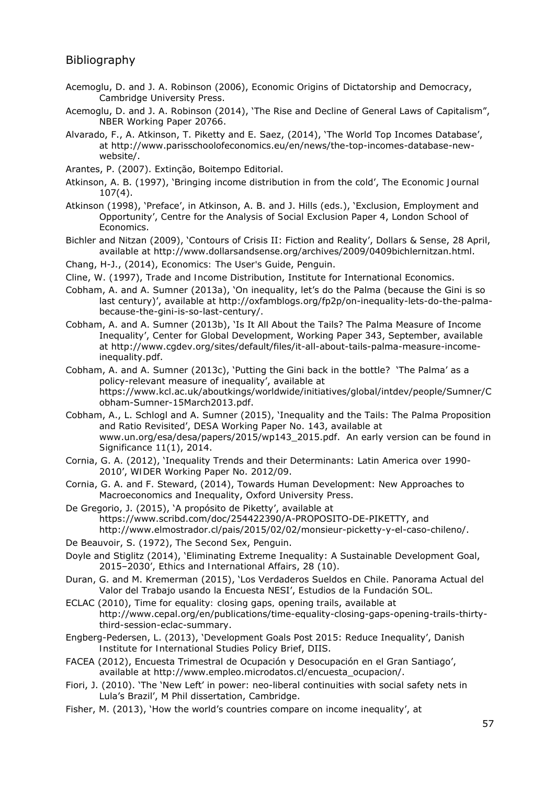#### Bibliography

- Acemoglu, D. and J. A. Robinson (2006), *Economic Origins of Dictatorship and Democracy*, Cambridge University Press.
- Acemoglu, D. and J. A. Robinson (2014), 'The Rise and Decline of General Laws of Capitalism", *NBER Working Paper* 20766.
- Alvarado, F., A. Atkinson, T. Piketty and E. Saez, (2014), 'The World Top Incomes Database', at http://www.parisschoolofeconomics.eu/en/news/the-top-incomes-database-newwebsite/.
- Arantes, P. (2007). *Extinção*, Boitempo Editorial.
- Atkinson, A. B. (1997), 'Bringing income distribution in from the cold', *The Economic Journal* 107(4).
- Atkinson (1998), 'Preface', in Atkinson, A. B. and J. Hills (eds.), 'Exclusion, Employment and Opportunity', *Centre for the Analysis of Social Exclusion* Paper 4, London School of Economics.
- Bichler and Nitzan (2009), 'Contours of Crisis II: Fiction and Reality', *Dollars & Sense*, 28 April, available at http://www.dollarsandsense.org/archives/2009/0409bichlernitzan.html.
- Chang, H-J., (2014), *Economics: The User's Guide*, Penguin.
- Cline, W. (1997), *Trade and Income Distribution*, Institute for International Economics.
- Cobham, A. and A. Sumner (2013a), 'On inequality, let's do the Palma (because the Gini is so last century)', available at http://oxfamblogs.org/fp2p/on-inequality-lets-do-the-palmabecause-the-gini-is-so-last-century/.
- Cobham, A. and A. Sumner (2013b), 'Is It All About the Tails? The Palma Measure of Income Inequality', *Center for Global Development*, Working Paper 343, September, available at http://www.cgdev.org/sites/default/files/it-all-about-tails-palma-measure-incomeinequality.pdf.
- Cobham, A. and A. Sumner (2013c), 'Putting the Gini back in the bottle? 'The Palma' as a policy-relevant measure of inequality', available at https://www.kcl.ac.uk/aboutkings/worldwide/initiatives/global/intdev/people/Sumner/C obham-Sumner-15March2013.pdf.
- Cobham, A., L. Schlogl and A. Sumner (2015), 'Inequality and the Tails: The Palma Proposition and Ratio Revisited', *DESA Working Paper* No. 143, available at www.un.org/esa/desa/papers/2015/wp143\_2015.pdf. An early version can be found in *Significance* 11(1), 2014.
- Cornia, G. A. (2012), 'Inequality Trends and their Determinants: Latin America over 1990- 2010', *WIDER Working Paper* No. 2012/09.
- Cornia, G. A. and F. Steward, (2014), Towards Human Development: New Approaches to Macroeconomics and Inequality, Oxford University Press.
- De Gregorio, J. (2015), 'A propósito de Piketty', available at https://www.scribd.com/doc/254422390/A-PROPOSITO-DE-PIKETTY, and http://www.elmostrador.cl/pais/2015/02/02/monsieur-picketty-y-el-caso-chileno/.
- De Beauvoir, S. (1972), *The Second Sex*, Penguin.
- Doyle and Stiglitz (2014), 'Eliminating Extreme Inequality: A Sustainable Development Goal, 2015–2030', *Ethics and International Affairs*, 28 (10).
- Duran, G. and M. Kremerman (2015), 'Los Verdaderos Sueldos en Chile. Panorama Actual del Valor del Trabajo usando la Encuesta NESI', *Estudios de la Fundación SOL*.
- ECLAC (2010), *Time for equality: closing gaps, opening trails*, available at http://www.cepal.org/en/publications/time-equality-closing-gaps-opening-trails-thirtythird-session-eclac-summary.
- Engberg-Pedersen, L. (2013), 'Development Goals Post 2015: Reduce Inequality', *Danish Institute for International Studies Policy Brief*, DIIS.
- FACEA (2012), Encuesta Trimestral de Ocupación y Desocupación en el Gran Santiago', available at http://www.empleo.microdatos.cl/encuesta\_ocupacion/.
- Fiori, J. (2010). 'The 'New Left' in power: neo-liberal continuities with social safety nets in Lula's Brazil', M Phil dissertation, Cambridge.
- Fisher, M. (2013), 'How the world's countries compare on income inequality', at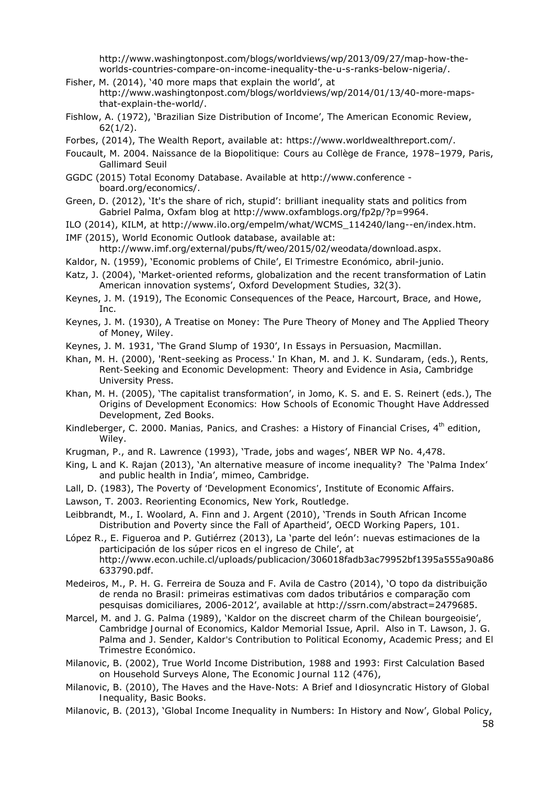http://www.washingtonpost.com/blogs/worldviews/wp/2013/09/27/map-how-theworlds-countries-compare-on-income-inequality-the-u-s-ranks-below-nigeria/.

- Fisher, M. (2014), '40 more maps that explain the world', at http://www.washingtonpost.com/blogs/worldviews/wp/2014/01/13/40-more-mapsthat-explain-the-world/.
- Fishlow, A. (1972), 'Brazilian Size Distribution of Income', *The American Economic Review*, 62(1/2).
- Forbes, (2014), *The Wealth Report*, available at: https://www.worldwealthreport.com/.
- Foucault, M. 2004. *Naissance de la Biopolitique: Cours au Collège de France*, 1978–1979, Paris, Gallimard Seuil
- GGDC (2015) Total Economy Database. Available at http://www.conference board.org/economics/.
- Green, D. (2012), 'It's the share of rich, stupid': brilliant inequality stats and politics from Gabriel Palma, *Oxfam blog* at http://www.oxfamblogs.org/fp2p/?p=9964.
- ILO (2014), KILM, at http://www.ilo.org/empelm/what/WCMS\_114240/lang--en/index.htm. IMF (2015), World Economic Outlook database, available at:
- http://www.imf.org/external/pubs/ft/weo/2015/02/weodata/download.aspx.
- Kaldor, N. (1959), 'Economic problems of Chile', *El Trimestre Económico*, abril-junio.
- Katz, J. (2004), 'Market-oriented reforms, globalization and the recent transformation of Latin American innovation systems', *Oxford Development Studies*, 32(3).
- Keynes, J. M. (1919), *The Economic Consequences of the Peace*, Harcourt, Brace, and Howe, Inc.
- Keynes, J. M. (1930), A Treatise on Money: The Pure Theory of Money and The Applied Theory of Money, Wiley.
- Keynes, J. M. 1931, 'The Grand Slump of 1930', *In Essays in Persuasion*, Macmillan.
- Khan, M. H. (2000), 'Rent-seeking as Process.' In Khan, M. and J. K. Sundaram, (eds.), *Rents, Rent-Seeking and Economic Development: Theory and Evidence in Asia*, Cambridge University Press.
- Khan, M. H. (2005), 'The capitalist transformation', in Jomo, K. S. and E. S. Reinert (eds.), *The Origins of Development Economics: How Schools of Economic Thought Have Addressed Development*, Zed Books.
- Kindleberger, C. 2000. *Manias, Panics, and Crashes: a History of Financial Crises*, 4th edition, Wiley.
- Krugman, P., and R. Lawrence (1993), 'Trade, jobs and wages', *NBER WP* No. 4,478.
- King, L and K. Rajan (2013), 'An alternative measure of income inequality? The 'Palma Index' and public health in India', mimeo, Cambridge.
- Lall, D. (1983), *The Poverty of 'Development Economics'*, Institute of Economic Affairs.
- Lawson, T. 2003. *Reorienting Economics*, New York, Routledge.
- Leibbrandt, M., I. Woolard, A. Finn and J. Argent (2010), 'Trends in South African Income Distribution and Poverty since the Fall of Apartheid', *OECD Working Papers*, 101.
- López R., E. Figueroa and P. Gutiérrez (2013), La 'parte del león': nuevas estimaciones de la participación de los súper ricos en el ingreso de Chile', at http://www.econ.uchile.cl/uploads/publicacion/306018fadb3ac79952bf1395a555a90a86 633790.pdf.
- Medeiros, M., P. H. G. Ferreira de Souza and F. Avila de Castro (2014), 'O topo da distribuição de renda no Brasil: primeiras estimativas com dados tributários e comparação com pesquisas domiciliares, 2006-2012', available at http://ssrn.com/abstract=2479685.
- Marcel, M. and J. G. Palma (1989), 'Kaldor on the discreet charm of the Chilean bourgeoisie', *Cambridge Journal of Economics*, Kaldor Memorial Issue, April. Also in T. Lawson, J. G. Palma and J. Sender, *Kaldor's Contribution to Political Economy*, Academic Press; and *El Trimestre Económico*.
- Milanovic, B. (2002), True World Income Distribution, 1988 and 1993: First Calculation Based on Household Surveys Alone, *The Economic Journal* 112 (476),
- Milanovic, B. (2010), *The Haves and the Have-Nots: A Brief and Idiosyncratic History of Global Inequality*, Basic Books.
- Milanovic, B. (2013), 'Global Income Inequality in Numbers: In History and Now', *Global Policy*,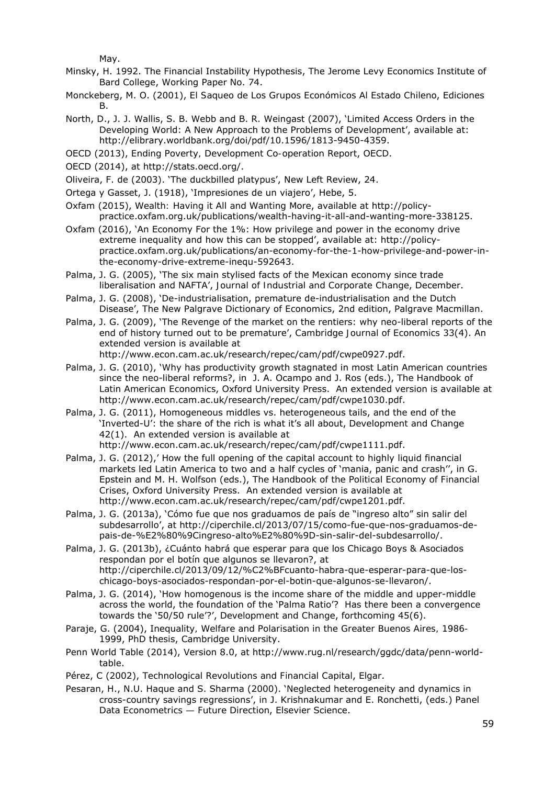May.

- Minsky, H. 1992. The Financial Instability Hypothesis, The Jerome Levy Economics Institute of Bard College, Working Paper No. 74.
- Monckeberg, M. O. (2001), *El Saqueo de Los Grupos Económicos Al Estado Chileno*, Ediciones B.
- North, D., J. J. Wallis, S. B. Webb and B. R. Weingast (2007), 'Limited Access Orders in the Developing World: A New Approach to the Problems of Development', available at: http://elibrary.worldbank.org/doi/pdf/10.1596/1813-9450-4359.
- OECD (2013), *Ending Poverty, Development Co-operation Report*, OECD.
- OECD (2014), at http://stats.oecd.org/.
- Oliveira, F. de (2003). 'The duckbilled platypus', *New Left Review*, 24.
- Ortega y Gasset, J. (1918), 'Impresiones de un viajero', Hebe, 5.
- Oxfam (2015), *Wealth: Having it All and Wanting More*, available at http://policypractice.oxfam.org.uk/publications/wealth-having-it-all-and-wanting-more-338125.
- Oxfam (2016), 'An Economy For the 1%: How privilege and power in the economy drive extreme inequality and how this can be stopped', available at: http://policypractice.oxfam.org.uk/publications/an-economy-for-the-1-how-privilege-and-power-inthe-economy-drive-extreme-inequ-592643.
- Palma, J. G. (2005), 'The six main stylised facts of the Mexican economy since trade liberalisation and NAFTA', *Journal of Industrial and Corporate Change*, December.
- Palma, J. G. (2008), 'De-industrialisation, premature de-industrialisation and the Dutch Disease', *The New Palgrave Dictionary of Economics*, 2nd edition, Palgrave Macmillan.
- Palma, J. G. (2009), 'The Revenge of the market on the rentiers: why neo-liberal reports of the end of history turned out to be premature', *Cambridge Journal of Economics* 33(4). An extended version is available at http://www.econ.cam.ac.uk/research/repec/cam/pdf/cwpe0927.pdf.
- Palma, J. G. (2010), 'Why has productivity growth stagnated in most Latin American countries since the neo-liberal reforms?, in J. A. Ocampo and J. Ros (eds.), *The Handbook of Latin American Economics*, Oxford University Press. An extended version is available at http://www.econ.cam.ac.uk/research/repec/cam/pdf/cwpe1030.pdf.
- Palma, J. G. (2011), Homogeneous middles vs. heterogeneous tails, and the end of the 'Inverted-U': the share of the rich is what it's all about, *Development and Change* 42(1). An extended version is available at http://www.econ.cam.ac.uk/research/repec/cam/pdf/cwpe1111.pdf.
- Palma, J. G. (2012),' How the full opening of the capital account to highly liquid financial markets led Latin America to two and a half cycles of 'mania, panic and crash'', in G. Epstein and M. H. Wolfson (eds.), *The Handbook of the Political Economy of Financial Crises*, Oxford University Press. An extended version is available at http://www.econ.cam.ac.uk/research/repec/cam/pdf/cwpe1201.pdf.
- Palma, J. G. (2013a), 'Cómo fue que nos graduamos de país de "ingreso alto" sin salir del subdesarrollo', at http://ciperchile.cl/2013/07/15/como-fue-que-nos-graduamos-depais-de-%E2%80%9Cingreso-alto%E2%80%9D-sin-salir-del-subdesarrollo/.
- Palma, J. G. (2013b), ¿Cuánto habrá que esperar para que los Chicago Boys & Asociados respondan por el botín que algunos se llevaron?, at http://ciperchile.cl/2013/09/12/%C2%BFcuanto-habra-que-esperar-para-que-loschicago-boys-asociados-respondan-por-el-botin-que-algunos-se-llevaron/.
- Palma, J. G. (2014), 'How homogenous is the income share of the middle and upper-middle across the world, the foundation of the 'Palma Ratio'? Has there been a convergence towards the '50/50 rule'?', *Development and Change*, forthcoming 45(6).
- Paraje, G. (2004), I*nequality, Welfare and Polarisation in the Greater Buenos Aires, 1986- 1999*, PhD thesis, Cambridge University.
- Penn World Table (2014), Version 8.0, at http://www.rug.nl/research/ggdc/data/penn-worldtable.
- Pérez, C (2002), *Technological Revolutions and Financial Capital*, Elgar.
- Pesaran, H., N.U. Haque and S. Sharma (2000). 'Neglected heterogeneity and dynamics in cross-country savings regressions', in J. Krishnakumar and E. Ronchetti, (eds.) *Panel Data Econometrics — Future Direction*, Elsevier Science.